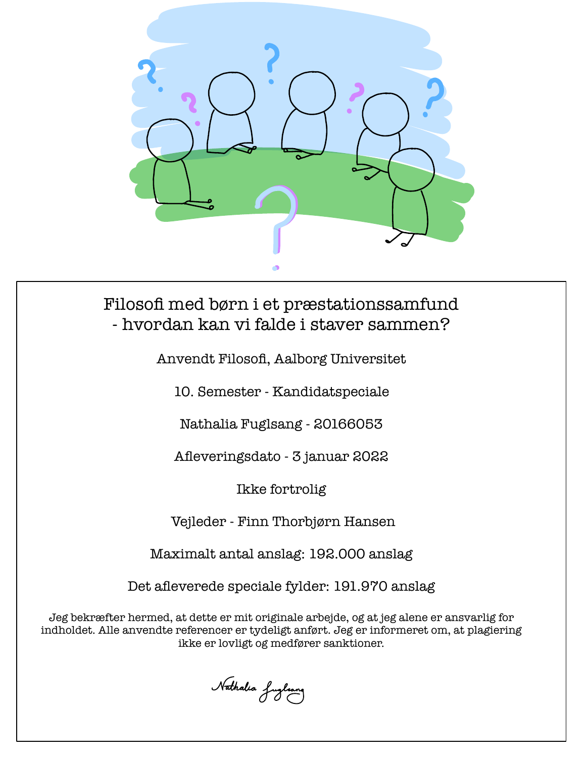

# Filosofi med børn i et præstationssamfund - hvordan kan vi falde i staver sammen?

Anvendt Filosofi, Aalborg Universitet

10. Semester - Kandidatspeciale

Nathalia Fuglsang - 20166053

Afleveringsdato - 3 januar 2022

Ikke fortrolig

Vejleder - Finn Thorbjørn Hansen

Maximalt antal anslag: 192.000 anslag

Det afleverede speciale fylder: 191.970 anslag

Jeg bekræfter hermed, at dette er mit originale arbejde, og at jeg alene er ansvarlig for indholdet. Alle anvendte referencer er tydeligt anført. Jeg er informeret om, at plagiering ikke er lovligt og medfører sanktioner.

Nathalia fuglsang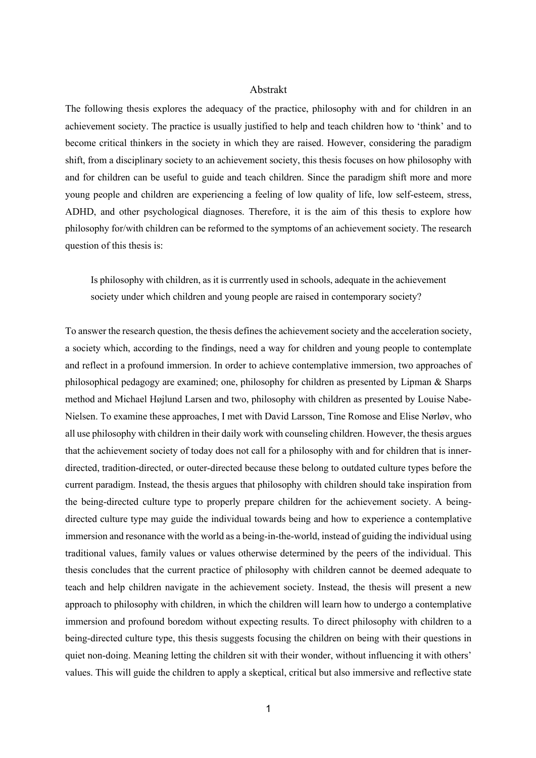#### Abstrakt

The following thesis explores the adequacy of the practice, philosophy with and for children in an achievement society. The practice is usually justified to help and teach children how to 'think' and to become critical thinkers in the society in which they are raised. However, considering the paradigm shift, from a disciplinary society to an achievement society, this thesis focuses on how philosophy with and for children can be useful to guide and teach children. Since the paradigm shift more and more young people and children are experiencing a feeling of low quality of life, low self-esteem, stress, ADHD, and other psychological diagnoses. Therefore, it is the aim of this thesis to explore how philosophy for/with children can be reformed to the symptoms of an achievement society. The research question of this thesis is:

Is philosophy with children, as it is currrently used in schools, adequate in the achievement society under which children and young people are raised in contemporary society?

To answer the research question, the thesis defines the achievement society and the acceleration society, a society which, according to the findings, need a way for children and young people to contemplate and reflect in a profound immersion. In order to achieve contemplative immersion, two approaches of philosophical pedagogy are examined; one, philosophy for children as presented by Lipman & Sharps method and Michael Højlund Larsen and two, philosophy with children as presented by Louise Nabe-Nielsen. To examine these approaches, I met with David Larsson, Tine Romose and Elise Nørløv, who all use philosophy with children in their daily work with counseling children. However, the thesis argues that the achievement society of today does not call for a philosophy with and for children that is innerdirected, tradition-directed, or outer-directed because these belong to outdated culture types before the current paradigm. Instead, the thesis argues that philosophy with children should take inspiration from the being-directed culture type to properly prepare children for the achievement society. A beingdirected culture type may guide the individual towards being and how to experience a contemplative immersion and resonance with the world as a being-in-the-world, instead of guiding the individual using traditional values, family values or values otherwise determined by the peers of the individual. This thesis concludes that the current practice of philosophy with children cannot be deemed adequate to teach and help children navigate in the achievement society. Instead, the thesis will present a new approach to philosophy with children, in which the children will learn how to undergo a contemplative immersion and profound boredom without expecting results. To direct philosophy with children to a being-directed culture type, this thesis suggests focusing the children on being with their questions in quiet non-doing. Meaning letting the children sit with their wonder, without influencing it with others' values. This will guide the children to apply a skeptical, critical but also immersive and reflective state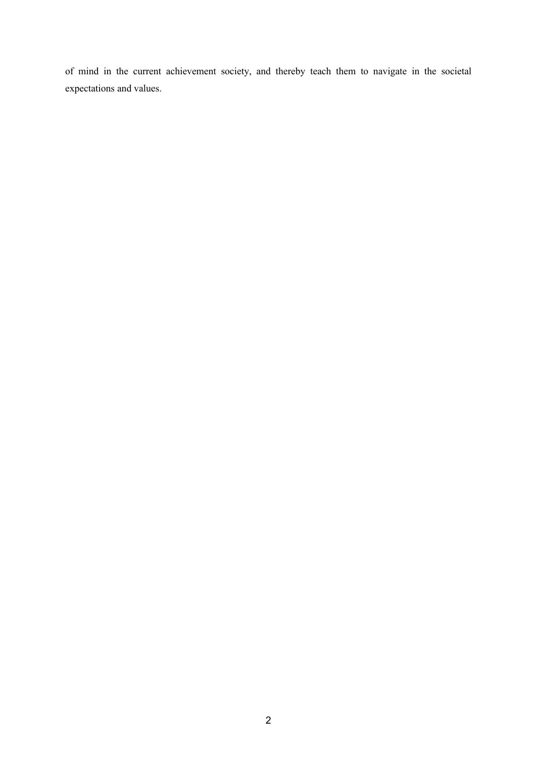of mind in the current achievement society, and thereby teach them to navigate in the societal expectations and values.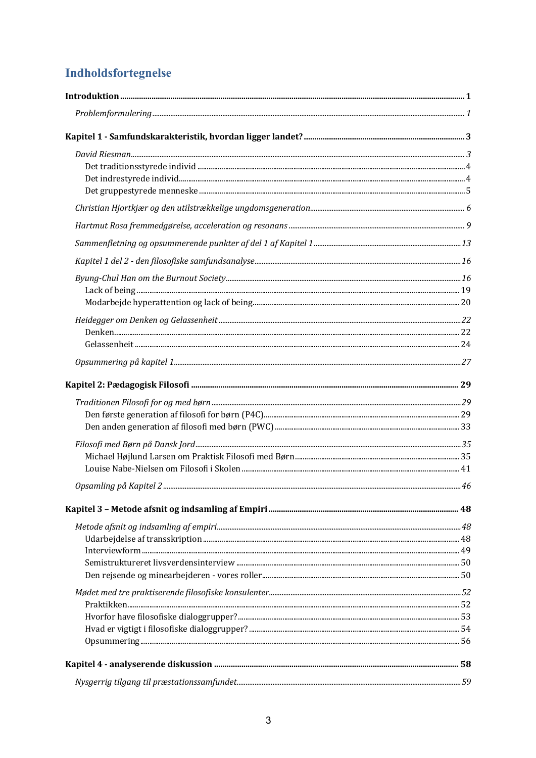# **Indholdsfortegnelse**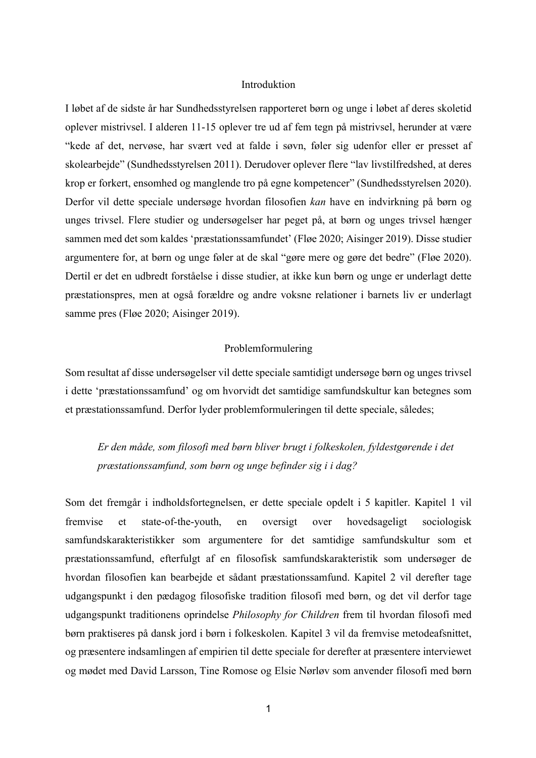## Introduktion

I løbet af de sidste år har Sundhedsstyrelsen rapporteret børn og unge i løbet af deres skoletid oplever mistrivsel. I alderen 11-15 oplever tre ud af fem tegn på mistrivsel, herunder at være "kede af det, nervøse, har svært ved at falde i søvn, føler sig udenfor eller er presset af skolearbejde" (Sundhedsstyrelsen 2011). Derudover oplever flere "lav livstilfredshed, at deres krop er forkert, ensomhed og manglende tro på egne kompetencer" (Sundhedsstyrelsen 2020). Derfor vil dette speciale undersøge hvordan filosofien *kan* have en indvirkning på børn og unges trivsel. Flere studier og undersøgelser har peget på, at børn og unges trivsel hænger sammen med det som kaldes 'præstationssamfundet' (Fløe 2020; Aisinger 2019). Disse studier argumentere for, at børn og unge føler at de skal "gøre mere og gøre det bedre" (Fløe 2020). Dertil er det en udbredt forståelse i disse studier, at ikke kun børn og unge er underlagt dette præstationspres, men at også forældre og andre voksne relationer i barnets liv er underlagt samme pres (Fløe 2020; Aisinger 2019).

#### Problemformulering

Som resultat af disse undersøgelser vil dette speciale samtidigt undersøge børn og unges trivsel i dette 'præstationssamfund' og om hvorvidt det samtidige samfundskultur kan betegnes som et præstationssamfund. Derfor lyder problemformuleringen til dette speciale, således;

*Er den måde, som filosofi med børn bliver brugt i folkeskolen, fyldestgørende i det præstationssamfund, som børn og unge befinder sig i i dag?*

Som det fremgår i indholdsfortegnelsen, er dette speciale opdelt i 5 kapitler. Kapitel 1 vil fremvise et state-of-the-youth, en oversigt over hovedsageligt sociologisk samfundskarakteristikker som argumentere for det samtidige samfundskultur som et præstationssamfund, efterfulgt af en filosofisk samfundskarakteristik som undersøger de hvordan filosofien kan bearbejde et sådant præstationssamfund. Kapitel 2 vil derefter tage udgangspunkt i den pædagog filosofiske tradition filosofi med børn, og det vil derfor tage udgangspunkt traditionens oprindelse *Philosophy for Children* frem til hvordan filosofi med børn praktiseres på dansk jord i børn i folkeskolen. Kapitel 3 vil da fremvise metodeafsnittet, og præsentere indsamlingen af empirien til dette speciale for derefter at præsentere interviewet og mødet med David Larsson, Tine Romose og Elsie Nørløv som anvender filosofi med børn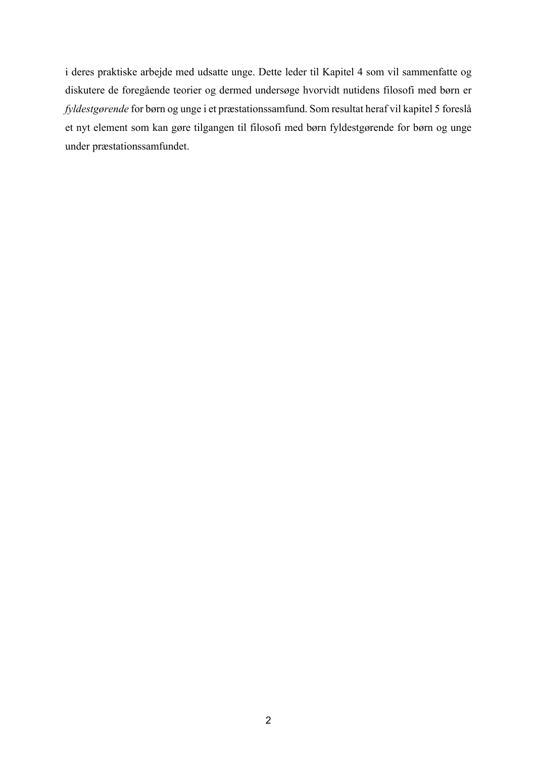i deres praktiske arbejde med udsatte unge. Dette leder til Kapitel 4 som vil sammenfatte og diskutere de foregående teorier og dermed undersøge hvorvidt nutidens filosofi med børn er *fyldestgørende* for børn og unge i et præstationssamfund. Som resultat heraf vil kapitel 5 foreslå et nyt element som kan gøre tilgangen til filosofi med børn fyldestgørende for børn og unge under præstationssamfundet.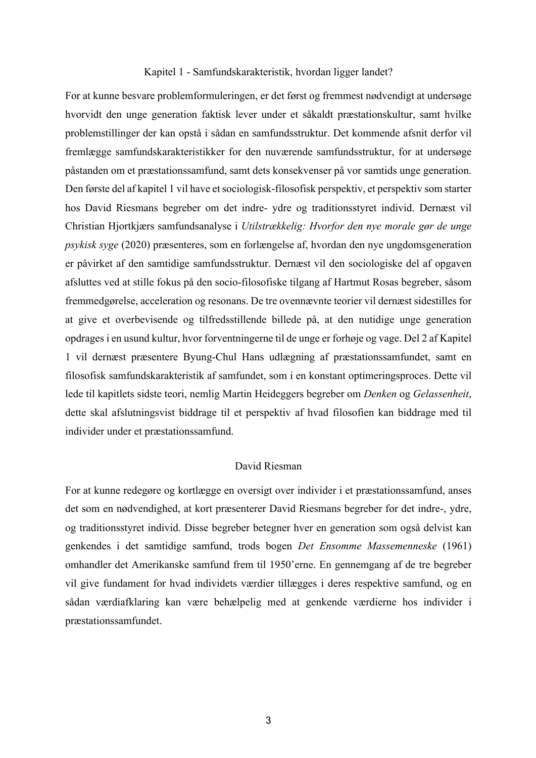#### Kapitel 1 - Samfundskarakteristik, hvordan ligger landet?

For at kunne besvare problemformuleringen, er det først og fremmest nødvendigt at undersøge hvorvidt den unge generation faktisk lever under et såkaldt præstationskultur, samt hvilke problemstillinger der kan opstå i sådan en samfundsstruktur. Det kommende afsnit derfor vil fremlægge samfundskarakteristikker for den nuværende samfundsstruktur, for at undersøge påstanden om et præstationssamfund, samt dets konsekvenser på vor samtids unge generation. Den første del af kapitel 1 vil have et sociologisk-filosofisk perspektiv, et perspektiv som starter hos David Riesmans begreber om det indre- ydre og traditionsstyret individ. Dernæst vil Christian Hjortkjærs samfundsanalyse i *Utilstrækkelig: Hvorfor den nye morale gør de unge psykisk syge* (2020) præsenteres, som en forlængelse af, hvordan den nye ungdomsgeneration er påvirket af den samtidige samfundsstruktur. Dernæst vil den sociologiske del af opgaven afsluttes ved at stille fokus på den socio-filosofiske tilgang af Hartmut Rosas begreber, såsom fremmedgørelse, acceleration og resonans. De tre ovennævnte teorier vil dernæst sidestilles for at give et overbevisende og tilfredsstillende billede på, at den nutidige unge generation opdrages i en usund kultur, hvor forventningerne til de unge er forhøje og vage. Del 2 af Kapitel 1 vil dernæst præsentere Byung-Chul Hans udlægning af præstationssamfundet, samt en filosofisk samfundskarakteristik af samfundet, som i en konstant optimeringsproces. Dette vil lede til kapitlets sidste teori, nemlig Martin Heideggers begreber om *Denken* og *Gelassenheit*, dette skal afslutningsvist biddrage til et perspektiv af hvad filosofien kan biddrage med til individer under et præstationssamfund.

#### David Riesman

For at kunne redegøre og kortlægge en oversigt over individer i et præstationssamfund, anses det som en nødvendighed, at kort præsenterer David Riesmans begreber for det indre-, ydre, og traditionsstyret individ. Disse begreber betegner hver en generation som også delvist kan genkendes i det samtidige samfund, trods bogen *Det Ensomme Massemenneske* (1961) omhandler det Amerikanske samfund frem til 1950'erne. En gennemgang af de tre begreber vil give fundament for hvad individets værdier tillægges i deres respektive samfund, og en sådan værdiafklaring kan være behælpelig med at genkende værdierne hos individer i præstationssamfundet.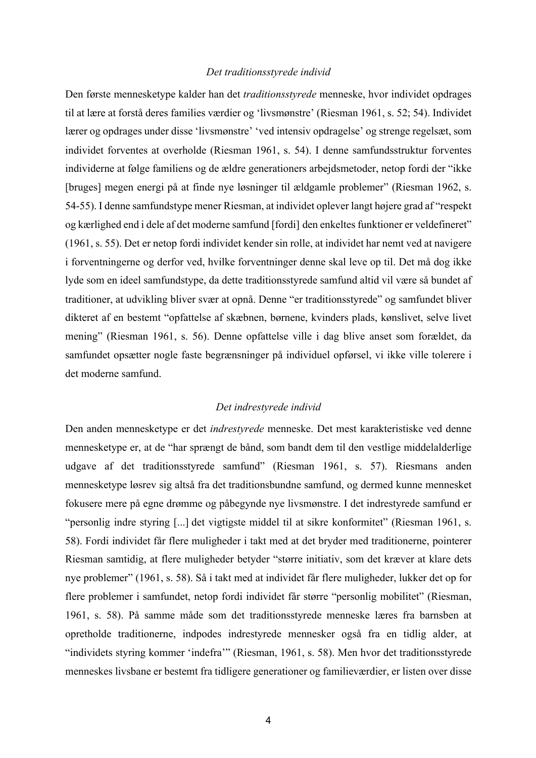#### *Det traditionsstyrede individ*

Den første mennesketype kalder han det *traditionsstyrede* menneske, hvor individet opdrages til at lære at forstå deres families værdier og 'livsmønstre' (Riesman 1961, s. 52; 54). Individet lærer og opdrages under disse 'livsmønstre' 'ved intensiv opdragelse' og strenge regelsæt, som individet forventes at overholde (Riesman 1961, s. 54). I denne samfundsstruktur forventes individerne at følge familiens og de ældre generationers arbejdsmetoder, netop fordi der "ikke [bruges] megen energi på at finde nye løsninger til ældgamle problemer" (Riesman 1962, s. 54-55). I denne samfundstype mener Riesman, at individet oplever langt højere grad af "respekt og kærlighed end i dele af det moderne samfund [fordi] den enkeltes funktioner er veldefineret" (1961, s. 55). Det er netop fordi individet kender sin rolle, at individet har nemt ved at navigere i forventningerne og derfor ved, hvilke forventninger denne skal leve op til. Det må dog ikke lyde som en ideel samfundstype, da dette traditionsstyrede samfund altid vil være så bundet af traditioner, at udvikling bliver svær at opnå. Denne "er traditionsstyrede" og samfundet bliver dikteret af en bestemt "opfattelse af skæbnen, børnene, kvinders plads, kønslivet, selve livet mening" (Riesman 1961, s. 56). Denne opfattelse ville i dag blive anset som forældet, da samfundet opsætter nogle faste begrænsninger på individuel opførsel, vi ikke ville tolerere i det moderne samfund.

#### *Det indrestyrede individ*

Den anden mennesketype er det *indrestyrede* menneske. Det mest karakteristiske ved denne mennesketype er, at de "har sprængt de bånd, som bandt dem til den vestlige middelalderlige udgave af det traditionsstyrede samfund" (Riesman 1961, s. 57). Riesmans anden mennesketype løsrev sig altså fra det traditionsbundne samfund, og dermed kunne mennesket fokusere mere på egne drømme og påbegynde nye livsmønstre. I det indrestyrede samfund er "personlig indre styring [...] det vigtigste middel til at sikre konformitet" (Riesman 1961, s. 58). Fordi individet får flere muligheder i takt med at det bryder med traditionerne, pointerer Riesman samtidig, at flere muligheder betyder "større initiativ, som det kræver at klare dets nye problemer" (1961, s. 58). Så i takt med at individet får flere muligheder, lukker det op for flere problemer i samfundet, netop fordi individet får større "personlig mobilitet" (Riesman, 1961, s. 58). På samme måde som det traditionsstyrede menneske læres fra barnsben at opretholde traditionerne, indpodes indrestyrede mennesker også fra en tidlig alder, at "individets styring kommer 'indefra'" (Riesman, 1961, s. 58). Men hvor det traditionsstyrede menneskes livsbane er bestemt fra tidligere generationer og familieværdier, er listen over disse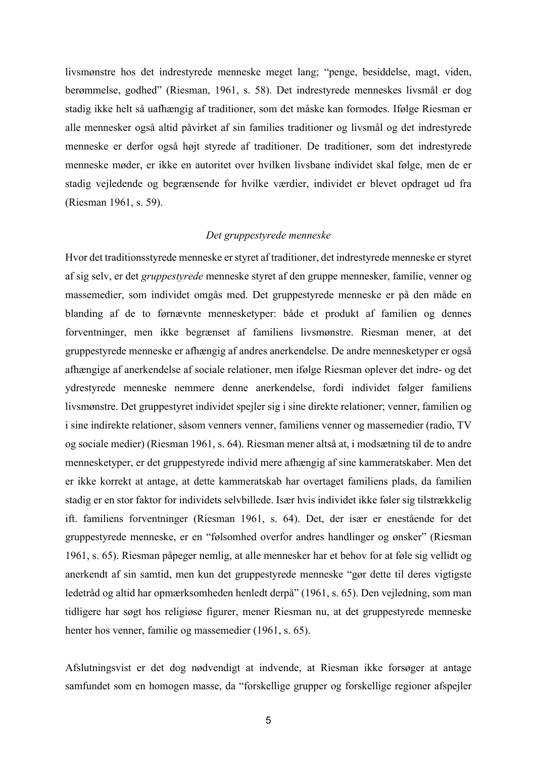livsmønstre hos det indrestyrede menneske meget lang; "penge, besiddelse, magt, viden, berømmelse, godhed" (Riesman, 1961, s. 58). Det indrestyrede menneskes livsmål er dog stadig ikke helt så uafhængig af traditioner, som det måske kan formodes. Ifølge Riesman er alle mennesker også altid påvirket af sin families traditioner og livsmål og det indrestyrede menneske er derfor også højt styrede af traditioner. De traditioner, som det indrestyrede menneske møder, er ikke en autoritet over hvilken livsbane individet skal følge, men de er stadig vejledende og begrænsende for hvilke værdier, individet er blevet opdraget ud fra (Riesman 1961, s. 59).

#### *Det gruppestyrede menneske*

Hvor det traditionsstyrede menneske er styret af traditioner, det indrestyrede menneske er styret af sig selv, er det *gruppestyrede* menneske styret af den gruppe mennesker, familie, venner og massemedier, som individet omgås med. Det gruppestyrede menneske er på den måde en blanding af de to førnævnte mennesketyper: både et produkt af familien og dennes forventninger, men ikke begrænset af familiens livsmønstre. Riesman mener, at det gruppestyrede menneske er afhængig af andres anerkendelse. De andre mennesketyper er også afhængige af anerkendelse af sociale relationer, men ifølge Riesman oplever det indre- og det ydrestyrede menneske nemmere denne anerkendelse, fordi individet følger familiens livsmønstre. Det gruppestyret individet spejler sig i sine direkte relationer; venner, familien og i sine indirekte relationer, såsom venners venner, familiens venner og massemedier (radio, TV og sociale medier) (Riesman 1961, s. 64). Riesman mener altså at, i modsætning til de to andre mennesketyper, er det gruppestyrede individ mere afhængig af sine kammeratskaber. Men det er ikke korrekt at antage, at dette kammeratskab har overtaget familiens plads, da familien stadig er en stor faktor for individets selvbillede. Især hvis individet ikke føler sig tilstrækkelig ift. familiens forventninger (Riesman 1961, s. 64). Det, der især er enestående for det gruppestyrede menneske, er en "følsomhed overfor andres handlinger og ønsker" (Riesman 1961, s. 65). Riesman påpeger nemlig, at alle mennesker har et behov for at føle sig vellidt og anerkendt af sin samtid, men kun det gruppestyrede menneske "gør dette til deres vigtigste ledetråd og altid har opmærksomheden henledt derpå" (1961, s. 65). Den vejledning, som man tidligere har søgt hos religiøse figurer, mener Riesman nu, at det gruppestyrede menneske henter hos venner, familie og massemedier (1961, s. 65).

Afslutningsvist er det dog nødvendigt at indvende, at Riesman ikke forsøger at antage samfundet som en homogen masse, da "forskellige grupper og forskellige regioner afspejler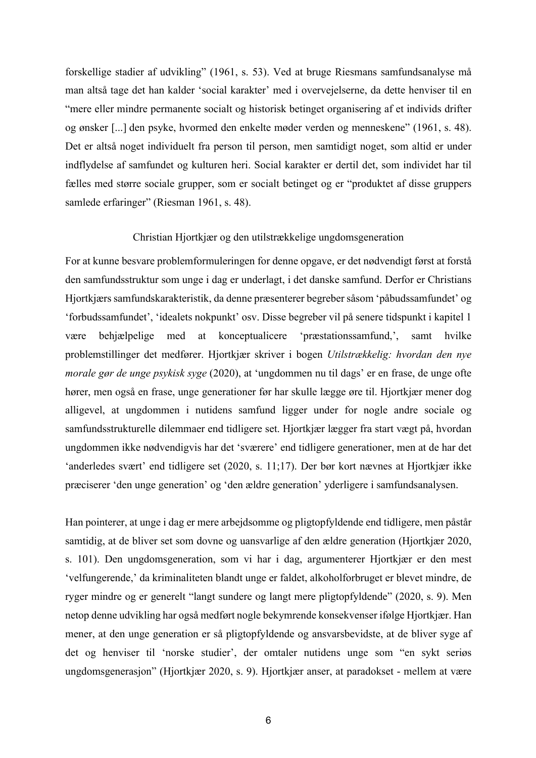forskellige stadier af udvikling" (1961, s. 53). Ved at bruge Riesmans samfundsanalyse må man altså tage det han kalder 'social karakter' med i overvejelserne, da dette henviser til en "mere eller mindre permanente socialt og historisk betinget organisering af et individs drifter og ønsker [...] den psyke, hvormed den enkelte møder verden og menneskene" (1961, s. 48). Det er altså noget individuelt fra person til person, men samtidigt noget, som altid er under indflydelse af samfundet og kulturen heri. Social karakter er dertil det, som individet har til fælles med større sociale grupper, som er socialt betinget og er "produktet af disse gruppers samlede erfaringer" (Riesman 1961, s. 48).

#### Christian Hjortkjær og den utilstrækkelige ungdomsgeneration

For at kunne besvare problemformuleringen for denne opgave, er det nødvendigt først at forstå den samfundsstruktur som unge i dag er underlagt, i det danske samfund. Derfor er Christians Hjortkjærs samfundskarakteristik, da denne præsenterer begreber såsom 'påbudssamfundet' og 'forbudssamfundet', 'idealets nokpunkt' osv. Disse begreber vil på senere tidspunkt i kapitel 1 være behjælpelige med at konceptualicere 'præstationssamfund,', samt hvilke problemstillinger det medfører. Hjortkjær skriver i bogen *Utilstrækkelig: hvordan den nye morale gør de unge psykisk syge* (2020), at 'ungdommen nu til dags' er en frase, de unge ofte hører, men også en frase, unge generationer før har skulle lægge øre til. Hjortkjær mener dog alligevel, at ungdommen i nutidens samfund ligger under for nogle andre sociale og samfundsstrukturelle dilemmaer end tidligere set. Hjortkjær lægger fra start vægt på, hvordan ungdommen ikke nødvendigvis har det 'sværere' end tidligere generationer, men at de har det 'anderledes svært' end tidligere set (2020, s. 11;17). Der bør kort nævnes at Hjortkjær ikke præciserer 'den unge generation' og 'den ældre generation' yderligere i samfundsanalysen.

Han pointerer, at unge i dag er mere arbejdsomme og pligtopfyldende end tidligere, men påstår samtidig, at de bliver set som dovne og uansvarlige af den ældre generation (Hjortkjær 2020, s. 101). Den ungdomsgeneration, som vi har i dag, argumenterer Hjortkjær er den mest 'velfungerende,' da kriminaliteten blandt unge er faldet, alkoholforbruget er blevet mindre, de ryger mindre og er generelt "langt sundere og langt mere pligtopfyldende" (2020, s. 9). Men netop denne udvikling har også medført nogle bekymrende konsekvenser ifølge Hjortkjær. Han mener, at den unge generation er så pligtopfyldende og ansvarsbevidste, at de bliver syge af det og henviser til 'norske studier', der omtaler nutidens unge som "en sykt seriøs ungdomsgenerasjon" (Hjortkjær 2020, s. 9). Hjortkjær anser, at paradokset - mellem at være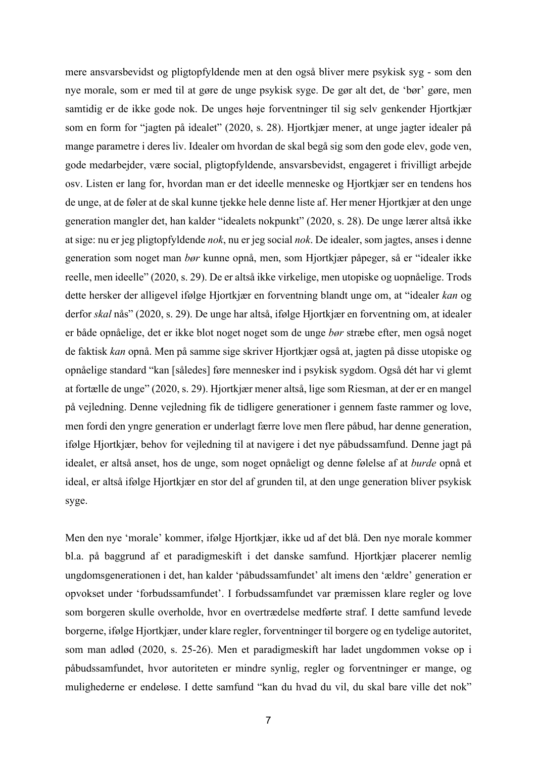mere ansvarsbevidst og pligtopfyldende men at den også bliver mere psykisk syg - som den nye morale, som er med til at gøre de unge psykisk syge. De gør alt det, de 'bør' gøre, men samtidig er de ikke gode nok. De unges høje forventninger til sig selv genkender Hjortkjær som en form for "jagten på idealet" (2020, s. 28). Hjortkjær mener, at unge jagter idealer på mange parametre i deres liv. Idealer om hvordan de skal begå sig som den gode elev, gode ven, gode medarbejder, være social, pligtopfyldende, ansvarsbevidst, engageret i frivilligt arbejde osv. Listen er lang for, hvordan man er det ideelle menneske og Hjortkjær ser en tendens hos de unge, at de føler at de skal kunne tjekke hele denne liste af. Her mener Hjortkjær at den unge generation mangler det, han kalder "idealets nokpunkt" (2020, s. 28). De unge lærer altså ikke at sige: nu er jeg pligtopfyldende *nok*, nu er jeg social *nok*. De idealer, som jagtes, anses i denne generation som noget man *bør* kunne opnå, men, som Hjortkjær påpeger, så er "idealer ikke reelle, men ideelle" (2020, s. 29). De er altså ikke virkelige, men utopiske og uopnåelige. Trods dette hersker der alligevel ifølge Hjortkjær en forventning blandt unge om, at "idealer *kan* og derfor *skal* nås" (2020, s. 29). De unge har altså, ifølge Hjortkjær en forventning om, at idealer er både opnåelige, det er ikke blot noget noget som de unge *bør* stræbe efter, men også noget de faktisk *kan* opnå. Men på samme sige skriver Hjortkjær også at, jagten på disse utopiske og opnåelige standard "kan [således] føre mennesker ind i psykisk sygdom. Også dét har vi glemt at fortælle de unge" (2020, s. 29). Hjortkjær mener altså, lige som Riesman, at der er en mangel på vejledning. Denne vejledning fik de tidligere generationer i gennem faste rammer og love, men fordi den yngre generation er underlagt færre love men flere påbud, har denne generation, ifølge Hjortkjær, behov for vejledning til at navigere i det nye påbudssamfund. Denne jagt på idealet, er altså anset, hos de unge, som noget opnåeligt og denne følelse af at *burde* opnå et ideal, er altså ifølge Hjortkjær en stor del af grunden til, at den unge generation bliver psykisk syge.

Men den nye 'morale' kommer, ifølge Hjortkjær, ikke ud af det blå. Den nye morale kommer bl.a. på baggrund af et paradigmeskift i det danske samfund. Hjortkjær placerer nemlig ungdomsgenerationen i det, han kalder 'påbudssamfundet' alt imens den 'ældre' generation er opvokset under 'forbudssamfundet'. I forbudssamfundet var præmissen klare regler og love som borgeren skulle overholde, hvor en overtrædelse medførte straf. I dette samfund levede borgerne, ifølge Hjortkjær, under klare regler, forventninger til borgere og en tydelige autoritet, som man adlød (2020, s. 25-26). Men et paradigmeskift har ladet ungdommen vokse op i påbudssamfundet, hvor autoriteten er mindre synlig, regler og forventninger er mange, og mulighederne er endeløse. I dette samfund "kan du hvad du vil, du skal bare ville det nok"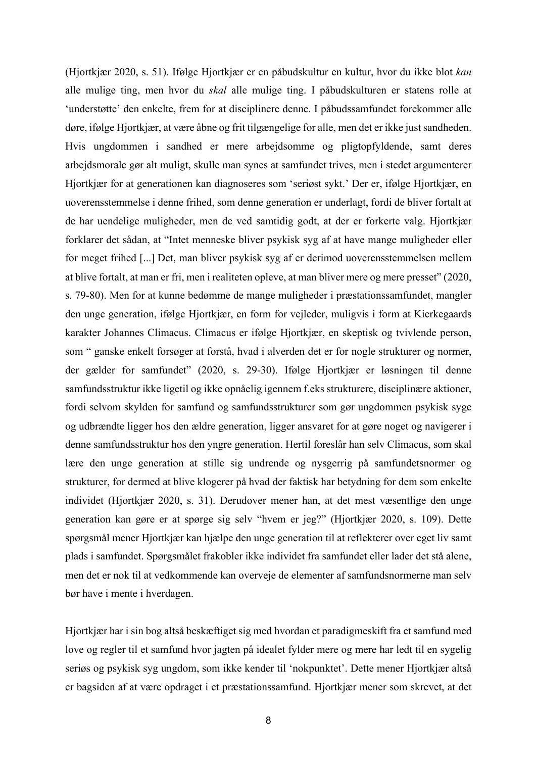(Hjortkjær 2020, s. 51). Ifølge Hjortkjær er en påbudskultur en kultur, hvor du ikke blot *kan*  alle mulige ting, men hvor du *skal* alle mulige ting. I påbudskulturen er statens rolle at 'understøtte' den enkelte, frem for at disciplinere denne. I påbudssamfundet forekommer alle døre, ifølge Hjortkjær, at være åbne og frit tilgængelige for alle, men det er ikke just sandheden. Hvis ungdommen i sandhed er mere arbejdsomme og pligtopfyldende, samt deres arbejdsmorale gør alt muligt, skulle man synes at samfundet trives, men i stedet argumenterer Hjortkjær for at generationen kan diagnoseres som 'seriøst sykt.' Der er, ifølge Hjortkjær, en uoverensstemmelse i denne frihed, som denne generation er underlagt, fordi de bliver fortalt at de har uendelige muligheder, men de ved samtidig godt, at der er forkerte valg. Hjortkjær forklarer det sådan, at "Intet menneske bliver psykisk syg af at have mange muligheder eller for meget frihed [...] Det, man bliver psykisk syg af er derimod uoverensstemmelsen mellem at blive fortalt, at man er fri, men i realiteten opleve, at man bliver mere og mere presset" (2020, s. 79-80). Men for at kunne bedømme de mange muligheder i præstationssamfundet, mangler den unge generation, ifølge Hjortkjær, en form for vejleder, muligvis i form at Kierkegaards karakter Johannes Climacus. Climacus er ifølge Hjortkjær, en skeptisk og tvivlende person, som " ganske enkelt forsøger at forstå, hvad i alverden det er for nogle strukturer og normer, der gælder for samfundet" (2020, s. 29-30). Ifølge Hjortkjær er løsningen til denne samfundsstruktur ikke ligetil og ikke opnåelig igennem f.eks strukturere, disciplinære aktioner, fordi selvom skylden for samfund og samfundsstrukturer som gør ungdommen psykisk syge og udbrændte ligger hos den ældre generation, ligger ansvaret for at gøre noget og navigerer i denne samfundsstruktur hos den yngre generation. Hertil foreslår han selv Climacus, som skal lære den unge generation at stille sig undrende og nysgerrig på samfundetsnormer og strukturer, for dermed at blive klogerer på hvad der faktisk har betydning for dem som enkelte individet (Hjortkjær 2020, s. 31). Derudover mener han, at det mest væsentlige den unge generation kan gøre er at spørge sig selv "hvem er jeg?" (Hjortkjær 2020, s. 109). Dette spørgsmål mener Hjortkjær kan hjælpe den unge generation til at reflekterer over eget liv samt plads i samfundet. Spørgsmålet frakobler ikke individet fra samfundet eller lader det stå alene, men det er nok til at vedkommende kan overveje de elementer af samfundsnormerne man selv bør have i mente i hverdagen.

Hjortkjær har i sin bog altså beskæftiget sig med hvordan et paradigmeskift fra et samfund med love og regler til et samfund hvor jagten på idealet fylder mere og mere har ledt til en sygelig seriøs og psykisk syg ungdom, som ikke kender til 'nokpunktet'. Dette mener Hjortkjær altså er bagsiden af at være opdraget i et præstationssamfund. Hjortkjær mener som skrevet, at det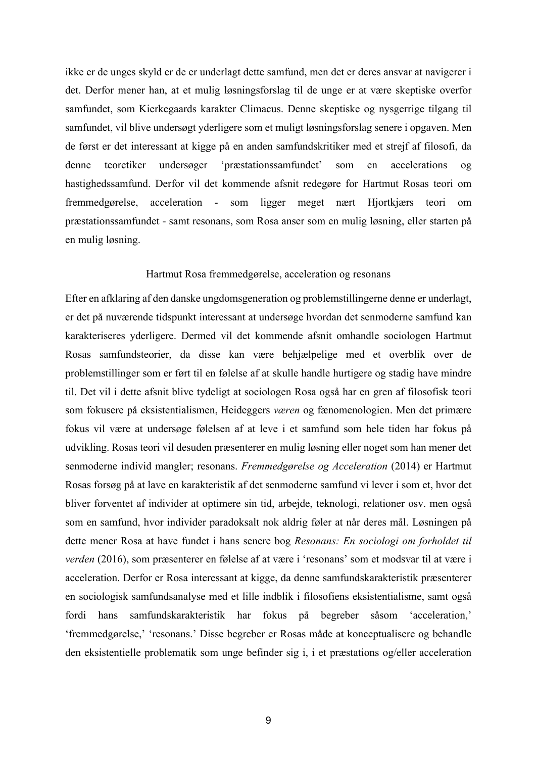ikke er de unges skyld er de er underlagt dette samfund, men det er deres ansvar at navigerer i det. Derfor mener han, at et mulig løsningsforslag til de unge er at være skeptiske overfor samfundet, som Kierkegaards karakter Climacus. Denne skeptiske og nysgerrige tilgang til samfundet, vil blive undersøgt yderligere som et muligt løsningsforslag senere i opgaven. Men de først er det interessant at kigge på en anden samfundskritiker med et strejf af filosofi, da denne teoretiker undersøger 'præstationssamfundet' som en accelerations og hastighedssamfund. Derfor vil det kommende afsnit redegøre for Hartmut Rosas teori om fremmedgørelse, acceleration - som ligger meget nært Hjortkjærs teori om præstationssamfundet - samt resonans, som Rosa anser som en mulig løsning, eller starten på en mulig løsning.

#### Hartmut Rosa fremmedgørelse, acceleration og resonans

Efter en afklaring af den danske ungdomsgeneration og problemstillingerne denne er underlagt, er det på nuværende tidspunkt interessant at undersøge hvordan det senmoderne samfund kan karakteriseres yderligere. Dermed vil det kommende afsnit omhandle sociologen Hartmut Rosas samfundsteorier, da disse kan være behjælpelige med et overblik over de problemstillinger som er ført til en følelse af at skulle handle hurtigere og stadig have mindre til. Det vil i dette afsnit blive tydeligt at sociologen Rosa også har en gren af filosofisk teori som fokusere på eksistentialismen, Heideggers *væren* og fænomenologien. Men det primære fokus vil være at undersøge følelsen af at leve i et samfund som hele tiden har fokus på udvikling. Rosas teori vil desuden præsenterer en mulig løsning eller noget som han mener det senmoderne individ mangler; resonans. *Fremmedgørelse og Acceleration* (2014) er Hartmut Rosas forsøg på at lave en karakteristik af det senmoderne samfund vi lever i som et, hvor det bliver forventet af individer at optimere sin tid, arbejde, teknologi, relationer osv. men også som en samfund, hvor individer paradoksalt nok aldrig føler at når deres mål. Løsningen på dette mener Rosa at have fundet i hans senere bog *Resonans: En sociologi om forholdet til verden* (2016), som præsenterer en følelse af at være i 'resonans' som et modsvar til at være i acceleration. Derfor er Rosa interessant at kigge, da denne samfundskarakteristik præsenterer en sociologisk samfundsanalyse med et lille indblik i filosofiens eksistentialisme, samt også fordi hans samfundskarakteristik har fokus på begreber såsom 'acceleration,' 'fremmedgørelse,' 'resonans.' Disse begreber er Rosas måde at konceptualisere og behandle den eksistentielle problematik som unge befinder sig i, i et præstations og/eller acceleration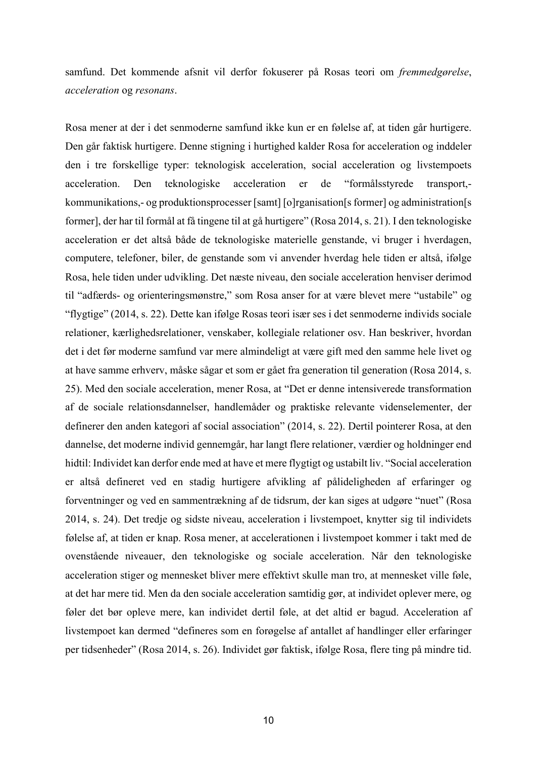samfund. Det kommende afsnit vil derfor fokuserer på Rosas teori om *fremmedgørelse*, *acceleration* og *resonans*.

Rosa mener at der i det senmoderne samfund ikke kun er en følelse af, at tiden går hurtigere. Den går faktisk hurtigere. Denne stigning i hurtighed kalder Rosa for acceleration og inddeler den i tre forskellige typer: teknologisk acceleration, social acceleration og livstempoets acceleration. Den teknologiske acceleration er de "formålsstyrede transport, kommunikations,- og produktionsprocesser [samt] [o]rganisation[s former] og administration[s former], der har til formål at få tingene til at gå hurtigere" (Rosa 2014, s. 21). I den teknologiske acceleration er det altså både de teknologiske materielle genstande, vi bruger i hverdagen, computere, telefoner, biler, de genstande som vi anvender hverdag hele tiden er altså, ifølge Rosa, hele tiden under udvikling. Det næste niveau, den sociale acceleration henviser derimod til "adfærds- og orienteringsmønstre," som Rosa anser for at være blevet mere "ustabile" og "flygtige" (2014, s. 22). Dette kan ifølge Rosas teori især ses i det senmoderne individs sociale relationer, kærlighedsrelationer, venskaber, kollegiale relationer osv. Han beskriver, hvordan det i det før moderne samfund var mere almindeligt at være gift med den samme hele livet og at have samme erhverv, måske sågar et som er gået fra generation til generation (Rosa 2014, s. 25). Med den sociale acceleration, mener Rosa, at "Det er denne intensiverede transformation af de sociale relationsdannelser, handlemåder og praktiske relevante videnselementer, der definerer den anden kategori af social association" (2014, s. 22). Dertil pointerer Rosa, at den dannelse, det moderne individ gennemgår, har langt flere relationer, værdier og holdninger end hidtil: Individet kan derfor ende med at have et mere flygtigt og ustabilt liv. "Social acceleration er altså defineret ved en stadig hurtigere afvikling af pålideligheden af erfaringer og forventninger og ved en sammentrækning af de tidsrum, der kan siges at udgøre "nuet" (Rosa 2014, s. 24). Det tredje og sidste niveau, acceleration i livstempoet, knytter sig til individets følelse af, at tiden er knap. Rosa mener, at accelerationen i livstempoet kommer i takt med de ovenstående niveauer, den teknologiske og sociale acceleration. Når den teknologiske acceleration stiger og mennesket bliver mere effektivt skulle man tro, at mennesket ville føle, at det har mere tid. Men da den sociale acceleration samtidig gør, at individet oplever mere, og føler det bør opleve mere, kan individet dertil føle, at det altid er bagud. Acceleration af livstempoet kan dermed "defineres som en forøgelse af antallet af handlinger eller erfaringer per tidsenheder" (Rosa 2014, s. 26). Individet gør faktisk, ifølge Rosa, flere ting på mindre tid.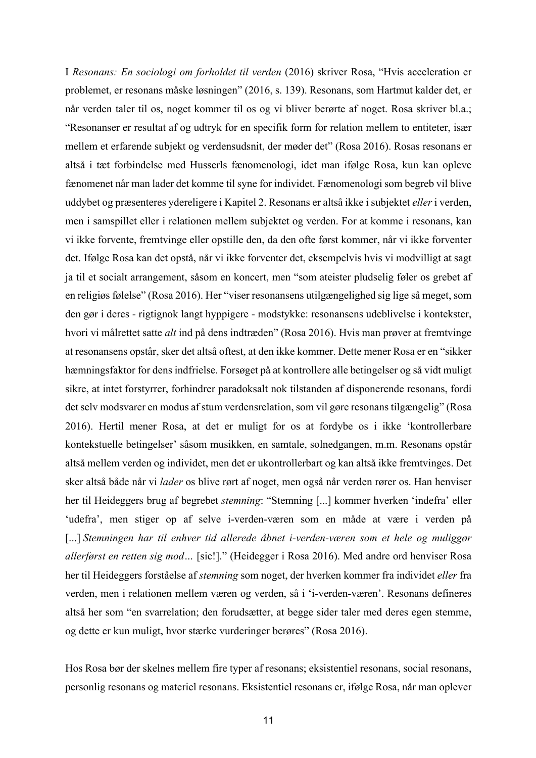I *Resonans: En sociologi om forholdet til verden* (2016) skriver Rosa, "Hvis acceleration er problemet, er resonans måske løsningen" (2016, s. 139). Resonans, som Hartmut kalder det, er når verden taler til os, noget kommer til os og vi bliver berørte af noget. Rosa skriver bl.a.; "Resonanser er resultat af og udtryk for en specifik form for relation mellem to entiteter, især mellem et erfarende subjekt og verdensudsnit, der møder det" (Rosa 2016). Rosas resonans er altså i tæt forbindelse med Husserls fænomenologi, idet man ifølge Rosa, kun kan opleve fænomenet når man lader det komme til syne for individet. Fænomenologi som begreb vil blive uddybet og præsenteres ydereligere i Kapitel 2. Resonans er altså ikke i subjektet *eller* i verden, men i samspillet eller i relationen mellem subjektet og verden. For at komme i resonans, kan vi ikke forvente, fremtvinge eller opstille den, da den ofte først kommer, når vi ikke forventer det. Ifølge Rosa kan det opstå, når vi ikke forventer det, eksempelvis hvis vi modvilligt at sagt ja til et socialt arrangement, såsom en koncert, men "som ateister pludselig føler os grebet af en religiøs følelse" (Rosa 2016). Her "viser resonansens utilgængelighed sig lige så meget, som den gør i deres - rigtignok langt hyppigere - modstykke: resonansens udeblivelse i kontekster, hvori vi målrettet satte *alt* ind på dens indtræden" (Rosa 2016). Hvis man prøver at fremtvinge at resonansens opstår, sker det altså oftest, at den ikke kommer. Dette mener Rosa er en "sikker hæmningsfaktor for dens indfrielse. Forsøget på at kontrollere alle betingelser og så vidt muligt sikre, at intet forstyrrer, forhindrer paradoksalt nok tilstanden af disponerende resonans, fordi det selv modsvarer en modus af stum verdensrelation, som vil gøre resonans tilgængelig" (Rosa 2016). Hertil mener Rosa, at det er muligt for os at fordybe os i ikke 'kontrollerbare kontekstuelle betingelser' såsom musikken, en samtale, solnedgangen, m.m. Resonans opstår altså mellem verden og individet, men det er ukontrollerbart og kan altså ikke fremtvinges. Det sker altså både når vi *lader* os blive rørt af noget, men også når verden rører os. Han henviser her til Heideggers brug af begrebet *stemning*: "Stemning [...] kommer hverken 'indefra' eller 'udefra', men stiger op af selve i-verden-væren som en måde at være i verden på [...] *Stemningen har til enhver tid allerede åbnet i-verden-væren som et hele og muliggør allerførst en retten sig mod…* [sic!]." (Heidegger i Rosa 2016). Med andre ord henviser Rosa her til Heideggers forståelse af *stemning* som noget, der hverken kommer fra individet *eller* fra verden, men i relationen mellem væren og verden, så i 'i-verden-væren'. Resonans defineres altså her som "en svarrelation; den forudsætter, at begge sider taler med deres egen stemme, og dette er kun muligt, hvor stærke vurderinger berøres" (Rosa 2016).

Hos Rosa bør der skelnes mellem fire typer af resonans; eksistentiel resonans, social resonans, personlig resonans og materiel resonans. Eksistentiel resonans er, ifølge Rosa, når man oplever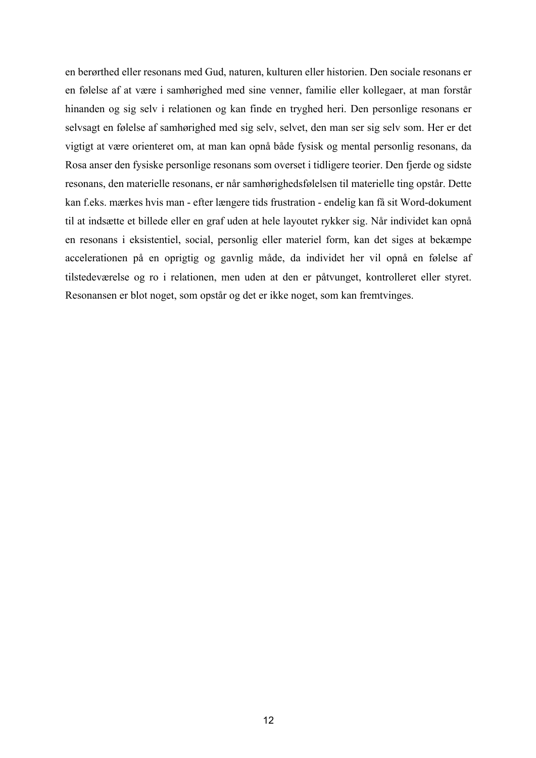en berørthed eller resonans med Gud, naturen, kulturen eller historien. Den sociale resonans er en følelse af at være i samhørighed med sine venner, familie eller kollegaer, at man forstår hinanden og sig selv i relationen og kan finde en tryghed heri. Den personlige resonans er selvsagt en følelse af samhørighed med sig selv, selvet, den man ser sig selv som. Her er det vigtigt at være orienteret om, at man kan opnå både fysisk og mental personlig resonans, da Rosa anser den fysiske personlige resonans som overset i tidligere teorier. Den fjerde og sidste resonans, den materielle resonans, er når samhørighedsfølelsen til materielle ting opstår. Dette kan f.eks. mærkes hvis man - efter længere tids frustration - endelig kan få sit Word-dokument til at indsætte et billede eller en graf uden at hele layoutet rykker sig. Når individet kan opnå en resonans i eksistentiel, social, personlig eller materiel form, kan det siges at bekæmpe accelerationen på en oprigtig og gavnlig måde, da individet her vil opnå en følelse af tilstedeværelse og ro i relationen, men uden at den er påtvunget, kontrolleret eller styret. Resonansen er blot noget, som opstår og det er ikke noget, som kan fremtvinges.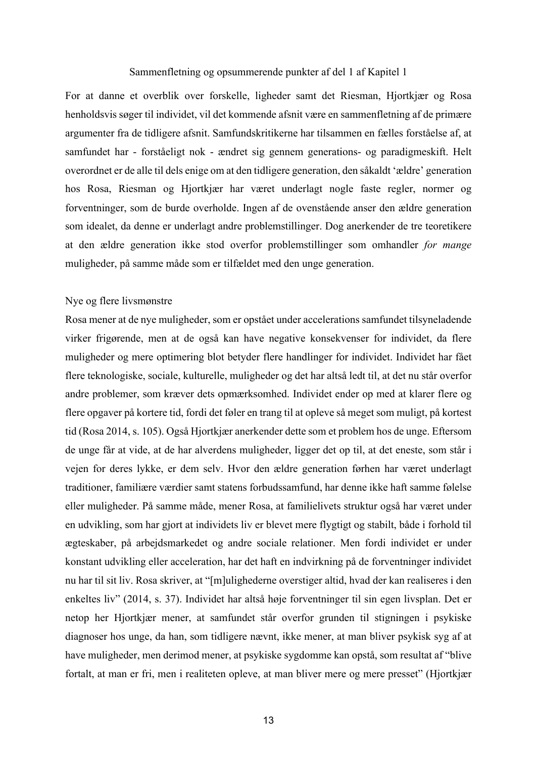#### Sammenfletning og opsummerende punkter af del 1 af Kapitel 1

For at danne et overblik over forskelle, ligheder samt det Riesman, Hjortkjær og Rosa henholdsvis søger til individet, vil det kommende afsnit være en sammenfletning af de primære argumenter fra de tidligere afsnit. Samfundskritikerne har tilsammen en fælles forståelse af, at samfundet har - forståeligt nok - ændret sig gennem generations- og paradigmeskift. Helt overordnet er de alle til dels enige om at den tidligere generation, den såkaldt 'ældre' generation hos Rosa, Riesman og Hjortkjær har været underlagt nogle faste regler, normer og forventninger, som de burde overholde. Ingen af de ovenstående anser den ældre generation som idealet, da denne er underlagt andre problemstillinger. Dog anerkender de tre teoretikere at den ældre generation ikke stod overfor problemstillinger som omhandler *for mange*  muligheder, på samme måde som er tilfældet med den unge generation.

#### Nye og flere livsmønstre

Rosa mener at de nye muligheder, som er opstået under accelerations samfundet tilsyneladende virker frigørende, men at de også kan have negative konsekvenser for individet, da flere muligheder og mere optimering blot betyder flere handlinger for individet. Individet har fået flere teknologiske, sociale, kulturelle, muligheder og det har altså ledt til, at det nu står overfor andre problemer, som kræver dets opmærksomhed. Individet ender op med at klarer flere og flere opgaver på kortere tid, fordi det føler en trang til at opleve så meget som muligt, på kortest tid (Rosa 2014, s. 105). Også Hjortkjær anerkender dette som et problem hos de unge. Eftersom de unge får at vide, at de har alverdens muligheder, ligger det op til, at det eneste, som står i vejen for deres lykke, er dem selv. Hvor den ældre generation førhen har været underlagt traditioner, familiære værdier samt statens forbudssamfund, har denne ikke haft samme følelse eller muligheder. På samme måde, mener Rosa, at familielivets struktur også har været under en udvikling, som har gjort at individets liv er blevet mere flygtigt og stabilt, både i forhold til ægteskaber, på arbejdsmarkedet og andre sociale relationer. Men fordi individet er under konstant udvikling eller acceleration, har det haft en indvirkning på de forventninger individet nu har til sit liv. Rosa skriver, at "[m]ulighederne overstiger altid, hvad der kan realiseres i den enkeltes liv" (2014, s. 37). Individet har altså høje forventninger til sin egen livsplan. Det er netop her Hjortkjær mener, at samfundet står overfor grunden til stigningen i psykiske diagnoser hos unge, da han, som tidligere nævnt, ikke mener, at man bliver psykisk syg af at have muligheder, men derimod mener, at psykiske sygdomme kan opstå, som resultat af "blive fortalt, at man er fri, men i realiteten opleve, at man bliver mere og mere presset" (Hjortkjær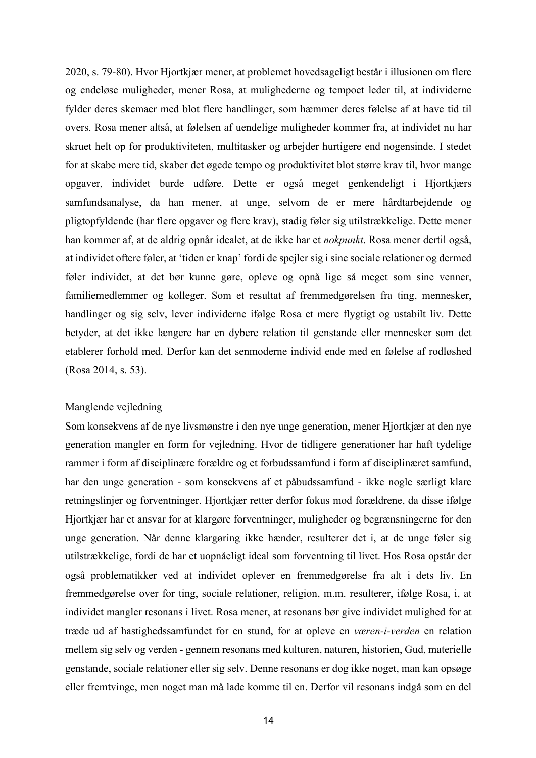2020, s. 79-80). Hvor Hjortkjær mener, at problemet hovedsageligt består i illusionen om flere og endeløse muligheder, mener Rosa, at mulighederne og tempoet leder til, at individerne fylder deres skemaer med blot flere handlinger, som hæmmer deres følelse af at have tid til overs. Rosa mener altså, at følelsen af uendelige muligheder kommer fra, at individet nu har skruet helt op for produktiviteten, multitasker og arbejder hurtigere end nogensinde. I stedet for at skabe mere tid, skaber det øgede tempo og produktivitet blot større krav til, hvor mange opgaver, individet burde udføre. Dette er også meget genkendeligt i Hjortkjærs samfundsanalyse, da han mener, at unge, selvom de er mere hårdtarbejdende og pligtopfyldende (har flere opgaver og flere krav), stadig føler sig utilstrækkelige. Dette mener han kommer af, at de aldrig opnår idealet, at de ikke har et *nokpunkt*. Rosa mener dertil også, at individet oftere føler, at 'tiden er knap' fordi de spejler sig i sine sociale relationer og dermed føler individet, at det bør kunne gøre, opleve og opnå lige så meget som sine venner, familiemedlemmer og kolleger. Som et resultat af fremmedgørelsen fra ting, mennesker, handlinger og sig selv, lever individerne ifølge Rosa et mere flygtigt og ustabilt liv. Dette betyder, at det ikke længere har en dybere relation til genstande eller mennesker som det etablerer forhold med. Derfor kan det senmoderne individ ende med en følelse af rodløshed (Rosa 2014, s. 53).

#### Manglende vejledning

Som konsekvens af de nye livsmønstre i den nye unge generation, mener Hjortkjær at den nye generation mangler en form for vejledning. Hvor de tidligere generationer har haft tydelige rammer i form af disciplinære forældre og et forbudssamfund i form af disciplinæret samfund, har den unge generation - som konsekvens af et påbudssamfund - ikke nogle særligt klare retningslinjer og forventninger. Hjortkjær retter derfor fokus mod forældrene, da disse ifølge Hjortkjær har et ansvar for at klargøre forventninger, muligheder og begrænsningerne for den unge generation. Når denne klargøring ikke hænder, resulterer det i, at de unge føler sig utilstrækkelige, fordi de har et uopnåeligt ideal som forventning til livet. Hos Rosa opstår der også problematikker ved at individet oplever en fremmedgørelse fra alt i dets liv. En fremmedgørelse over for ting, sociale relationer, religion, m.m. resulterer, ifølge Rosa, i, at individet mangler resonans i livet. Rosa mener, at resonans bør give individet mulighed for at træde ud af hastighedssamfundet for en stund, for at opleve en *væren-i-verden* en relation mellem sig selv og verden - gennem resonans med kulturen, naturen, historien, Gud, materielle genstande, sociale relationer eller sig selv. Denne resonans er dog ikke noget, man kan opsøge eller fremtvinge, men noget man må lade komme til en. Derfor vil resonans indgå som en del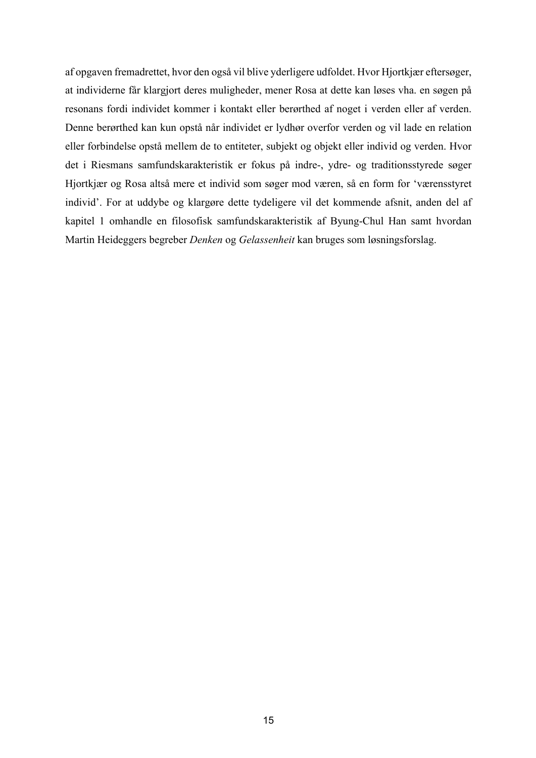af opgaven fremadrettet, hvor den også vil blive yderligere udfoldet. Hvor Hjortkjær eftersøger, at individerne får klargjort deres muligheder, mener Rosa at dette kan løses vha. en søgen på resonans fordi individet kommer i kontakt eller berørthed af noget i verden eller af verden. Denne berørthed kan kun opstå når individet er lydhør overfor verden og vil lade en relation eller forbindelse opstå mellem de to entiteter, subjekt og objekt eller individ og verden. Hvor det i Riesmans samfundskarakteristik er fokus på indre-, ydre- og traditionsstyrede søger Hjortkjær og Rosa altså mere et individ som søger mod væren, så en form for 'værensstyret individ'. For at uddybe og klargøre dette tydeligere vil det kommende afsnit, anden del af kapitel 1 omhandle en filosofisk samfundskarakteristik af Byung-Chul Han samt hvordan Martin Heideggers begreber *Denken* og *Gelassenheit* kan bruges som løsningsforslag.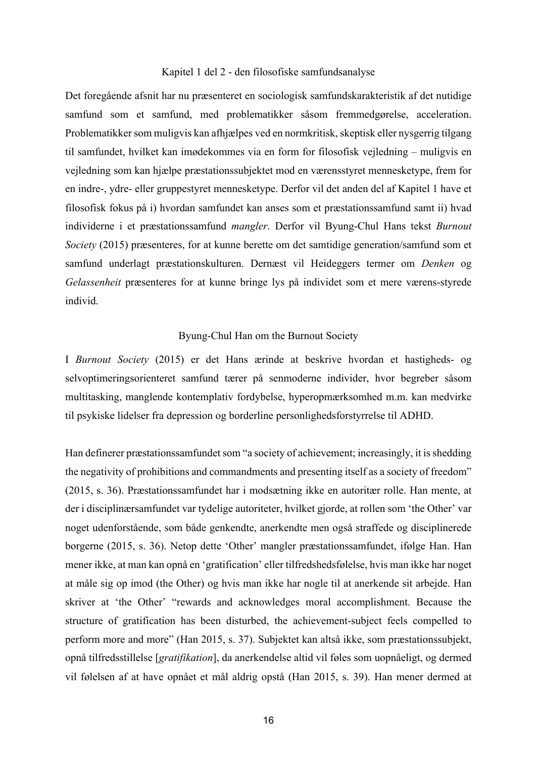#### Kapitel 1 del 2 - den filosofiske samfundsanalyse

Det foregående afsnit har nu præsenteret en sociologisk samfundskarakteristik af det nutidige samfund som et samfund, med problematikker såsom fremmedgørelse, acceleration. Problematikker som muligvis kan afhjælpes ved en normkritisk, skeptisk eller nysgerrig tilgang til samfundet, hvilket kan imødekommes via en form for filosofisk vejledning – muligvis en vejledning som kan hjælpe præstationssubjektet mod en værensstyret mennesketype, frem for en indre-, ydre- eller gruppestyret mennesketype. Derfor vil det anden del af Kapitel 1 have et filosofisk fokus på i) hvordan samfundet kan anses som et præstationssamfund samt ii) hvad individerne i et præstationssamfund *mangler*. Derfor vil Byung-Chul Hans tekst *Burnout Society* (2015) præsenteres, for at kunne berette om det samtidige generation/samfund som et samfund underlagt præstationskulturen. Dernæst vil Heideggers termer om *Denken* og *Gelassenheit* præsenteres for at kunne bringe lys på individet som et mere værens-styrede individ.

#### Byung-Chul Han om the Burnout Society

I *Burnout Society* (2015) er det Hans ærinde at beskrive hvordan et hastigheds- og selvoptimeringsorienteret samfund tærer på senmoderne individer, hvor begreber såsom multitasking, manglende kontemplativ fordybelse, hyperopmærksomhed m.m. kan medvirke til psykiske lidelser fra depression og borderline personlighedsforstyrrelse til ADHD.

Han definerer præstationssamfundet som "a society of achievement; increasingly, it is shedding the negativity of prohibitions and commandments and presenting itself as a society of freedom" (2015, s. 36). Præstationssamfundet har i modsætning ikke en autoritær rolle. Han mente, at der i disciplinærsamfundet var tydelige autoriteter, hvilket gjorde, at rollen som 'the Other' var noget udenforstående, som både genkendte, anerkendte men også straffede og disciplinerede borgerne (2015, s. 36). Netop dette 'Other' mangler præstationssamfundet, ifølge Han. Han mener ikke, at man kan opnå en 'gratification' eller tilfredshedsfølelse, hvis man ikke har noget at måle sig op imod (the Other) og hvis man ikke har nogle til at anerkende sit arbejde. Han skriver at 'the Other' "rewards and acknowledges moral accomplishment. Because the structure of gratification has been disturbed, the achievement-subject feels compelled to perform more and more" (Han 2015, s. 37). Subjektet kan altså ikke, som præstationssubjekt, opnå tilfredsstillelse [*gratifikation*], da anerkendelse altid vil føles som uopnåeligt, og dermed vil følelsen af at have opnået et mål aldrig opstå (Han 2015, s. 39). Han mener dermed at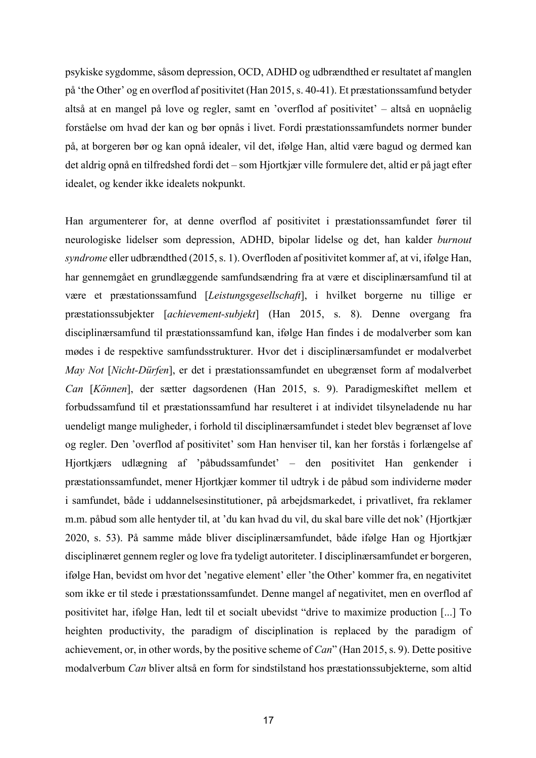psykiske sygdomme, såsom depression, OCD, ADHD og udbrændthed er resultatet af manglen på 'the Other' og en overflod af positivitet (Han 2015, s. 40-41). Et præstationssamfund betyder altså at en mangel på love og regler, samt en 'overflod af positivitet' – altså en uopnåelig forståelse om hvad der kan og bør opnås i livet. Fordi præstationssamfundets normer bunder på, at borgeren bør og kan opnå idealer, vil det, ifølge Han, altid være bagud og dermed kan det aldrig opnå en tilfredshed fordi det – som Hjortkjær ville formulere det, altid er på jagt efter idealet, og kender ikke idealets nokpunkt.

Han argumenterer for, at denne overflod af positivitet i præstationssamfundet fører til neurologiske lidelser som depression, ADHD, bipolar lidelse og det, han kalder *burnout syndrome* eller udbrændthed (2015, s. 1). Overfloden af positivitet kommer af, at vi, ifølge Han, har gennemgået en grundlæggende samfundsændring fra at være et disciplinærsamfund til at være et præstationssamfund [*Leistungsgesellschaft*], i hvilket borgerne nu tillige er præstationssubjekter [*achievement-subjekt*] (Han 2015, s. 8). Denne overgang fra disciplinærsamfund til præstationssamfund kan, ifølge Han findes i de modalverber som kan mødes i de respektive samfundsstrukturer. Hvor det i disciplinærsamfundet er modalverbet *May Not* [*Nicht-Dürfen*], er det i præstationssamfundet en ubegrænset form af modalverbet *Can* [*Können*], der sætter dagsordenen (Han 2015, s. 9). Paradigmeskiftet mellem et forbudssamfund til et præstationssamfund har resulteret i at individet tilsyneladende nu har uendeligt mange muligheder, i forhold til disciplinærsamfundet i stedet blev begrænset af love og regler. Den 'overflod af positivitet' som Han henviser til, kan her forstås i forlængelse af Hjortkjærs udlægning af 'påbudssamfundet' – den positivitet Han genkender i præstationssamfundet, mener Hjortkjær kommer til udtryk i de påbud som individerne møder i samfundet, både i uddannelsesinstitutioner, på arbejdsmarkedet, i privatlivet, fra reklamer m.m. påbud som alle hentyder til, at 'du kan hvad du vil, du skal bare ville det nok' (Hjortkjær 2020, s. 53). På samme måde bliver disciplinærsamfundet, både ifølge Han og Hjortkjær disciplinæret gennem regler og love fra tydeligt autoriteter. I disciplinærsamfundet er borgeren, ifølge Han, bevidst om hvor det 'negative element' eller 'the Other' kommer fra, en negativitet som ikke er til stede i præstationssamfundet. Denne mangel af negativitet, men en overflod af positivitet har, ifølge Han, ledt til et socialt ubevidst "drive to maximize production [...] To heighten productivity, the paradigm of disciplination is replaced by the paradigm of achievement, or, in other words, by the positive scheme of *Can*" (Han 2015, s. 9). Dette positive modalverbum *Can* bliver altså en form for sindstilstand hos præstationssubjekterne, som altid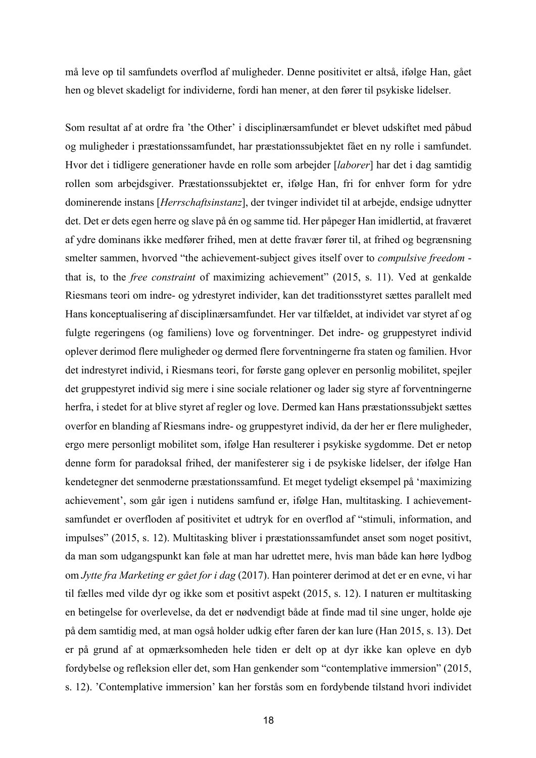må leve op til samfundets overflod af muligheder. Denne positivitet er altså, ifølge Han, gået hen og blevet skadeligt for individerne, fordi han mener, at den fører til psykiske lidelser.

Som resultat af at ordre fra 'the Other' i disciplinærsamfundet er blevet udskiftet med påbud og muligheder i præstationssamfundet, har præstationssubjektet fået en ny rolle i samfundet. Hvor det i tidligere generationer havde en rolle som arbejder [*laborer*] har det i dag samtidig rollen som arbejdsgiver. Præstationssubjektet er, ifølge Han, fri for enhver form for ydre dominerende instans [*Herrschaftsinstanz*], der tvinger individet til at arbejde, endsige udnytter det. Det er dets egen herre og slave på én og samme tid. Her påpeger Han imidlertid, at fraværet af ydre dominans ikke medfører frihed, men at dette fravær fører til, at frihed og begrænsning smelter sammen, hvorved "the achievement-subject gives itself over to *compulsive freedom*  that is, to the *free constraint* of maximizing achievement" (2015, s. 11). Ved at genkalde Riesmans teori om indre- og ydrestyret individer, kan det traditionsstyret sættes parallelt med Hans konceptualisering af disciplinærsamfundet. Her var tilfældet, at individet var styret af og fulgte regeringens (og familiens) love og forventninger. Det indre- og gruppestyret individ oplever derimod flere muligheder og dermed flere forventningerne fra staten og familien. Hvor det indrestyret individ, i Riesmans teori, for første gang oplever en personlig mobilitet, spejler det gruppestyret individ sig mere i sine sociale relationer og lader sig styre af forventningerne herfra, i stedet for at blive styret af regler og love. Dermed kan Hans præstationssubjekt sættes overfor en blanding af Riesmans indre- og gruppestyret individ, da der her er flere muligheder, ergo mere personligt mobilitet som, ifølge Han resulterer i psykiske sygdomme. Det er netop denne form for paradoksal frihed, der manifesterer sig i de psykiske lidelser, der ifølge Han kendetegner det senmoderne præstationssamfund. Et meget tydeligt eksempel på 'maximizing achievement', som går igen i nutidens samfund er, ifølge Han, multitasking. I achievementsamfundet er overfloden af positivitet et udtryk for en overflod af "stimuli, information, and impulses" (2015, s. 12). Multitasking bliver i præstationssamfundet anset som noget positivt, da man som udgangspunkt kan føle at man har udrettet mere, hvis man både kan høre lydbog om *Jytte fra Marketing er gået for i dag* (2017). Han pointerer derimod at det er en evne, vi har til fælles med vilde dyr og ikke som et positivt aspekt (2015, s. 12). I naturen er multitasking en betingelse for overlevelse, da det er nødvendigt både at finde mad til sine unger, holde øje på dem samtidig med, at man også holder udkig efter faren der kan lure (Han 2015, s. 13). Det er på grund af at opmærksomheden hele tiden er delt op at dyr ikke kan opleve en dyb fordybelse og refleksion eller det, som Han genkender som "contemplative immersion" (2015, s. 12). 'Contemplative immersion' kan her forstås som en fordybende tilstand hvori individet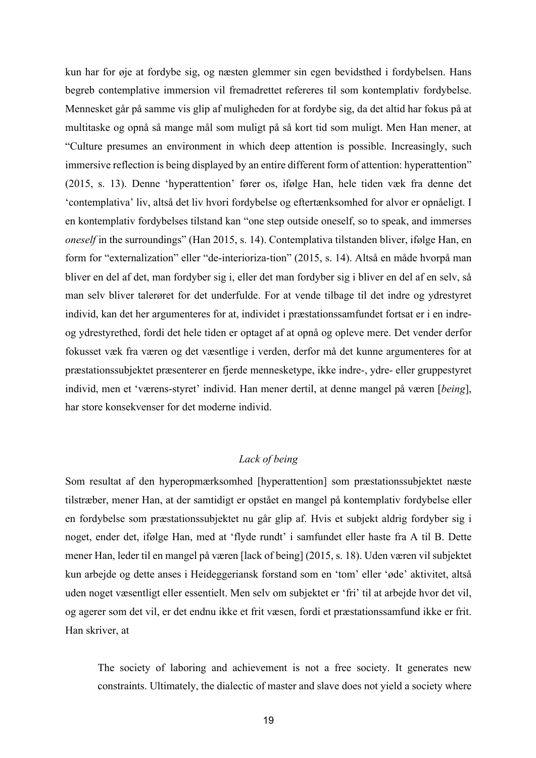kun har for øje at fordybe sig, og næsten glemmer sin egen bevidsthed i fordybelsen. Hans begreb contemplative immersion vil fremadrettet refereres til som kontemplativ fordybelse. Mennesket går på samme vis glip af muligheden for at fordybe sig, da det altid har fokus på at multitaske og opnå så mange mål som muligt på så kort tid som muligt. Men Han mener, at "Culture presumes an environment in which deep attention is possible. Increasingly, such immersive reflection is being displayed by an entire different form of attention: hyperattention" (2015, s. 13). Denne 'hyperattention' fører os, ifølge Han, hele tiden væk fra denne det 'contemplativa' liv, altså det liv hvori fordybelse og eftertænksomhed for alvor er opnåeligt. I en kontemplativ fordybelses tilstand kan "one step outside oneself, so to speak, and immerses *oneself* in the surroundings" (Han 2015, s. 14). Contemplativa tilstanden bliver, ifølge Han, en form for "externalization" eller "de-interioriza-tion" (2015, s. 14). Altså en måde hvorpå man bliver en del af det, man fordyber sig i, eller det man fordyber sig i bliver en del af en selv, så man selv bliver talerøret for det underfulde. For at vende tilbage til det indre og ydrestyret individ, kan det her argumenteres for at, individet i præstationssamfundet fortsat er i en indreog ydrestyrethed, fordi det hele tiden er optaget af at opnå og opleve mere. Det vender derfor fokusset væk fra væren og det væsentlige i verden, derfor må det kunne argumenteres for at præstationssubjektet præsenterer en fjerde mennesketype, ikke indre-, ydre- eller gruppestyret individ, men et 'værens-styret' individ. Han mener dertil, at denne mangel på væren [*being*], har store konsekvenser for det moderne individ.

# *Lack of being*

Som resultat af den hyperopmærksomhed [hyperattention] som præstationssubjektet næste tilstræber, mener Han, at der samtidigt er opstået en mangel på kontemplativ fordybelse eller en fordybelse som præstationssubjektet nu går glip af. Hvis et subjekt aldrig fordyber sig i noget, ender det, ifølge Han, med at 'flyde rundt' i samfundet eller haste fra A til B. Dette mener Han, leder til en mangel på væren [lack of being] (2015, s. 18). Uden væren vil subjektet kun arbejde og dette anses i Heideggeriansk forstand som en 'tom' eller 'øde' aktivitet, altså uden noget væsentligt eller essentielt. Men selv om subjektet er 'fri' til at arbejde hvor det vil, og agerer som det vil, er det endnu ikke et frit væsen, fordi et præstationssamfund ikke er frit. Han skriver, at

The society of laboring and achievement is not a free society. It generates new constraints. Ultimately, the dialectic of master and slave does not yield a society where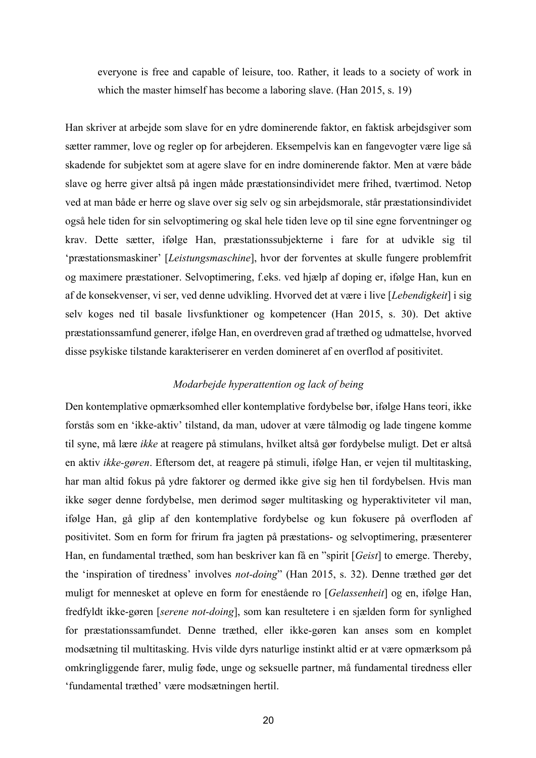everyone is free and capable of leisure, too. Rather, it leads to a society of work in which the master himself has become a laboring slave. (Han 2015, s. 19)

Han skriver at arbejde som slave for en ydre dominerende faktor, en faktisk arbejdsgiver som sætter rammer, love og regler op for arbejderen. Eksempelvis kan en fangevogter være lige så skadende for subjektet som at agere slave for en indre dominerende faktor. Men at være både slave og herre giver altså på ingen måde præstationsindividet mere frihed, tværtimod. Netop ved at man både er herre og slave over sig selv og sin arbejdsmorale, står præstationsindividet også hele tiden for sin selvoptimering og skal hele tiden leve op til sine egne forventninger og krav. Dette sætter, ifølge Han, præstationssubjekterne i fare for at udvikle sig til 'præstationsmaskiner' [*Leistungsmaschine*], hvor der forventes at skulle fungere problemfrit og maximere præstationer. Selvoptimering, f.eks. ved hjælp af doping er, ifølge Han, kun en af de konsekvenser, vi ser, ved denne udvikling. Hvorved det at være i live [*Lebendigkeit*] i sig selv koges ned til basale livsfunktioner og kompetencer (Han 2015, s. 30). Det aktive præstationssamfund generer, ifølge Han, en overdreven grad af træthed og udmattelse, hvorved disse psykiske tilstande karakteriserer en verden domineret af en overflod af positivitet.

## *Modarbejde hyperattention og lack of being*

Den kontemplative opmærksomhed eller kontemplative fordybelse bør, ifølge Hans teori, ikke forstås som en 'ikke-aktiv' tilstand, da man, udover at være tålmodig og lade tingene komme til syne, må lære *ikke* at reagere på stimulans, hvilket altså gør fordybelse muligt. Det er altså en aktiv *ikke-gøren*. Eftersom det, at reagere på stimuli, ifølge Han, er vejen til multitasking, har man altid fokus på ydre faktorer og dermed ikke give sig hen til fordybelsen. Hvis man ikke søger denne fordybelse, men derimod søger multitasking og hyperaktiviteter vil man, ifølge Han, gå glip af den kontemplative fordybelse og kun fokusere på overfloden af positivitet. Som en form for frirum fra jagten på præstations- og selvoptimering, præsenterer Han, en fundamental træthed, som han beskriver kan få en "spirit [*Geist*] to emerge. Thereby, the 'inspiration of tiredness' involves *not-doing*" (Han 2015, s. 32). Denne træthed gør det muligt for mennesket at opleve en form for enestående ro [*Gelassenheit*] og en, ifølge Han, fredfyldt ikke-gøren [*serene not-doing*], som kan resultetere i en sjælden form for synlighed for præstationssamfundet. Denne træthed, eller ikke-gøren kan anses som en komplet modsætning til multitasking. Hvis vilde dyrs naturlige instinkt altid er at være opmærksom på omkringliggende farer, mulig føde, unge og seksuelle partner, må fundamental tiredness eller 'fundamental træthed' være modsætningen hertil.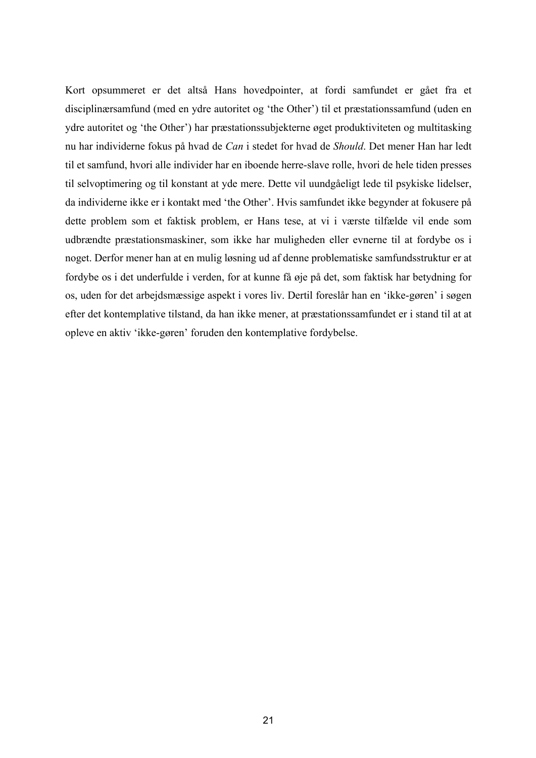Kort opsummeret er det altså Hans hovedpointer, at fordi samfundet er gået fra et disciplinærsamfund (med en ydre autoritet og 'the Other') til et præstationssamfund (uden en ydre autoritet og 'the Other') har præstationssubjekterne øget produktiviteten og multitasking nu har individerne fokus på hvad de *Can* i stedet for hvad de *Should*. Det mener Han har ledt til et samfund, hvori alle individer har en iboende herre-slave rolle, hvori de hele tiden presses til selvoptimering og til konstant at yde mere. Dette vil uundgåeligt lede til psykiske lidelser, da individerne ikke er i kontakt med 'the Other'. Hvis samfundet ikke begynder at fokusere på dette problem som et faktisk problem, er Hans tese, at vi i værste tilfælde vil ende som udbrændte præstationsmaskiner, som ikke har muligheden eller evnerne til at fordybe os i noget. Derfor mener han at en mulig løsning ud af denne problematiske samfundsstruktur er at fordybe os i det underfulde i verden, for at kunne få øje på det, som faktisk har betydning for os, uden for det arbejdsmæssige aspekt i vores liv. Dertil foreslår han en 'ikke-gøren' i søgen efter det kontemplative tilstand, da han ikke mener, at præstationssamfundet er i stand til at at opleve en aktiv 'ikke-gøren' foruden den kontemplative fordybelse.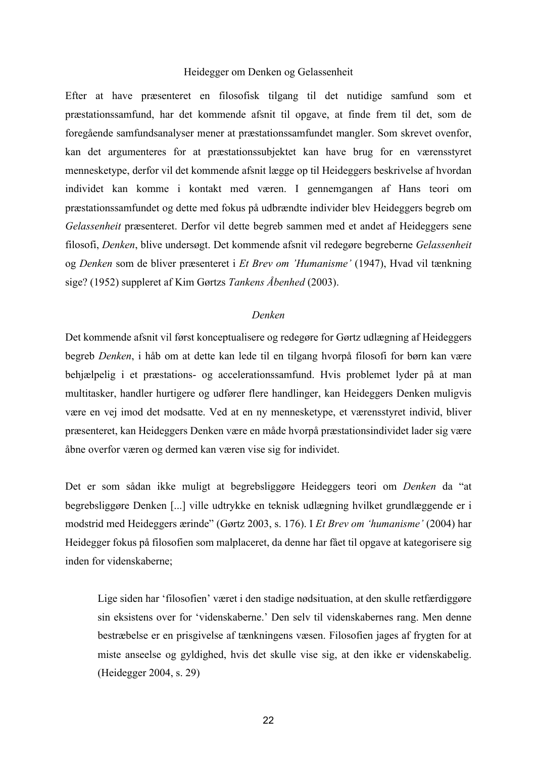#### Heidegger om Denken og Gelassenheit

Efter at have præsenteret en filosofisk tilgang til det nutidige samfund som et præstationssamfund, har det kommende afsnit til opgave, at finde frem til det, som de foregående samfundsanalyser mener at præstationssamfundet mangler. Som skrevet ovenfor, kan det argumenteres for at præstationssubjektet kan have brug for en værensstyret mennesketype, derfor vil det kommende afsnit lægge op til Heideggers beskrivelse af hvordan individet kan komme i kontakt med væren. I gennemgangen af Hans teori om præstationssamfundet og dette med fokus på udbrændte individer blev Heideggers begreb om *Gelassenheit* præsenteret. Derfor vil dette begreb sammen med et andet af Heideggers sene filosofi, *Denken*, blive undersøgt. Det kommende afsnit vil redegøre begreberne *Gelassenheit*  og *Denken* som de bliver præsenteret i *Et Brev om 'Humanisme'* (1947), Hvad vil tænkning sige? (1952) suppleret af Kim Gørtzs *Tankens Åbenhed* (2003).

## *Denken*

Det kommende afsnit vil først konceptualisere og redegøre for Gørtz udlægning af Heideggers begreb *Denken*, i håb om at dette kan lede til en tilgang hvorpå filosofi for børn kan være behjælpelig i et præstations- og accelerationssamfund. Hvis problemet lyder på at man multitasker, handler hurtigere og udfører flere handlinger, kan Heideggers Denken muligvis være en vej imod det modsatte. Ved at en ny mennesketype, et værensstyret individ, bliver præsenteret, kan Heideggers Denken være en måde hvorpå præstationsindividet lader sig være åbne overfor væren og dermed kan væren vise sig for individet.

Det er som sådan ikke muligt at begrebsliggøre Heideggers teori om *Denken* da "at begrebsliggøre Denken [...] ville udtrykke en teknisk udlægning hvilket grundlæggende er i modstrid med Heideggers ærinde" (Gørtz 2003, s. 176). I *Et Brev om 'humanisme'* (2004) har Heidegger fokus på filosofien som malplaceret, da denne har fået til opgave at kategorisere sig inden for videnskaberne;

Lige siden har 'filosofien' været i den stadige nødsituation, at den skulle retfærdiggøre sin eksistens over for 'videnskaberne.' Den selv til videnskabernes rang. Men denne bestræbelse er en prisgivelse af tænkningens væsen. Filosofien jages af frygten for at miste anseelse og gyldighed, hvis det skulle vise sig, at den ikke er videnskabelig. (Heidegger 2004, s. 29)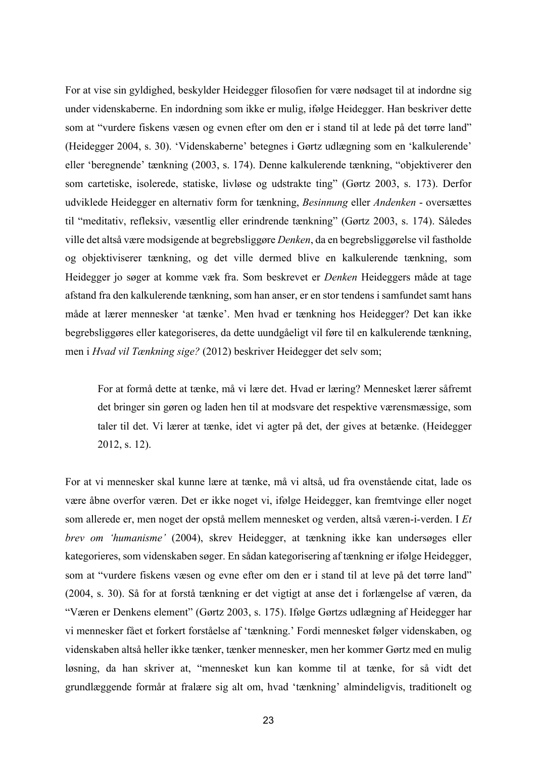For at vise sin gyldighed, beskylder Heidegger filosofien for være nødsaget til at indordne sig under videnskaberne. En indordning som ikke er mulig, ifølge Heidegger. Han beskriver dette som at "vurdere fiskens væsen og evnen efter om den er i stand til at lede på det tørre land" (Heidegger 2004, s. 30). 'Videnskaberne' betegnes i Gørtz udlægning som en 'kalkulerende' eller 'beregnende' tænkning (2003, s. 174). Denne kalkulerende tænkning, "objektiverer den som cartetiske, isolerede, statiske, livløse og udstrakte ting" (Gørtz 2003, s. 173). Derfor udviklede Heidegger en alternativ form for tænkning, *Besinnung* eller *Andenken* - oversættes til "meditativ, refleksiv, væsentlig eller erindrende tænkning" (Gørtz 2003, s. 174). Således ville det altså være modsigende at begrebsliggøre *Denken*, da en begrebsliggørelse vil fastholde og objektiviserer tænkning, og det ville dermed blive en kalkulerende tænkning, som Heidegger jo søger at komme væk fra. Som beskrevet er *Denken* Heideggers måde at tage afstand fra den kalkulerende tænkning, som han anser, er en stor tendens i samfundet samt hans måde at lærer mennesker 'at tænke'. Men hvad er tænkning hos Heidegger? Det kan ikke begrebsliggøres eller kategoriseres, da dette uundgåeligt vil føre til en kalkulerende tænkning, men i *Hvad vil Tænkning sige?* (2012) beskriver Heidegger det selv som;

For at formå dette at tænke, må vi lære det. Hvad er læring? Mennesket lærer såfremt det bringer sin gøren og laden hen til at modsvare det respektive værensmæssige, som taler til det. Vi lærer at tænke, idet vi agter på det, der gives at betænke. (Heidegger 2012, s. 12).

For at vi mennesker skal kunne lære at tænke, må vi altså, ud fra ovenstående citat, lade os være åbne overfor væren. Det er ikke noget vi, ifølge Heidegger, kan fremtvinge eller noget som allerede er, men noget der opstå mellem mennesket og verden, altså væren-i-verden. I *Et brev om 'humanisme'* (2004), skrev Heidegger, at tænkning ikke kan undersøges eller kategorieres, som videnskaben søger. En sådan kategorisering af tænkning er ifølge Heidegger, som at "vurdere fiskens væsen og evne efter om den er i stand til at leve på det tørre land" (2004, s. 30). Så for at forstå tænkning er det vigtigt at anse det i forlængelse af væren, da "Væren er Denkens element" (Gørtz 2003, s. 175). Ifølge Gørtzs udlægning af Heidegger har vi mennesker fået et forkert forståelse af 'tænkning.' Fordi mennesket følger videnskaben, og videnskaben altså heller ikke tænker, tænker mennesker, men her kommer Gørtz med en mulig løsning, da han skriver at, "mennesket kun kan komme til at tænke, for så vidt det grundlæggende formår at fralære sig alt om, hvad 'tænkning' almindeligvis, traditionelt og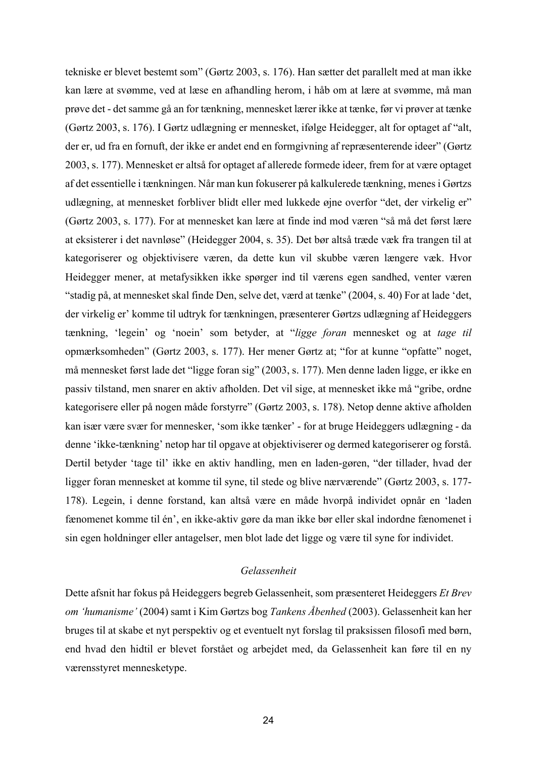tekniske er blevet bestemt som" (Gørtz 2003, s. 176). Han sætter det parallelt med at man ikke kan lære at svømme, ved at læse en afhandling herom, i håb om at lære at svømme, må man prøve det - det samme gå an for tænkning, mennesket lærer ikke at tænke, før vi prøver at tænke (Gørtz 2003, s. 176). I Gørtz udlægning er mennesket, ifølge Heidegger, alt for optaget af "alt, der er, ud fra en fornuft, der ikke er andet end en formgivning af repræsenterende ideer" (Gørtz 2003, s. 177). Mennesket er altså for optaget af allerede formede ideer, frem for at være optaget af det essentielle i tænkningen. Når man kun fokuserer på kalkulerede tænkning, menes i Gørtzs udlægning, at mennesket forbliver blidt eller med lukkede øjne overfor "det, der virkelig er" (Gørtz 2003, s. 177). For at mennesket kan lære at finde ind mod væren "så må det først lære at eksisterer i det navnløse" (Heidegger 2004, s. 35). Det bør altså træde væk fra trangen til at kategoriserer og objektivisere væren, da dette kun vil skubbe væren længere væk. Hvor Heidegger mener, at metafysikken ikke spørger ind til værens egen sandhed, venter væren "stadig på, at mennesket skal finde Den, selve det, værd at tænke" (2004, s. 40) For at lade 'det, der virkelig er' komme til udtryk for tænkningen, præsenterer Gørtzs udlægning af Heideggers tænkning, 'legein' og 'noein' som betyder, at "*ligge foran* mennesket og at *tage til*  opmærksomheden" (Gørtz 2003, s. 177). Her mener Gørtz at; "for at kunne "opfatte" noget, må mennesket først lade det "ligge foran sig" (2003, s. 177). Men denne laden ligge, er ikke en passiv tilstand, men snarer en aktiv afholden. Det vil sige, at mennesket ikke må "gribe, ordne kategorisere eller på nogen måde forstyrre" (Gørtz 2003, s. 178). Netop denne aktive afholden kan især være svær for mennesker, 'som ikke tænker' - for at bruge Heideggers udlægning - da denne 'ikke-tænkning' netop har til opgave at objektiviserer og dermed kategoriserer og forstå. Dertil betyder 'tage til' ikke en aktiv handling, men en laden-gøren, "der tillader, hvad der ligger foran mennesket at komme til syne, til stede og blive nærværende" (Gørtz 2003, s. 177- 178). Legein, i denne forstand, kan altså være en måde hvorpå individet opnår en 'laden fænomenet komme til én', en ikke-aktiv gøre da man ikke bør eller skal indordne fænomenet i sin egen holdninger eller antagelser, men blot lade det ligge og være til syne for individet.

#### *Gelassenheit*

Dette afsnit har fokus på Heideggers begreb Gelassenheit, som præsenteret Heideggers *Et Brev om 'humanisme'* (2004) samt i Kim Gørtzs bog *Tankens Åbenhed* (2003). Gelassenheit kan her bruges til at skabe et nyt perspektiv og et eventuelt nyt forslag til praksissen filosofi med børn, end hvad den hidtil er blevet forstået og arbejdet med, da Gelassenheit kan føre til en ny værensstyret mennesketype.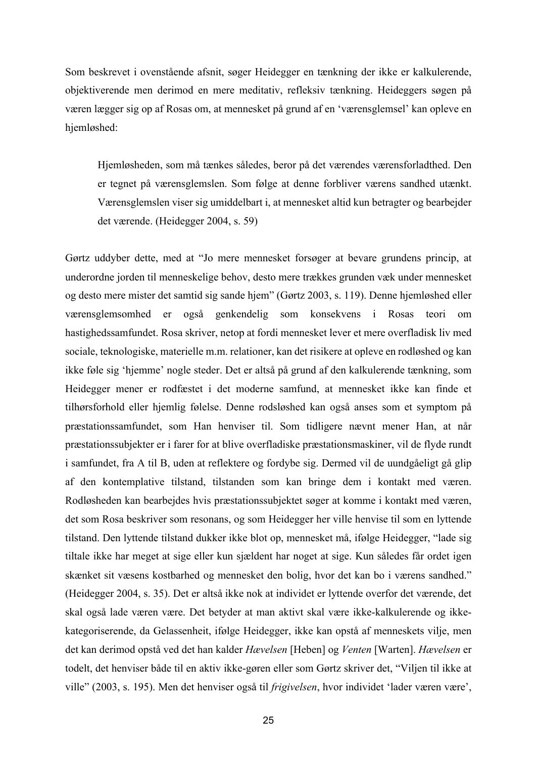Som beskrevet i ovenstående afsnit, søger Heidegger en tænkning der ikke er kalkulerende, objektiverende men derimod en mere meditativ, refleksiv tænkning. Heideggers søgen på væren lægger sig op af Rosas om, at mennesket på grund af en 'værensglemsel' kan opleve en hjemløshed:

Hjemløsheden, som må tænkes således, beror på det værendes værensforladthed. Den er tegnet på værensglemslen. Som følge at denne forbliver værens sandhed utænkt. Værensglemslen viser sig umiddelbart i, at mennesket altid kun betragter og bearbejder det værende. (Heidegger 2004, s. 59)

Gørtz uddyber dette, med at "Jo mere mennesket forsøger at bevare grundens princip, at underordne jorden til menneskelige behov, desto mere trækkes grunden væk under mennesket og desto mere mister det samtid sig sande hjem" (Gørtz 2003, s. 119). Denne hjemløshed eller værensglemsomhed er også genkendelig som konsekvens i Rosas teori om hastighedssamfundet. Rosa skriver, netop at fordi mennesket lever et mere overfladisk liv med sociale, teknologiske, materielle m.m. relationer, kan det risikere at opleve en rodløshed og kan ikke føle sig 'hjemme' nogle steder. Det er altså på grund af den kalkulerende tænkning, som Heidegger mener er rodfæstet i det moderne samfund, at mennesket ikke kan finde et tilhørsforhold eller hjemlig følelse. Denne rodsløshed kan også anses som et symptom på præstationssamfundet, som Han henviser til. Som tidligere nævnt mener Han, at når præstationssubjekter er i farer for at blive overfladiske præstationsmaskiner, vil de flyde rundt i samfundet, fra A til B, uden at reflektere og fordybe sig. Dermed vil de uundgåeligt gå glip af den kontemplative tilstand, tilstanden som kan bringe dem i kontakt med væren. Rodløsheden kan bearbejdes hvis præstationssubjektet søger at komme i kontakt med væren, det som Rosa beskriver som resonans, og som Heidegger her ville henvise til som en lyttende tilstand. Den lyttende tilstand dukker ikke blot op, mennesket må, ifølge Heidegger, "lade sig tiltale ikke har meget at sige eller kun sjældent har noget at sige. Kun således får ordet igen skænket sit væsens kostbarhed og mennesket den bolig, hvor det kan bo i værens sandhed." (Heidegger 2004, s. 35). Det er altså ikke nok at individet er lyttende overfor det værende, det skal også lade væren være. Det betyder at man aktivt skal være ikke-kalkulerende og ikkekategoriserende, da Gelassenheit, ifølge Heidegger, ikke kan opstå af menneskets vilje, men det kan derimod opstå ved det han kalder *Hævelsen* [Heben] og *Venten* [Warten]. *Hævelsen* er todelt, det henviser både til en aktiv ikke-gøren eller som Gørtz skriver det, "Viljen til ikke at ville" (2003, s. 195). Men det henviser også til *frigivelsen*, hvor individet 'lader væren være',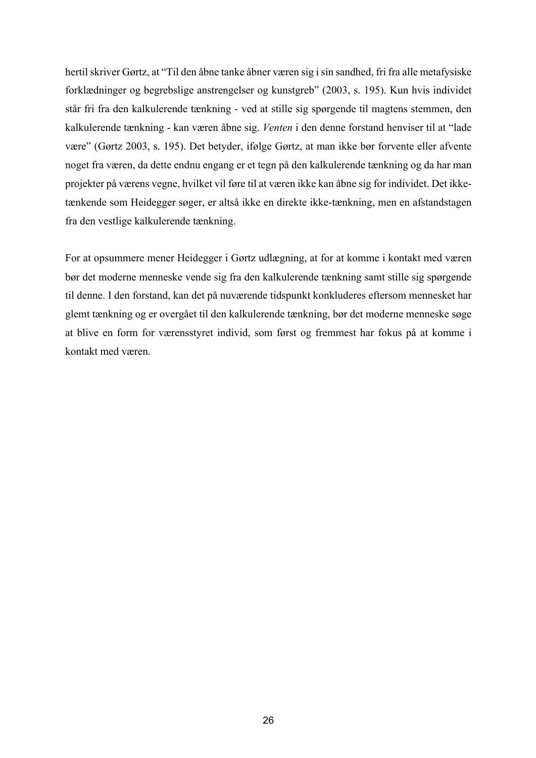hertil skriver Gørtz, at "Til den åbne tanke åbner væren sig i sin sandhed, fri fra alle metafysiske forklædninger og begrebslige anstrengelser og kunstgreb" (2003, s. 195). Kun hvis individet står fri fra den kalkulerende tænkning - ved at stille sig spørgende til magtens stemmen, den kalkulerende tænkning - kan væren åbne sig. *Venten* i den denne forstand henviser til at "lade være" (Gørtz 2003, s. 195). Det betyder, ifølge Gørtz, at man ikke bør forvente eller afvente noget fra væren, da dette endnu engang er et tegn på den kalkulerende tænkning og da har man projekter på værens vegne, hvilket vil føre til at væren ikke kan åbne sig for individet. Det ikketænkende som Heidegger søger, er altså ikke en direkte ikke-tænkning, men en afstandstagen fra den vestlige kalkulerende tænkning.

For at opsummere mener Heidegger i Gørtz udlægning, at for at komme i kontakt med væren bør det moderne menneske vende sig fra den kalkulerende tænkning samt stille sig spørgende til denne. I den forstand, kan det på nuværende tidspunkt konkluderes eftersom mennesket har glemt tænkning og er overgået til den kalkulerende tænkning, bør det moderne menneske søge at blive en form for værensstyret individ, som først og fremmest har fokus på at komme i kontakt med væren.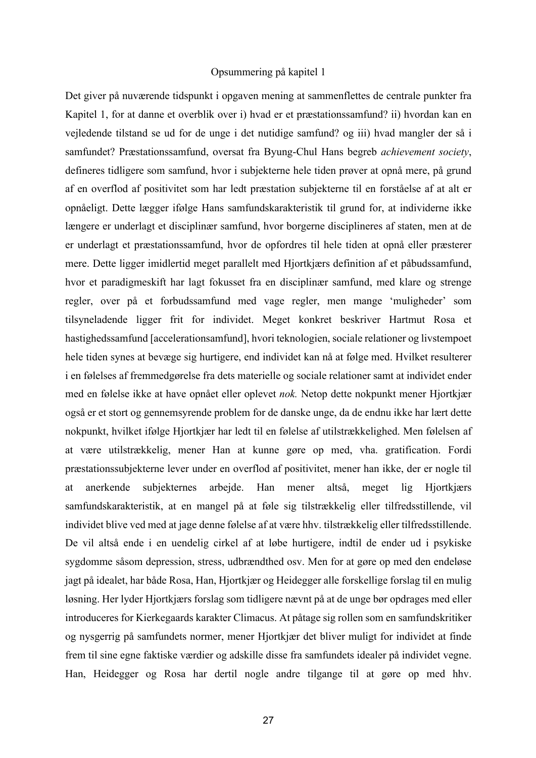#### Opsummering på kapitel 1

Det giver på nuværende tidspunkt i opgaven mening at sammenflettes de centrale punkter fra Kapitel 1, for at danne et overblik over i) hvad er et præstationssamfund? ii) hvordan kan en vejledende tilstand se ud for de unge i det nutidige samfund? og iii) hvad mangler der så i samfundet? Præstationssamfund, oversat fra Byung-Chul Hans begreb *achievement society*, defineres tidligere som samfund, hvor i subjekterne hele tiden prøver at opnå mere, på grund af en overflod af positivitet som har ledt præstation subjekterne til en forståelse af at alt er opnåeligt. Dette lægger ifølge Hans samfundskarakteristik til grund for, at individerne ikke længere er underlagt et disciplinær samfund, hvor borgerne disciplineres af staten, men at de er underlagt et præstationssamfund, hvor de opfordres til hele tiden at opnå eller præsterer mere. Dette ligger imidlertid meget parallelt med Hjortkjærs definition af et påbudssamfund, hvor et paradigmeskift har lagt fokusset fra en disciplinær samfund, med klare og strenge regler, over på et forbudssamfund med vage regler, men mange 'muligheder' som tilsyneladende ligger frit for individet. Meget konkret beskriver Hartmut Rosa et hastighedssamfund [accelerationsamfund], hvori teknologien, sociale relationer og livstempoet hele tiden synes at bevæge sig hurtigere, end individet kan nå at følge med. Hvilket resulterer i en følelses af fremmedgørelse fra dets materielle og sociale relationer samt at individet ender med en følelse ikke at have opnået eller oplevet *nok.* Netop dette nokpunkt mener Hjortkjær også er et stort og gennemsyrende problem for de danske unge, da de endnu ikke har lært dette nokpunkt, hvilket ifølge Hjortkjær har ledt til en følelse af utilstrækkelighed. Men følelsen af at være utilstrækkelig, mener Han at kunne gøre op med, vha. gratification. Fordi præstationssubjekterne lever under en overflod af positivitet, mener han ikke, der er nogle til at anerkende subjekternes arbejde. Han mener altså, meget lig Hjortkjærs samfundskarakteristik, at en mangel på at føle sig tilstrækkelig eller tilfredsstillende, vil individet blive ved med at jage denne følelse af at være hhv. tilstrækkelig eller tilfredsstillende. De vil altså ende i en uendelig cirkel af at løbe hurtigere, indtil de ender ud i psykiske sygdomme såsom depression, stress, udbrændthed osv. Men for at gøre op med den endeløse jagt på idealet, har både Rosa, Han, Hjortkjær og Heidegger alle forskellige forslag til en mulig løsning. Her lyder Hjortkjærs forslag som tidligere nævnt på at de unge bør opdrages med eller introduceres for Kierkegaards karakter Climacus. At påtage sig rollen som en samfundskritiker og nysgerrig på samfundets normer, mener Hjortkjær det bliver muligt for individet at finde frem til sine egne faktiske værdier og adskille disse fra samfundets idealer på individet vegne. Han, Heidegger og Rosa har dertil nogle andre tilgange til at gøre op med hhv.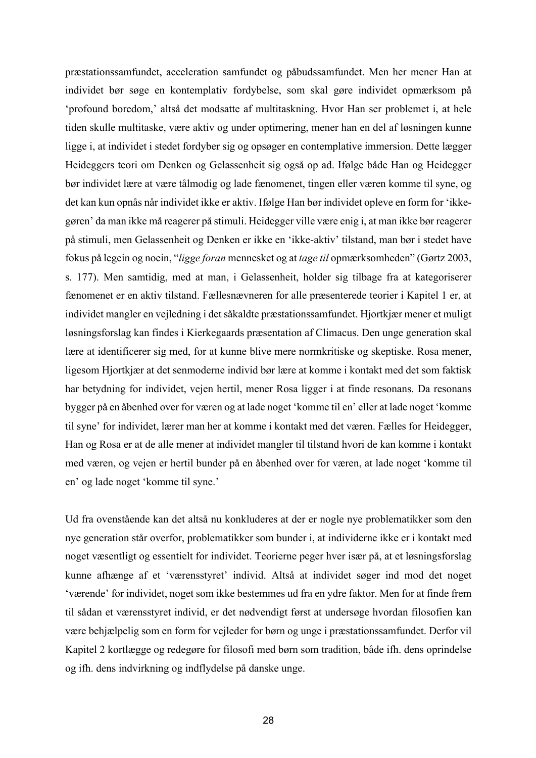præstationssamfundet, acceleration samfundet og påbudssamfundet. Men her mener Han at individet bør søge en kontemplativ fordybelse, som skal gøre individet opmærksom på 'profound boredom,' altså det modsatte af multitaskning. Hvor Han ser problemet i, at hele tiden skulle multitaske, være aktiv og under optimering, mener han en del af løsningen kunne ligge i, at individet i stedet fordyber sig og opsøger en contemplative immersion. Dette lægger Heideggers teori om Denken og Gelassenheit sig også op ad. Ifølge både Han og Heidegger bør individet lære at være tålmodig og lade fænomenet, tingen eller væren komme til syne, og det kan kun opnås når individet ikke er aktiv. Ifølge Han bør individet opleve en form for 'ikkegøren' da man ikke må reagerer på stimuli. Heidegger ville være enig i, at man ikke bør reagerer på stimuli, men Gelassenheit og Denken er ikke en 'ikke-aktiv' tilstand, man bør i stedet have fokus på legein og noein, "*ligge foran* mennesket og at *tage til* opmærksomheden" (Gørtz 2003, s. 177). Men samtidig, med at man, i Gelassenheit, holder sig tilbage fra at kategoriserer fænomenet er en aktiv tilstand. Fællesnævneren for alle præsenterede teorier i Kapitel 1 er, at individet mangler en vejledning i det såkaldte præstationssamfundet. Hjortkjær mener et muligt løsningsforslag kan findes i Kierkegaards præsentation af Climacus. Den unge generation skal lære at identificerer sig med, for at kunne blive mere normkritiske og skeptiske. Rosa mener, ligesom Hjortkjær at det senmoderne individ bør lære at komme i kontakt med det som faktisk har betydning for individet, vejen hertil, mener Rosa ligger i at finde resonans. Da resonans bygger på en åbenhed over for væren og at lade noget 'komme til en' eller at lade noget 'komme til syne' for individet, lærer man her at komme i kontakt med det væren. Fælles for Heidegger, Han og Rosa er at de alle mener at individet mangler til tilstand hvori de kan komme i kontakt med væren, og vejen er hertil bunder på en åbenhed over for væren, at lade noget 'komme til en' og lade noget 'komme til syne.'

Ud fra ovenstående kan det altså nu konkluderes at der er nogle nye problematikker som den nye generation står overfor, problematikker som bunder i, at individerne ikke er i kontakt med noget væsentligt og essentielt for individet. Teorierne peger hver især på, at et løsningsforslag kunne afhænge af et 'værensstyret' individ. Altså at individet søger ind mod det noget 'værende' for individet, noget som ikke bestemmes ud fra en ydre faktor. Men for at finde frem til sådan et værensstyret individ, er det nødvendigt først at undersøge hvordan filosofien kan være behjælpelig som en form for vejleder for børn og unge i præstationssamfundet. Derfor vil Kapitel 2 kortlægge og redegøre for filosofi med børn som tradition, både ifh. dens oprindelse og ifh. dens indvirkning og indflydelse på danske unge.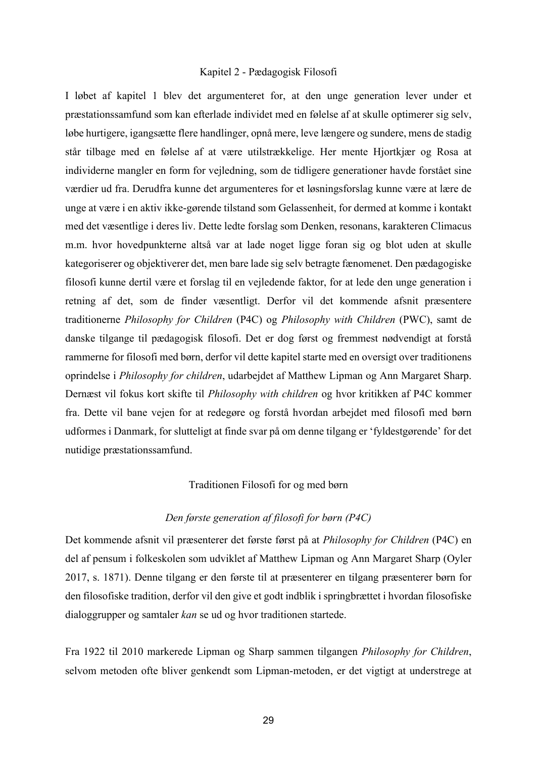#### Kapitel 2 - Pædagogisk Filosofi

I løbet af kapitel 1 blev det argumenteret for, at den unge generation lever under et præstationssamfund som kan efterlade individet med en følelse af at skulle optimerer sig selv, løbe hurtigere, igangsætte flere handlinger, opnå mere, leve længere og sundere, mens de stadig står tilbage med en følelse af at være utilstrækkelige. Her mente Hjortkjær og Rosa at individerne mangler en form for vejledning, som de tidligere generationer havde forstået sine værdier ud fra. Derudfra kunne det argumenteres for et løsningsforslag kunne være at lære de unge at være i en aktiv ikke-gørende tilstand som Gelassenheit, for dermed at komme i kontakt med det væsentlige i deres liv. Dette ledte forslag som Denken, resonans, karakteren Climacus m.m. hvor hovedpunkterne altså var at lade noget ligge foran sig og blot uden at skulle kategoriserer og objektiverer det, men bare lade sig selv betragte fænomenet. Den pædagogiske filosofi kunne dertil være et forslag til en vejledende faktor, for at lede den unge generation i retning af det, som de finder væsentligt. Derfor vil det kommende afsnit præsentere traditionerne *Philosophy for Children* (P4C) og *Philosophy with Children* (PWC), samt de danske tilgange til pædagogisk filosofi. Det er dog først og fremmest nødvendigt at forstå rammerne for filosofi med børn, derfor vil dette kapitel starte med en oversigt over traditionens oprindelse i *Philosophy for children*, udarbejdet af Matthew Lipman og Ann Margaret Sharp. Dernæst vil fokus kort skifte til *Philosophy with children* og hvor kritikken af P4C kommer fra. Dette vil bane vejen for at redegøre og forstå hvordan arbejdet med filosofi med børn udformes i Danmark, for slutteligt at finde svar på om denne tilgang er 'fyldestgørende' for det nutidige præstationssamfund.

#### Traditionen Filosofi for og med børn

# *Den første generation af filosofi for børn (P4C)*

Det kommende afsnit vil præsenterer det første først på at *Philosophy for Children* (P4C) en del af pensum i folkeskolen som udviklet af Matthew Lipman og Ann Margaret Sharp (Oyler 2017, s. 1871). Denne tilgang er den første til at præsenterer en tilgang præsenterer børn for den filosofiske tradition, derfor vil den give et godt indblik i springbrættet i hvordan filosofiske dialoggrupper og samtaler *kan* se ud og hvor traditionen startede.

Fra 1922 til 2010 markerede Lipman og Sharp sammen tilgangen *Philosophy for Children*, selvom metoden ofte bliver genkendt som Lipman-metoden, er det vigtigt at understrege at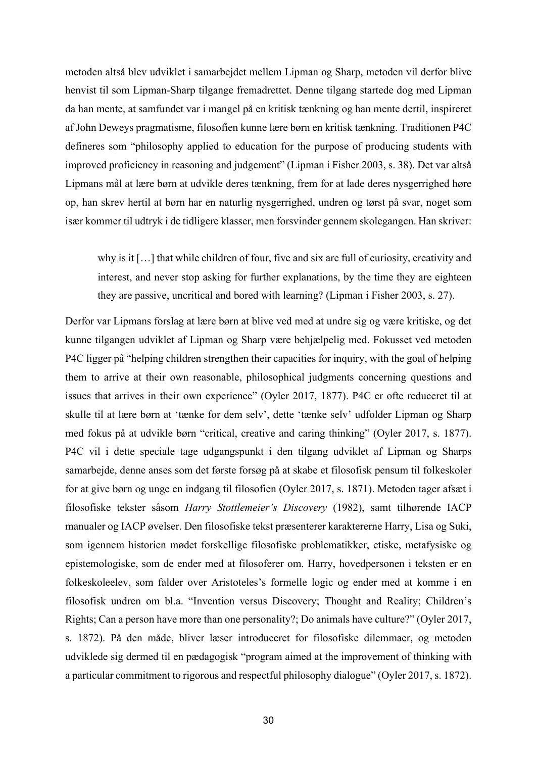metoden altså blev udviklet i samarbejdet mellem Lipman og Sharp, metoden vil derfor blive henvist til som Lipman-Sharp tilgange fremadrettet. Denne tilgang startede dog med Lipman da han mente, at samfundet var i mangel på en kritisk tænkning og han mente dertil, inspireret af John Deweys pragmatisme, filosofien kunne lære børn en kritisk tænkning. Traditionen P4C defineres som "philosophy applied to education for the purpose of producing students with improved proficiency in reasoning and judgement" (Lipman i Fisher 2003, s. 38). Det var altså Lipmans mål at lære børn at udvikle deres tænkning, frem for at lade deres nysgerrighed høre op, han skrev hertil at børn har en naturlig nysgerrighed, undren og tørst på svar, noget som især kommer til udtryk i de tidligere klasser, men forsvinder gennem skolegangen. Han skriver:

why is it […] that while children of four, five and six are full of curiosity, creativity and interest, and never stop asking for further explanations, by the time they are eighteen they are passive, uncritical and bored with learning? (Lipman i Fisher 2003, s. 27).

Derfor var Lipmans forslag at lære børn at blive ved med at undre sig og være kritiske, og det kunne tilgangen udviklet af Lipman og Sharp være behjælpelig med. Fokusset ved metoden P4C ligger på "helping children strengthen their capacities for inquiry, with the goal of helping them to arrive at their own reasonable, philosophical judgments concerning questions and issues that arrives in their own experience" (Oyler 2017, 1877). P4C er ofte reduceret til at skulle til at lære børn at 'tænke for dem selv', dette 'tænke selv' udfolder Lipman og Sharp med fokus på at udvikle børn "critical, creative and caring thinking" (Oyler 2017, s. 1877). P4C vil i dette speciale tage udgangspunkt i den tilgang udviklet af Lipman og Sharps samarbejde, denne anses som det første forsøg på at skabe et filosofisk pensum til folkeskoler for at give børn og unge en indgang til filosofien (Oyler 2017, s. 1871). Metoden tager afsæt i filosofiske tekster såsom *Harry Stottlemeier's Discovery* (1982), samt tilhørende IACP manualer og IACP øvelser. Den filosofiske tekst præsenterer karaktererne Harry, Lisa og Suki, som igennem historien mødet forskellige filosofiske problematikker, etiske, metafysiske og epistemologiske, som de ender med at filosoferer om. Harry, hovedpersonen i teksten er en folkeskoleelev, som falder over Aristoteles's formelle logic og ender med at komme i en filosofisk undren om bl.a. "Invention versus Discovery; Thought and Reality; Children's Rights; Can a person have more than one personality?; Do animals have culture?" (Oyler 2017, s. 1872). På den måde, bliver læser introduceret for filosofiske dilemmaer, og metoden udviklede sig dermed til en pædagogisk "program aimed at the improvement of thinking with a particular commitment to rigorous and respectful philosophy dialogue" (Oyler 2017, s. 1872).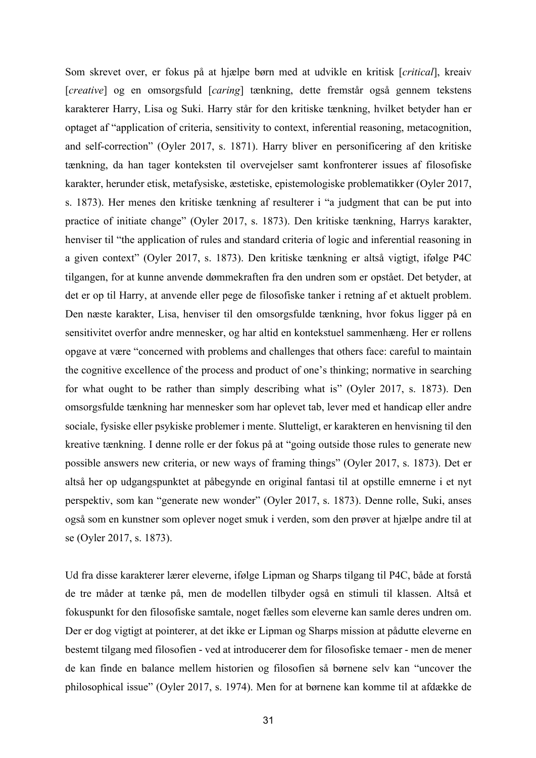Som skrevet over, er fokus på at hjælpe børn med at udvikle en kritisk [*critical*], kreaiv [*creative*] og en omsorgsfuld [*caring*] tænkning, dette fremstår også gennem tekstens karakterer Harry, Lisa og Suki. Harry står for den kritiske tænkning, hvilket betyder han er optaget af "application of criteria, sensitivity to context, inferential reasoning, metacognition, and self-correction" (Oyler 2017, s. 1871). Harry bliver en personificering af den kritiske tænkning, da han tager konteksten til overvejelser samt konfronterer issues af filosofiske karakter, herunder etisk, metafysiske, æstetiske, epistemologiske problematikker (Oyler 2017, s. 1873). Her menes den kritiske tænkning af resulterer i "a judgment that can be put into practice of initiate change" (Oyler 2017, s. 1873). Den kritiske tænkning, Harrys karakter, henviser til "the application of rules and standard criteria of logic and inferential reasoning in a given context" (Oyler 2017, s. 1873). Den kritiske tænkning er altså vigtigt, ifølge P4C tilgangen, for at kunne anvende dømmekraften fra den undren som er opstået. Det betyder, at det er op til Harry, at anvende eller pege de filosofiske tanker i retning af et aktuelt problem. Den næste karakter, Lisa, henviser til den omsorgsfulde tænkning, hvor fokus ligger på en sensitivitet overfor andre mennesker, og har altid en kontekstuel sammenhæng. Her er rollens opgave at være "concerned with problems and challenges that others face: careful to maintain the cognitive excellence of the process and product of one's thinking; normative in searching for what ought to be rather than simply describing what is" (Oyler 2017, s. 1873). Den omsorgsfulde tænkning har mennesker som har oplevet tab, lever med et handicap eller andre sociale, fysiske eller psykiske problemer i mente. Slutteligt, er karakteren en henvisning til den kreative tænkning. I denne rolle er der fokus på at "going outside those rules to generate new possible answers new criteria, or new ways of framing things" (Oyler 2017, s. 1873). Det er altså her op udgangspunktet at påbegynde en original fantasi til at opstille emnerne i et nyt perspektiv, som kan "generate new wonder" (Oyler 2017, s. 1873). Denne rolle, Suki, anses også som en kunstner som oplever noget smuk i verden, som den prøver at hjælpe andre til at se (Oyler 2017, s. 1873).

Ud fra disse karakterer lærer eleverne, ifølge Lipman og Sharps tilgang til P4C, både at forstå de tre måder at tænke på, men de modellen tilbyder også en stimuli til klassen. Altså et fokuspunkt for den filosofiske samtale, noget fælles som eleverne kan samle deres undren om. Der er dog vigtigt at pointerer, at det ikke er Lipman og Sharps mission at pådutte eleverne en bestemt tilgang med filosofien - ved at introducerer dem for filosofiske temaer - men de mener de kan finde en balance mellem historien og filosofien så børnene selv kan "uncover the philosophical issue" (Oyler 2017, s. 1974). Men for at børnene kan komme til at afdække de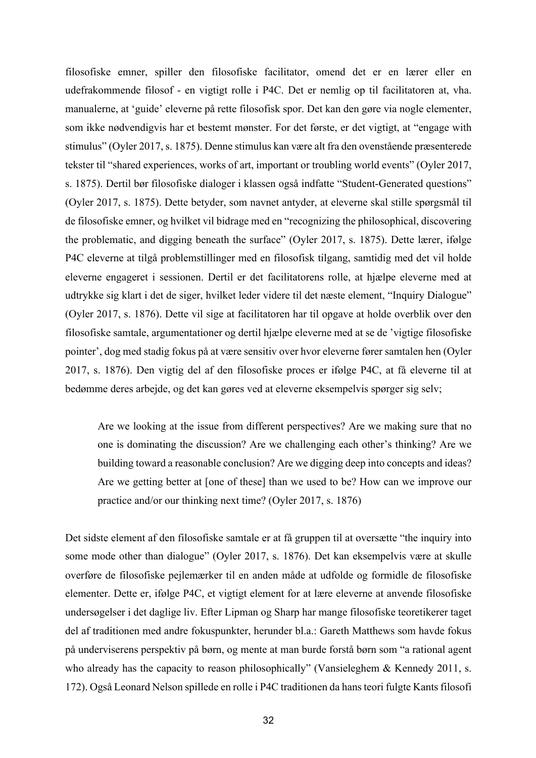filosofiske emner, spiller den filosofiske facilitator, omend det er en lærer eller en udefrakommende filosof - en vigtigt rolle i P4C. Det er nemlig op til facilitatoren at, vha. manualerne, at 'guide' eleverne på rette filosofisk spor. Det kan den gøre via nogle elementer, som ikke nødvendigvis har et bestemt mønster. For det første, er det vigtigt, at "engage with stimulus" (Oyler 2017, s. 1875). Denne stimulus kan være alt fra den ovenstående præsenterede tekster til "shared experiences, works of art, important or troubling world events" (Oyler 2017, s. 1875). Dertil bør filosofiske dialoger i klassen også indfatte "Student-Generated questions" (Oyler 2017, s. 1875). Dette betyder, som navnet antyder, at eleverne skal stille spørgsmål til de filosofiske emner, og hvilket vil bidrage med en "recognizing the philosophical, discovering the problematic, and digging beneath the surface" (Oyler 2017, s. 1875). Dette lærer, ifølge P4C eleverne at tilgå problemstillinger med en filosofisk tilgang, samtidig med det vil holde eleverne engageret i sessionen. Dertil er det facilitatorens rolle, at hjælpe eleverne med at udtrykke sig klart i det de siger, hvilket leder videre til det næste element, "Inquiry Dialogue" (Oyler 2017, s. 1876). Dette vil sige at facilitatoren har til opgave at holde overblik over den filosofiske samtale, argumentationer og dertil hjælpe eleverne med at se de 'vigtige filosofiske pointer', dog med stadig fokus på at være sensitiv over hvor eleverne fører samtalen hen (Oyler 2017, s. 1876). Den vigtig del af den filosofiske proces er ifølge P4C, at få eleverne til at bedømme deres arbejde, og det kan gøres ved at eleverne eksempelvis spørger sig selv;

Are we looking at the issue from different perspectives? Are we making sure that no one is dominating the discussion? Are we challenging each other's thinking? Are we building toward a reasonable conclusion? Are we digging deep into concepts and ideas? Are we getting better at [one of these] than we used to be? How can we improve our practice and/or our thinking next time? (Oyler 2017, s. 1876)

Det sidste element af den filosofiske samtale er at få gruppen til at oversætte "the inquiry into some mode other than dialogue" (Oyler 2017, s. 1876). Det kan eksempelvis være at skulle overføre de filosofiske pejlemærker til en anden måde at udfolde og formidle de filosofiske elementer. Dette er, ifølge P4C, et vigtigt element for at lære eleverne at anvende filosofiske undersøgelser i det daglige liv. Efter Lipman og Sharp har mange filosofiske teoretikerer taget del af traditionen med andre fokuspunkter, herunder bl.a.: Gareth Matthews som havde fokus på underviserens perspektiv på børn, og mente at man burde forstå børn som "a rational agent who already has the capacity to reason philosophically" (Vansieleghem & Kennedy 2011, s. 172). Også Leonard Nelson spillede en rolle i P4C traditionen da hans teori fulgte Kants filosofi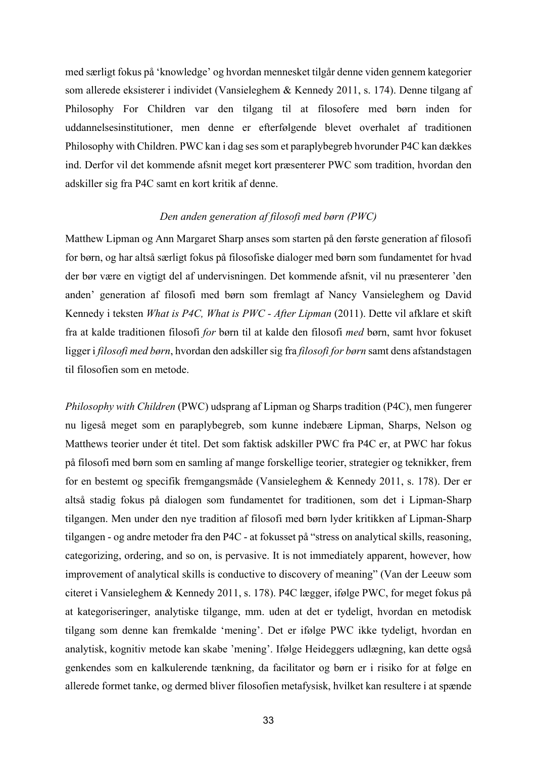med særligt fokus på 'knowledge' og hvordan mennesket tilgår denne viden gennem kategorier som allerede eksisterer i individet (Vansieleghem & Kennedy 2011, s. 174). Denne tilgang af Philosophy For Children var den tilgang til at filosofere med børn inden for uddannelsesinstitutioner, men denne er efterfølgende blevet overhalet af traditionen Philosophy with Children. PWC kan i dag ses som et paraplybegreb hvorunder P4C kan dækkes ind. Derfor vil det kommende afsnit meget kort præsenterer PWC som tradition, hvordan den adskiller sig fra P4C samt en kort kritik af denne.

# *Den anden generation af filosofi med børn (PWC)*

Matthew Lipman og Ann Margaret Sharp anses som starten på den første generation af filosofi for børn, og har altså særligt fokus på filosofiske dialoger med børn som fundamentet for hvad der bør være en vigtigt del af undervisningen. Det kommende afsnit, vil nu præsenterer 'den anden' generation af filosofi med børn som fremlagt af Nancy Vansieleghem og David Kennedy i teksten *What is P4C, What is PWC - After Lipman* (2011). Dette vil afklare et skift fra at kalde traditionen filosofi *for* børn til at kalde den filosofi *med* børn, samt hvor fokuset ligger i *filosofi med børn*, hvordan den adskiller sig fra *filosofi for børn* samt dens afstandstagen til filosofien som en metode.

*Philosophy with Children* (PWC) udsprang af Lipman og Sharps tradition (P4C), men fungerer nu ligeså meget som en paraplybegreb, som kunne indebære Lipman, Sharps, Nelson og Matthews teorier under ét titel. Det som faktisk adskiller PWC fra P4C er, at PWC har fokus på filosofi med børn som en samling af mange forskellige teorier, strategier og teknikker, frem for en bestemt og specifik fremgangsmåde (Vansieleghem & Kennedy 2011, s. 178). Der er altså stadig fokus på dialogen som fundamentet for traditionen, som det i Lipman-Sharp tilgangen. Men under den nye tradition af filosofi med børn lyder kritikken af Lipman-Sharp tilgangen - og andre metoder fra den P4C - at fokusset på "stress on analytical skills, reasoning, categorizing, ordering, and so on, is pervasive. It is not immediately apparent, however, how improvement of analytical skills is conductive to discovery of meaning" (Van der Leeuw som citeret i Vansieleghem & Kennedy 2011, s. 178). P4C lægger, ifølge PWC, for meget fokus på at kategoriseringer, analytiske tilgange, mm. uden at det er tydeligt, hvordan en metodisk tilgang som denne kan fremkalde 'mening'. Det er ifølge PWC ikke tydeligt, hvordan en analytisk, kognitiv metode kan skabe 'mening'. Ifølge Heideggers udlægning, kan dette også genkendes som en kalkulerende tænkning, da facilitator og børn er i risiko for at følge en allerede formet tanke, og dermed bliver filosofien metafysisk, hvilket kan resultere i at spænde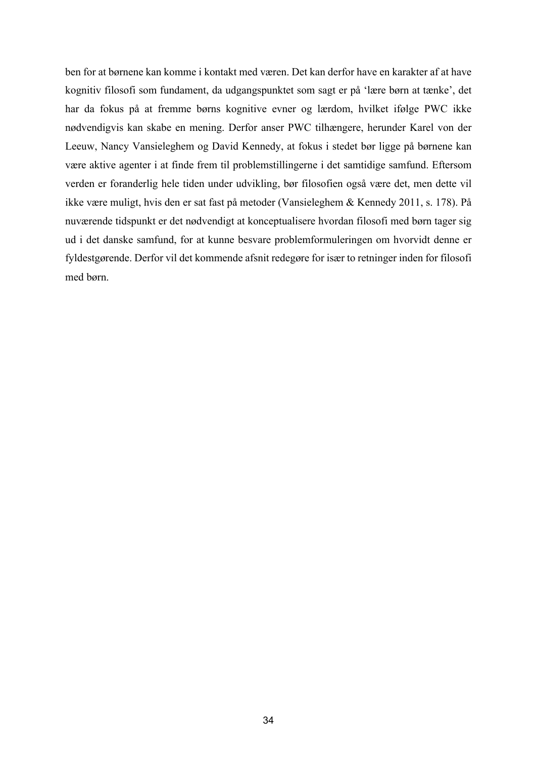ben for at børnene kan komme i kontakt med væren. Det kan derfor have en karakter af at have kognitiv filosofi som fundament, da udgangspunktet som sagt er på 'lære børn at tænke', det har da fokus på at fremme børns kognitive evner og lærdom, hvilket ifølge PWC ikke nødvendigvis kan skabe en mening. Derfor anser PWC tilhængere, herunder Karel von der Leeuw, Nancy Vansieleghem og David Kennedy, at fokus i stedet bør ligge på børnene kan være aktive agenter i at finde frem til problemstillingerne i det samtidige samfund. Eftersom verden er foranderlig hele tiden under udvikling, bør filosofien også være det, men dette vil ikke være muligt, hvis den er sat fast på metoder (Vansieleghem & Kennedy 2011, s. 178). På nuværende tidspunkt er det nødvendigt at konceptualisere hvordan filosofi med børn tager sig ud i det danske samfund, for at kunne besvare problemformuleringen om hvorvidt denne er fyldestgørende. Derfor vil det kommende afsnit redegøre for især to retninger inden for filosofi med børn.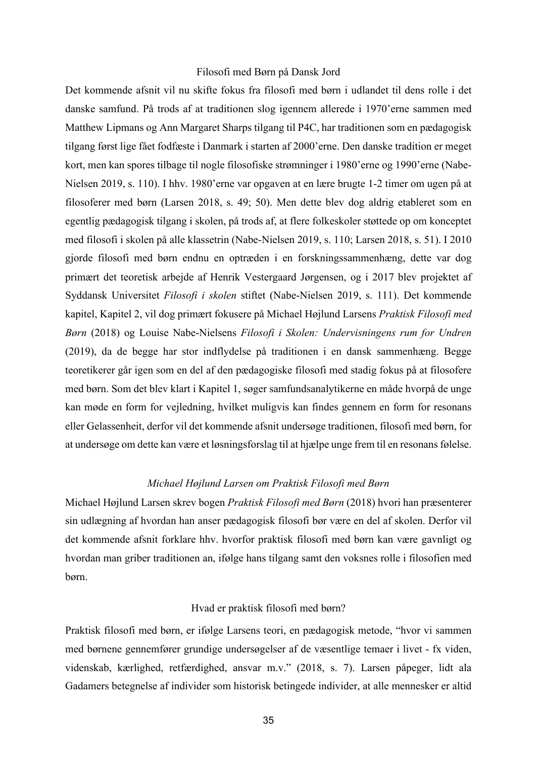#### Filosofi med Børn på Dansk Jord

Det kommende afsnit vil nu skifte fokus fra filosofi med børn i udlandet til dens rolle i det danske samfund. På trods af at traditionen slog igennem allerede i 1970'erne sammen med Matthew Lipmans og Ann Margaret Sharps tilgang til P4C, har traditionen som en pædagogisk tilgang først lige fået fodfæste i Danmark i starten af 2000'erne. Den danske tradition er meget kort, men kan spores tilbage til nogle filosofiske strømninger i 1980'erne og 1990'erne (Nabe-Nielsen 2019, s. 110). I hhv. 1980'erne var opgaven at en lære brugte 1-2 timer om ugen på at filosoferer med børn (Larsen 2018, s. 49; 50). Men dette blev dog aldrig etableret som en egentlig pædagogisk tilgang i skolen, på trods af, at flere folkeskoler støttede op om konceptet med filosofi i skolen på alle klassetrin (Nabe-Nielsen 2019, s. 110; Larsen 2018, s. 51). I 2010 gjorde filosofi med børn endnu en optræden i en forskningssammenhæng, dette var dog primært det teoretisk arbejde af Henrik Vestergaard Jørgensen, og i 2017 blev projektet af Syddansk Universitet *Filosofi i skolen* stiftet (Nabe-Nielsen 2019, s. 111). Det kommende kapitel, Kapitel 2, vil dog primært fokusere på Michael Højlund Larsens *Praktisk Filosofi med Børn* (2018) og Louise Nabe-Nielsens *Filosofi i Skolen: Undervisningens rum for Undren* (2019), da de begge har stor indflydelse på traditionen i en dansk sammenhæng. Begge teoretikerer går igen som en del af den pædagogiske filosofi med stadig fokus på at filosofere med børn. Som det blev klart i Kapitel 1, søger samfundsanalytikerne en måde hvorpå de unge kan møde en form for vejledning, hvilket muligvis kan findes gennem en form for resonans eller Gelassenheit, derfor vil det kommende afsnit undersøge traditionen, filosofi med børn, for at undersøge om dette kan være et løsningsforslag til at hjælpe unge frem til en resonans følelse.

## *Michael Højlund Larsen om Praktisk Filosofi med Børn*

Michael Højlund Larsen skrev bogen *Praktisk Filosofi med Børn* (2018) hvori han præsenterer sin udlægning af hvordan han anser pædagogisk filosofi bør være en del af skolen. Derfor vil det kommende afsnit forklare hhv. hvorfor praktisk filosofi med børn kan være gavnligt og hvordan man griber traditionen an, ifølge hans tilgang samt den voksnes rolle i filosofien med børn.

#### Hvad er praktisk filosofi med børn?

Praktisk filosofi med børn, er ifølge Larsens teori, en pædagogisk metode, "hvor vi sammen med børnene gennemfører grundige undersøgelser af de væsentlige temaer i livet - fx viden, videnskab, kærlighed, retfærdighed, ansvar m.v." (2018, s. 7). Larsen påpeger, lidt ala Gadamers betegnelse af individer som historisk betingede individer, at alle mennesker er altid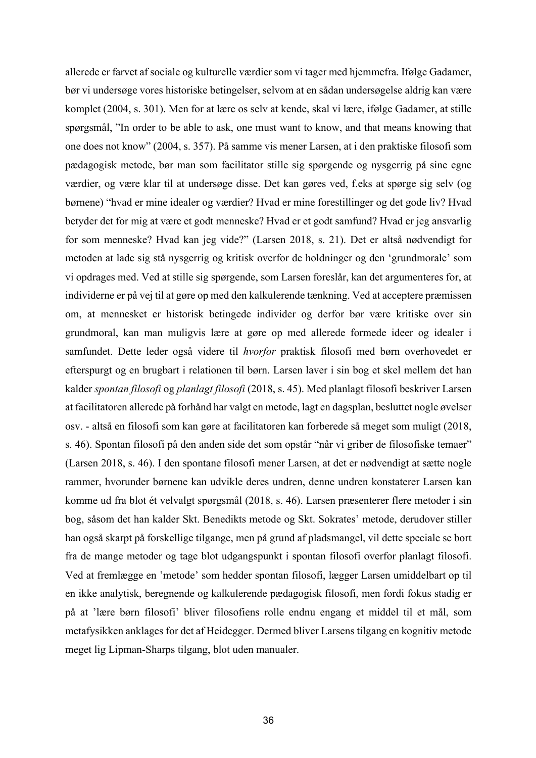allerede er farvet af sociale og kulturelle værdier som vi tager med hjemmefra. Ifølge Gadamer, bør vi undersøge vores historiske betingelser, selvom at en sådan undersøgelse aldrig kan være komplet (2004, s. 301). Men for at lære os selv at kende, skal vi lære, ifølge Gadamer, at stille spørgsmål, "In order to be able to ask, one must want to know, and that means knowing that one does not know" (2004, s. 357). På samme vis mener Larsen, at i den praktiske filosofi som pædagogisk metode, bør man som facilitator stille sig spørgende og nysgerrig på sine egne værdier, og være klar til at undersøge disse. Det kan gøres ved, f.eks at spørge sig selv (og børnene) "hvad er mine idealer og værdier? Hvad er mine forestillinger og det gode liv? Hvad betyder det for mig at være et godt menneske? Hvad er et godt samfund? Hvad er jeg ansvarlig for som menneske? Hvad kan jeg vide?" (Larsen 2018, s. 21). Det er altså nødvendigt for metoden at lade sig stå nysgerrig og kritisk overfor de holdninger og den 'grundmorale' som vi opdrages med. Ved at stille sig spørgende, som Larsen foreslår, kan det argumenteres for, at individerne er på vej til at gøre op med den kalkulerende tænkning. Ved at acceptere præmissen om, at mennesket er historisk betingede individer og derfor bør være kritiske over sin grundmoral, kan man muligvis lære at gøre op med allerede formede ideer og idealer i samfundet. Dette leder også videre til *hvorfor* praktisk filosofi med børn overhovedet er efterspurgt og en brugbart i relationen til børn. Larsen laver i sin bog et skel mellem det han kalder *spontan filosofi* og *planlagt filosofi* (2018, s. 45). Med planlagt filosofi beskriver Larsen at facilitatoren allerede på forhånd har valgt en metode, lagt en dagsplan, besluttet nogle øvelser osv. - altså en filosofi som kan gøre at facilitatoren kan forberede så meget som muligt (2018, s. 46). Spontan filosofi på den anden side det som opstår "når vi griber de filosofiske temaer" (Larsen 2018, s. 46). I den spontane filosofi mener Larsen, at det er nødvendigt at sætte nogle rammer, hvorunder børnene kan udvikle deres undren, denne undren konstaterer Larsen kan komme ud fra blot ét velvalgt spørgsmål (2018, s. 46). Larsen præsenterer flere metoder i sin bog, såsom det han kalder Skt. Benedikts metode og Skt. Sokrates' metode, derudover stiller han også skarpt på forskellige tilgange, men på grund af pladsmangel, vil dette speciale se bort fra de mange metoder og tage blot udgangspunkt i spontan filosofi overfor planlagt filosofi. Ved at fremlægge en 'metode' som hedder spontan filosofi, lægger Larsen umiddelbart op til en ikke analytisk, beregnende og kalkulerende pædagogisk filosofi, men fordi fokus stadig er på at 'lære børn filosofi' bliver filosofiens rolle endnu engang et middel til et mål, som metafysikken anklages for det af Heidegger. Dermed bliver Larsens tilgang en kognitiv metode meget lig Lipman-Sharps tilgang, blot uden manualer.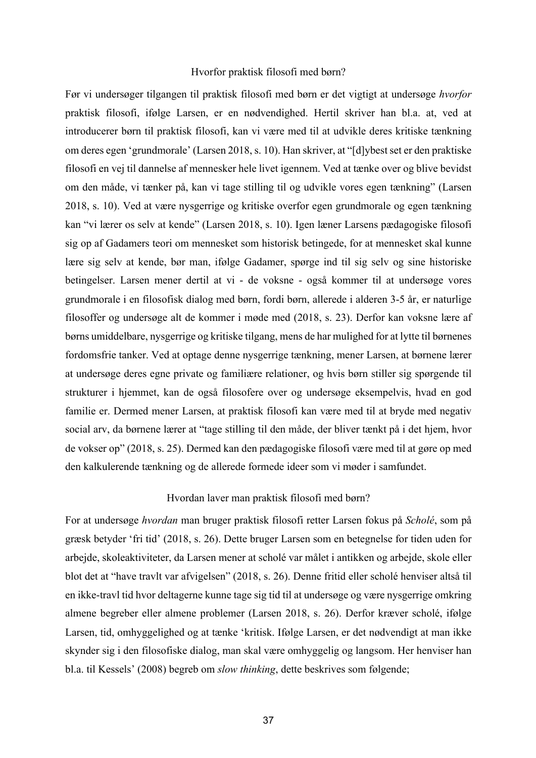#### Hvorfor praktisk filosofi med børn?

Før vi undersøger tilgangen til praktisk filosofi med børn er det vigtigt at undersøge *hvorfor* praktisk filosofi, ifølge Larsen, er en nødvendighed. Hertil skriver han bl.a. at, ved at introducerer børn til praktisk filosofi, kan vi være med til at udvikle deres kritiske tænkning om deres egen 'grundmorale' (Larsen 2018, s. 10). Han skriver, at "[d]ybest set er den praktiske filosofi en vej til dannelse af mennesker hele livet igennem. Ved at tænke over og blive bevidst om den måde, vi tænker på, kan vi tage stilling til og udvikle vores egen tænkning" (Larsen 2018, s. 10). Ved at være nysgerrige og kritiske overfor egen grundmorale og egen tænkning kan "vi lærer os selv at kende" (Larsen 2018, s. 10). Igen læner Larsens pædagogiske filosofi sig op af Gadamers teori om mennesket som historisk betingede, for at mennesket skal kunne lære sig selv at kende, bør man, ifølge Gadamer, spørge ind til sig selv og sine historiske betingelser. Larsen mener dertil at vi - de voksne - også kommer til at undersøge vores grundmorale i en filosofisk dialog med børn, fordi børn, allerede i alderen 3-5 år, er naturlige filosoffer og undersøge alt de kommer i møde med (2018, s. 23). Derfor kan voksne lære af børns umiddelbare, nysgerrige og kritiske tilgang, mens de har mulighed for at lytte til børnenes fordomsfrie tanker. Ved at optage denne nysgerrige tænkning, mener Larsen, at børnene lærer at undersøge deres egne private og familiære relationer, og hvis børn stiller sig spørgende til strukturer i hjemmet, kan de også filosofere over og undersøge eksempelvis, hvad en god familie er. Dermed mener Larsen, at praktisk filosofi kan være med til at bryde med negativ social arv, da børnene lærer at "tage stilling til den måde, der bliver tænkt på i det hjem, hvor de vokser op" (2018, s. 25). Dermed kan den pædagogiske filosofi være med til at gøre op med den kalkulerende tænkning og de allerede formede ideer som vi møder i samfundet.

#### Hvordan laver man praktisk filosofi med børn?

For at undersøge *hvordan* man bruger praktisk filosofi retter Larsen fokus på *Scholé*, som på græsk betyder 'fri tid' (2018, s. 26). Dette bruger Larsen som en betegnelse for tiden uden for arbejde, skoleaktiviteter, da Larsen mener at scholé var målet i antikken og arbejde, skole eller blot det at "have travlt var afvigelsen" (2018, s. 26). Denne fritid eller scholé henviser altså til en ikke-travl tid hvor deltagerne kunne tage sig tid til at undersøge og være nysgerrige omkring almene begreber eller almene problemer (Larsen 2018, s. 26). Derfor kræver scholé, ifølge Larsen, tid, omhyggelighed og at tænke 'kritisk. Ifølge Larsen, er det nødvendigt at man ikke skynder sig i den filosofiske dialog, man skal være omhyggelig og langsom. Her henviser han bl.a. til Kessels' (2008) begreb om *slow thinking*, dette beskrives som følgende;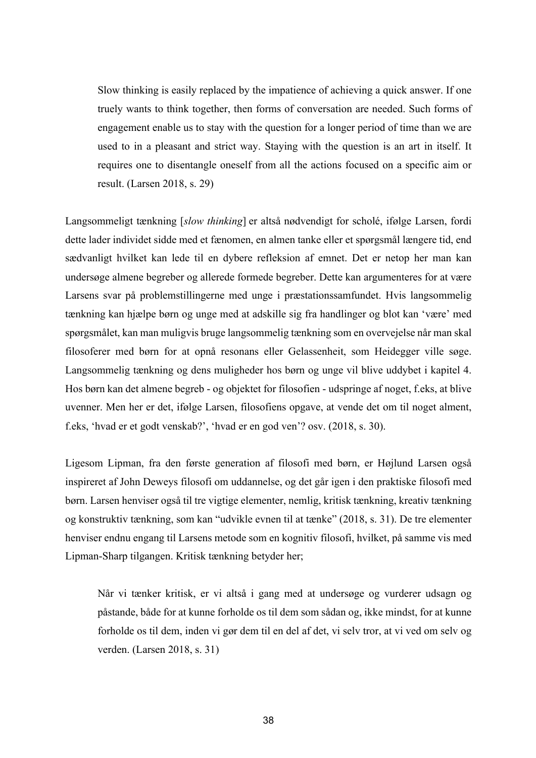Slow thinking is easily replaced by the impatience of achieving a quick answer. If one truely wants to think together, then forms of conversation are needed. Such forms of engagement enable us to stay with the question for a longer period of time than we are used to in a pleasant and strict way. Staying with the question is an art in itself. It requires one to disentangle oneself from all the actions focused on a specific aim or result. (Larsen 2018, s. 29)

Langsommeligt tænkning [*slow thinking*] er altså nødvendigt for scholé, ifølge Larsen, fordi dette lader individet sidde med et fænomen, en almen tanke eller et spørgsmål længere tid, end sædvanligt hvilket kan lede til en dybere refleksion af emnet. Det er netop her man kan undersøge almene begreber og allerede formede begreber. Dette kan argumenteres for at være Larsens svar på problemstillingerne med unge i præstationssamfundet. Hvis langsommelig tænkning kan hjælpe børn og unge med at adskille sig fra handlinger og blot kan 'være' med spørgsmålet, kan man muligvis bruge langsommelig tænkning som en overvejelse når man skal filosoferer med børn for at opnå resonans eller Gelassenheit, som Heidegger ville søge. Langsommelig tænkning og dens muligheder hos børn og unge vil blive uddybet i kapitel 4. Hos børn kan det almene begreb - og objektet for filosofien - udspringe af noget, f.eks, at blive uvenner. Men her er det, ifølge Larsen, filosofiens opgave, at vende det om til noget alment, f.eks, 'hvad er et godt venskab?', 'hvad er en god ven'? osv. (2018, s. 30).

Ligesom Lipman, fra den første generation af filosofi med børn, er Højlund Larsen også inspireret af John Deweys filosofi om uddannelse, og det går igen i den praktiske filosofi med børn. Larsen henviser også til tre vigtige elementer, nemlig, kritisk tænkning, kreativ tænkning og konstruktiv tænkning, som kan "udvikle evnen til at tænke" (2018, s. 31). De tre elementer henviser endnu engang til Larsens metode som en kognitiv filosofi, hvilket, på samme vis med Lipman-Sharp tilgangen. Kritisk tænkning betyder her;

Når vi tænker kritisk, er vi altså i gang med at undersøge og vurderer udsagn og påstande, både for at kunne forholde os til dem som sådan og, ikke mindst, for at kunne forholde os til dem, inden vi gør dem til en del af det, vi selv tror, at vi ved om selv og verden. (Larsen 2018, s. 31)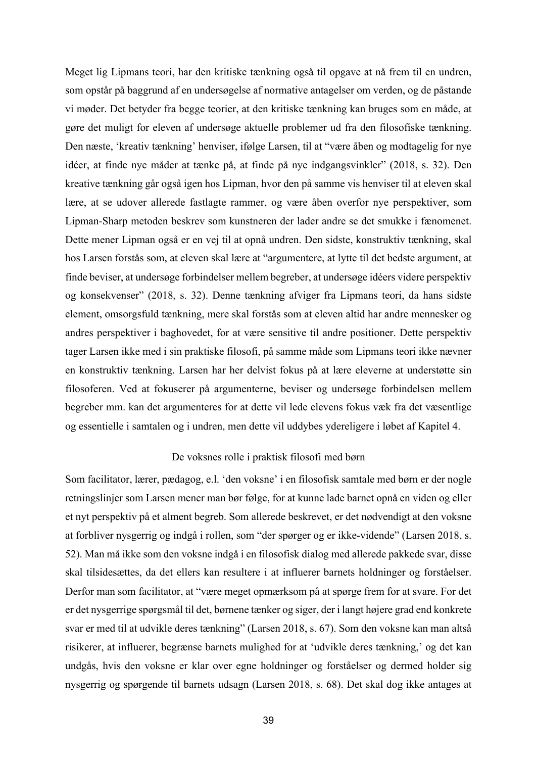Meget lig Lipmans teori, har den kritiske tænkning også til opgave at nå frem til en undren, som opstår på baggrund af en undersøgelse af normative antagelser om verden, og de påstande vi møder. Det betyder fra begge teorier, at den kritiske tænkning kan bruges som en måde, at gøre det muligt for eleven af undersøge aktuelle problemer ud fra den filosofiske tænkning. Den næste, 'kreativ tænkning' henviser, ifølge Larsen, til at "være åben og modtagelig for nye idéer, at finde nye måder at tænke på, at finde på nye indgangsvinkler" (2018, s. 32). Den kreative tænkning går også igen hos Lipman, hvor den på samme vis henviser til at eleven skal lære, at se udover allerede fastlagte rammer, og være åben overfor nye perspektiver, som Lipman-Sharp metoden beskrev som kunstneren der lader andre se det smukke i fænomenet. Dette mener Lipman også er en vej til at opnå undren. Den sidste, konstruktiv tænkning, skal hos Larsen forstås som, at eleven skal lære at "argumentere, at lytte til det bedste argument, at finde beviser, at undersøge forbindelser mellem begreber, at undersøge idéers videre perspektiv og konsekvenser" (2018, s. 32). Denne tænkning afviger fra Lipmans teori, da hans sidste element, omsorgsfuld tænkning, mere skal forstås som at eleven altid har andre mennesker og andres perspektiver i baghovedet, for at være sensitive til andre positioner. Dette perspektiv tager Larsen ikke med i sin praktiske filosofi, på samme måde som Lipmans teori ikke nævner en konstruktiv tænkning. Larsen har her delvist fokus på at lære eleverne at understøtte sin filosoferen. Ved at fokuserer på argumenterne, beviser og undersøge forbindelsen mellem begreber mm. kan det argumenteres for at dette vil lede elevens fokus væk fra det væsentlige og essentielle i samtalen og i undren, men dette vil uddybes ydereligere i løbet af Kapitel 4.

## De voksnes rolle i praktisk filosofi med børn

Som facilitator, lærer, pædagog, e.l. 'den voksne' i en filosofisk samtale med børn er der nogle retningslinjer som Larsen mener man bør følge, for at kunne lade barnet opnå en viden og eller et nyt perspektiv på et alment begreb. Som allerede beskrevet, er det nødvendigt at den voksne at forbliver nysgerrig og indgå i rollen, som "der spørger og er ikke-vidende" (Larsen 2018, s. 52). Man må ikke som den voksne indgå i en filosofisk dialog med allerede pakkede svar, disse skal tilsidesættes, da det ellers kan resultere i at influerer barnets holdninger og forståelser. Derfor man som facilitator, at "være meget opmærksom på at spørge frem for at svare. For det er det nysgerrige spørgsmål til det, børnene tænker og siger, der i langt højere grad end konkrete svar er med til at udvikle deres tænkning" (Larsen 2018, s. 67). Som den voksne kan man altså risikerer, at influerer, begrænse barnets mulighed for at 'udvikle deres tænkning,' og det kan undgås, hvis den voksne er klar over egne holdninger og forståelser og dermed holder sig nysgerrig og spørgende til barnets udsagn (Larsen 2018, s. 68). Det skal dog ikke antages at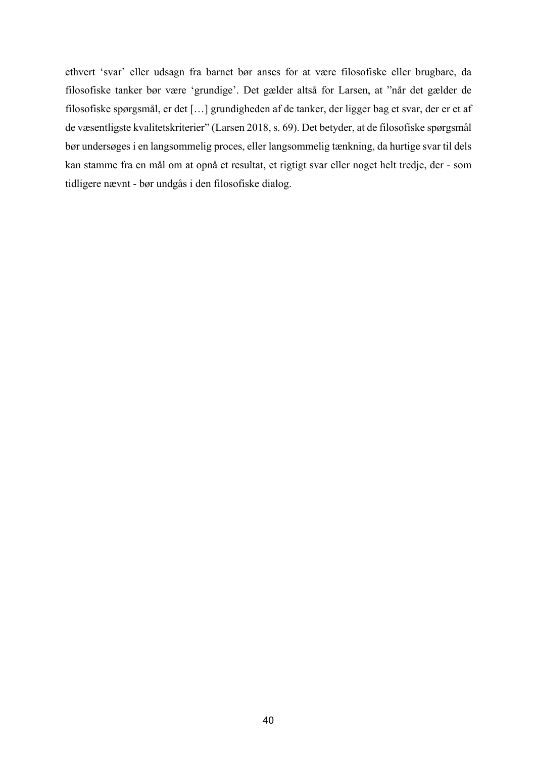ethvert 'svar' eller udsagn fra barnet bør anses for at være filosofiske eller brugbare, da filosofiske tanker bør være 'grundige'. Det gælder altså for Larsen, at "når det gælder de filosofiske spørgsmål, er det […] grundigheden af de tanker, der ligger bag et svar, der er et af de væsentligste kvalitetskriterier" (Larsen 2018, s. 69). Det betyder, at de filosofiske spørgsmål bør undersøges i en langsommelig proces, eller langsommelig tænkning, da hurtige svar til dels kan stamme fra en mål om at opnå et resultat, et rigtigt svar eller noget helt tredje, der - som tidligere nævnt - bør undgås i den filosofiske dialog.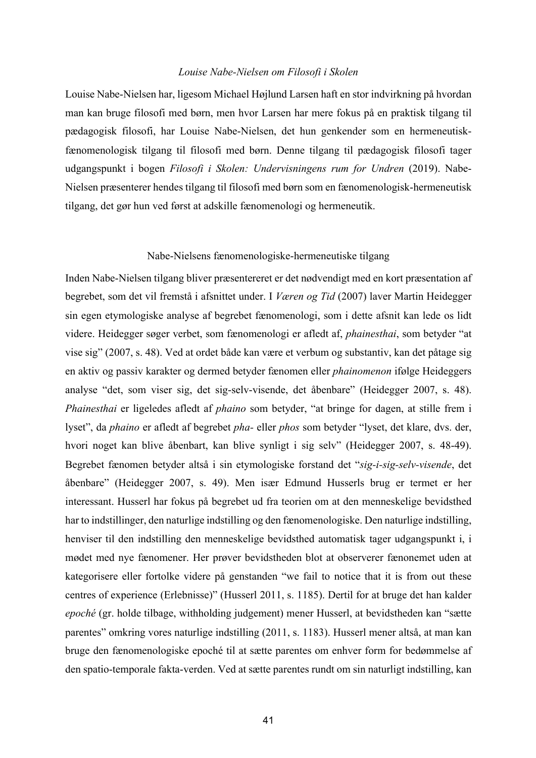## *Louise Nabe-Nielsen om Filosofi i Skolen*

Louise Nabe-Nielsen har, ligesom Michael Højlund Larsen haft en stor indvirkning på hvordan man kan bruge filosofi med børn, men hvor Larsen har mere fokus på en praktisk tilgang til pædagogisk filosofi, har Louise Nabe-Nielsen, det hun genkender som en hermeneutiskfænomenologisk tilgang til filosofi med børn. Denne tilgang til pædagogisk filosofi tager udgangspunkt i bogen *Filosofi i Skolen: Undervisningens rum for Undren* (2019). Nabe-Nielsen præsenterer hendes tilgang til filosofi med børn som en fænomenologisk-hermeneutisk tilgang, det gør hun ved først at adskille fænomenologi og hermeneutik.

#### Nabe-Nielsens fænomenologiske-hermeneutiske tilgang

Inden Nabe-Nielsen tilgang bliver præsentereret er det nødvendigt med en kort præsentation af begrebet, som det vil fremstå i afsnittet under. I *Væren og Tid* (2007) laver Martin Heidegger sin egen etymologiske analyse af begrebet fænomenologi, som i dette afsnit kan lede os lidt videre. Heidegger søger verbet, som fænomenologi er afledt af, *phainesthai*, som betyder "at vise sig" (2007, s. 48). Ved at ordet både kan være et verbum og substantiv, kan det påtage sig en aktiv og passiv karakter og dermed betyder fænomen eller *phainomenon* ifølge Heideggers analyse "det, som viser sig, det sig-selv-visende, det åbenbare" (Heidegger 2007, s. 48). *Phainesthai* er ligeledes afledt af *phaino* som betyder, "at bringe for dagen, at stille frem i lyset", da *phaino* er afledt af begrebet *pha-* eller *phos* som betyder "lyset, det klare, dvs. der, hvori noget kan blive åbenbart, kan blive synligt i sig selv" (Heidegger 2007, s. 48-49). Begrebet fænomen betyder altså i sin etymologiske forstand det "*sig-i-sig-selv-visende*, det åbenbare" (Heidegger 2007, s. 49). Men især Edmund Husserls brug er termet er her interessant. Husserl har fokus på begrebet ud fra teorien om at den menneskelige bevidsthed har to indstillinger, den naturlige indstilling og den fænomenologiske. Den naturlige indstilling, henviser til den indstilling den menneskelige bevidsthed automatisk tager udgangspunkt i, i mødet med nye fænomener. Her prøver bevidstheden blot at observerer fænonemet uden at kategorisere eller fortolke videre på genstanden "we fail to notice that it is from out these centres of experience (Erlebnisse)" (Husserl 2011, s. 1185). Dertil for at bruge det han kalder *epoché* (gr. holde tilbage, withholding judgement) mener Husserl, at bevidstheden kan "sætte parentes" omkring vores naturlige indstilling (2011, s. 1183). Husserl mener altså, at man kan bruge den fænomenologiske epoché til at sætte parentes om enhver form for bedømmelse af den spatio-temporale fakta-verden. Ved at sætte parentes rundt om sin naturligt indstilling, kan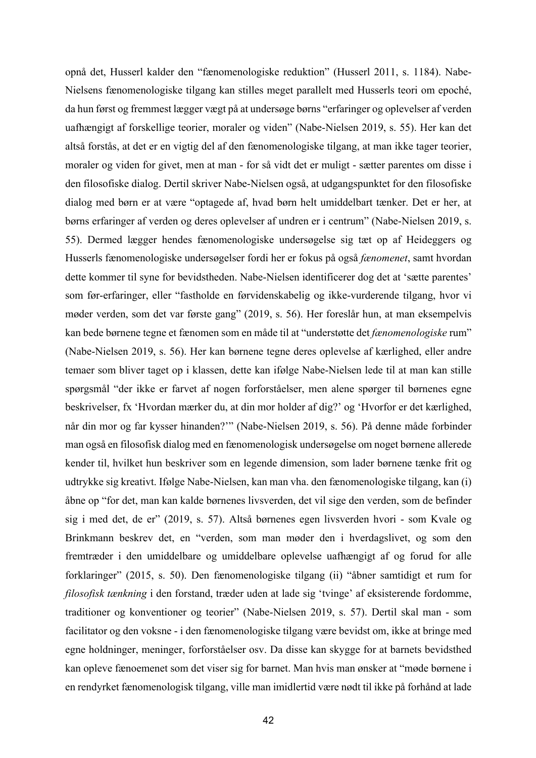opnå det, Husserl kalder den "fænomenologiske reduktion" (Husserl 2011, s. 1184). Nabe-Nielsens fænomenologiske tilgang kan stilles meget parallelt med Husserls teori om epoché, da hun først og fremmest lægger vægt på at undersøge børns "erfaringer og oplevelser af verden uafhængigt af forskellige teorier, moraler og viden" (Nabe-Nielsen 2019, s. 55). Her kan det altså forstås, at det er en vigtig del af den fænomenologiske tilgang, at man ikke tager teorier, moraler og viden for givet, men at man - for så vidt det er muligt - sætter parentes om disse i den filosofiske dialog. Dertil skriver Nabe-Nielsen også, at udgangspunktet for den filosofiske dialog med børn er at være "optagede af, hvad børn helt umiddelbart tænker. Det er her, at børns erfaringer af verden og deres oplevelser af undren er i centrum" (Nabe-Nielsen 2019, s. 55). Dermed lægger hendes fænomenologiske undersøgelse sig tæt op af Heideggers og Husserls fænomenologiske undersøgelser fordi her er fokus på også *fænomenet*, samt hvordan dette kommer til syne for bevidstheden. Nabe-Nielsen identificerer dog det at 'sætte parentes' som før-erfaringer, eller "fastholde en førvidenskabelig og ikke-vurderende tilgang, hvor vi møder verden, som det var første gang" (2019, s. 56). Her foreslår hun, at man eksempelvis kan bede børnene tegne et fænomen som en måde til at "understøtte det *fænomenologiske* rum" (Nabe-Nielsen 2019, s. 56). Her kan børnene tegne deres oplevelse af kærlighed, eller andre temaer som bliver taget op i klassen, dette kan ifølge Nabe-Nielsen lede til at man kan stille spørgsmål "der ikke er farvet af nogen forforståelser, men alene spørger til børnenes egne beskrivelser, fx 'Hvordan mærker du, at din mor holder af dig?' og 'Hvorfor er det kærlighed, når din mor og far kysser hinanden?'" (Nabe-Nielsen 2019, s. 56). På denne måde forbinder man også en filosofisk dialog med en fænomenologisk undersøgelse om noget børnene allerede kender til, hvilket hun beskriver som en legende dimension, som lader børnene tænke frit og udtrykke sig kreativt. Ifølge Nabe-Nielsen, kan man vha. den fænomenologiske tilgang, kan (i) åbne op "for det, man kan kalde børnenes livsverden, det vil sige den verden, som de befinder sig i med det, de er" (2019, s. 57). Altså børnenes egen livsverden hvori - som Kvale og Brinkmann beskrev det, en "verden, som man møder den i hverdagslivet, og som den fremtræder i den umiddelbare og umiddelbare oplevelse uafhængigt af og forud for alle forklaringer" (2015, s. 50). Den fænomenologiske tilgang (ii) "åbner samtidigt et rum for *filosofisk tænkning* i den forstand, træder uden at lade sig 'tvinge' af eksisterende fordomme, traditioner og konventioner og teorier" (Nabe-Nielsen 2019, s. 57). Dertil skal man - som facilitator og den voksne - i den fænomenologiske tilgang være bevidst om, ikke at bringe med egne holdninger, meninger, forforståelser osv. Da disse kan skygge for at barnets bevidsthed kan opleve fænoemenet som det viser sig for barnet. Man hvis man ønsker at "møde børnene i en rendyrket fænomenologisk tilgang, ville man imidlertid være nødt til ikke på forhånd at lade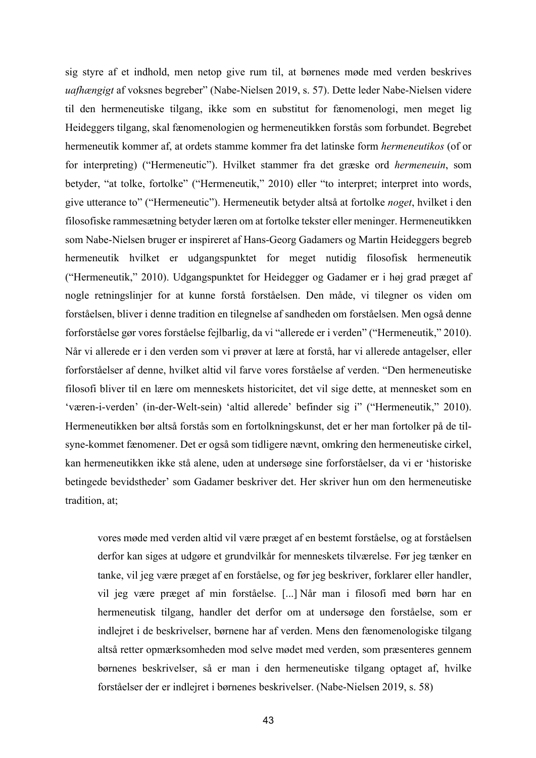sig styre af et indhold, men netop give rum til, at børnenes møde med verden beskrives *uafhængigt* af voksnes begreber" (Nabe-Nielsen 2019, s. 57). Dette leder Nabe-Nielsen videre til den hermeneutiske tilgang, ikke som en substitut for fænomenologi, men meget lig Heideggers tilgang, skal fænomenologien og hermeneutikken forstås som forbundet. Begrebet hermeneutik kommer af, at ordets stamme kommer fra det latinske form *hermeneutikos* (of or for interpreting) ("Hermeneutic"). Hvilket stammer fra det græske ord *hermeneuin*, som betyder, "at tolke, fortolke" ("Hermeneutik," 2010) eller "to interpret; interpret into words, give utterance to" ("Hermeneutic"). Hermeneutik betyder altså at fortolke *noget*, hvilket i den filosofiske rammesætning betyder læren om at fortolke tekster eller meninger. Hermeneutikken som Nabe-Nielsen bruger er inspireret af Hans-Georg Gadamers og Martin Heideggers begreb hermeneutik hvilket er udgangspunktet for meget nutidig filosofisk hermeneutik ("Hermeneutik," 2010). Udgangspunktet for Heidegger og Gadamer er i høj grad præget af nogle retningslinjer for at kunne forstå forståelsen. Den måde, vi tilegner os viden om forståelsen, bliver i denne tradition en tilegnelse af sandheden om forståelsen. Men også denne forforståelse gør vores forståelse fejlbarlig, da vi "allerede er i verden" ("Hermeneutik," 2010). Når vi allerede er i den verden som vi prøver at lære at forstå, har vi allerede antagelser, eller forforståelser af denne, hvilket altid vil farve vores forståelse af verden. "Den hermeneutiske filosofi bliver til en lære om menneskets historicitet, det vil sige dette, at mennesket som en 'væren-i-verden' (in-der-Welt-sein) 'altid allerede' befinder sig i" ("Hermeneutik," 2010). Hermeneutikken bør altså forstås som en fortolkningskunst, det er her man fortolker på de tilsyne-kommet fænomener. Det er også som tidligere nævnt, omkring den hermeneutiske cirkel, kan hermeneutikken ikke stå alene, uden at undersøge sine forforståelser, da vi er 'historiske betingede bevidstheder' som Gadamer beskriver det. Her skriver hun om den hermeneutiske tradition, at;

vores møde med verden altid vil være præget af en bestemt forståelse, og at forståelsen derfor kan siges at udgøre et grundvilkår for menneskets tilværelse. Før jeg tænker en tanke, vil jeg være præget af en forståelse, og før jeg beskriver, forklarer eller handler, vil jeg være præget af min forståelse. [...] Når man i filosofi med børn har en hermeneutisk tilgang, handler det derfor om at undersøge den forståelse, som er indlejret i de beskrivelser, børnene har af verden. Mens den fænomenologiske tilgang altså retter opmærksomheden mod selve mødet med verden, som præsenteres gennem børnenes beskrivelser, så er man i den hermeneutiske tilgang optaget af, hvilke forståelser der er indlejret i børnenes beskrivelser. (Nabe-Nielsen 2019, s. 58)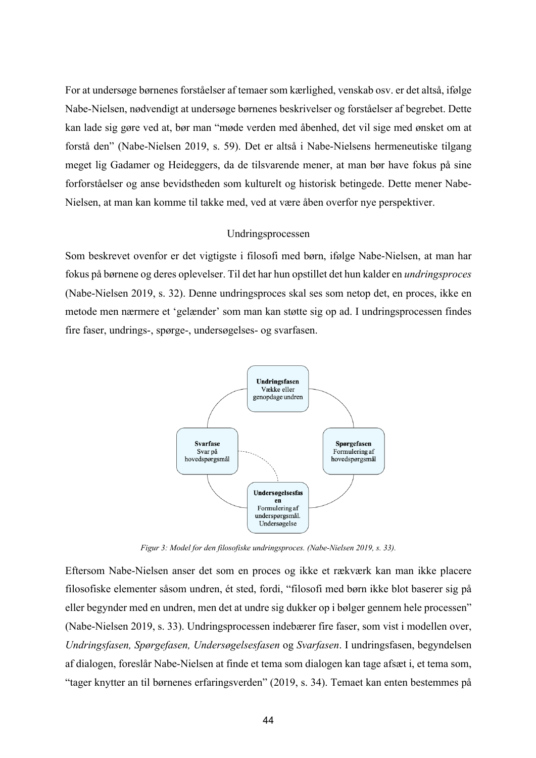For at undersøge børnenes forståelser af temaer som kærlighed, venskab osv. er det altså, ifølge Nabe-Nielsen, nødvendigt at undersøge børnenes beskrivelser og forståelser af begrebet. Dette kan lade sig gøre ved at, bør man "møde verden med åbenhed, det vil sige med ønsket om at forstå den" (Nabe-Nielsen 2019, s. 59). Det er altså i Nabe-Nielsens hermeneutiske tilgang meget lig Gadamer og Heideggers, da de tilsvarende mener, at man bør have fokus på sine forforståelser og anse bevidstheden som kulturelt og historisk betingede. Dette mener Nabe-Nielsen, at man kan komme til takke med, ved at være åben overfor nye perspektiver.

#### Undringsprocessen

Som beskrevet ovenfor er det vigtigste i filosofi med børn, ifølge Nabe-Nielsen, at man har fokus på børnene og deres oplevelser. Til det har hun opstillet det hun kalder en *undringsproces* (Nabe-Nielsen 2019, s. 32). Denne undringsproces skal ses som netop det, en proces, ikke en metode men nærmere et 'gelænder' som man kan støtte sig op ad. I undringsprocessen findes fire faser, undrings-, spørge-, undersøgelses- og svarfasen.



*Figur 3: Model for den filosofiske undringsproces. (Nabe-Nielsen 2019, s. 33).*

Eftersom Nabe-Nielsen anser det som en proces og ikke et rækværk kan man ikke placere filosofiske elementer såsom undren, ét sted, fordi, "filosofi med børn ikke blot baserer sig på eller begynder med en undren, men det at undre sig dukker op i bølger gennem hele processen" (Nabe-Nielsen 2019, s. 33). Undringsprocessen indebærer fire faser, som vist i modellen over, *Undringsfasen, Spørgefasen, Undersøgelsesfasen* og *Svarfasen*. I undringsfasen, begyndelsen af dialogen, foreslår Nabe-Nielsen at finde et tema som dialogen kan tage afsæt i, et tema som, "tager knytter an til børnenes erfaringsverden" (2019, s. 34). Temaet kan enten bestemmes på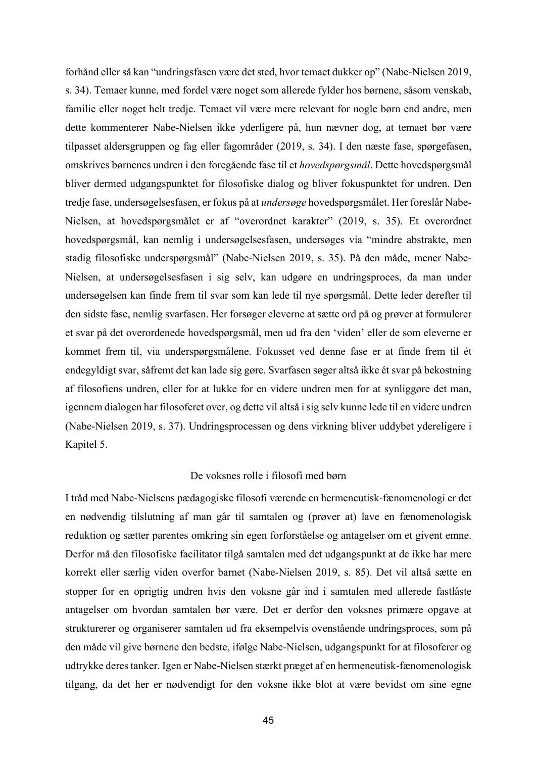forhånd eller så kan "undringsfasen være det sted, hvor temaet dukker op" (Nabe-Nielsen 2019, s. 34). Temaer kunne, med fordel være noget som allerede fylder hos børnene, såsom venskab, familie eller noget helt tredje. Temaet vil være mere relevant for nogle børn end andre, men dette kommenterer Nabe-Nielsen ikke yderligere på, hun nævner dog, at temaet bør være tilpasset aldersgruppen og fag eller fagområder (2019, s. 34). I den næste fase, spørgefasen, omskrives børnenes undren i den foregående fase til et *hovedspørgsmål*. Dette hovedspørgsmål bliver dermed udgangspunktet for filosofiske dialog og bliver fokuspunktet for undren. Den tredje fase, undersøgelsesfasen, er fokus på at *undersøge* hovedspørgsmålet. Her foreslår Nabe-Nielsen, at hovedspørgsmålet er af "overordnet karakter" (2019, s. 35). Et overordnet hovedspørgsmål, kan nemlig i undersøgelsesfasen, undersøges via "mindre abstrakte, men stadig filosofiske underspørgsmål" (Nabe-Nielsen 2019, s. 35). På den måde, mener Nabe-Nielsen, at undersøgelsesfasen i sig selv, kan udgøre en undringsproces, da man under undersøgelsen kan finde frem til svar som kan lede til nye spørgsmål. Dette leder derefter til den sidste fase, nemlig svarfasen. Her forsøger eleverne at sætte ord på og prøver at formulerer et svar på det overordenede hovedspørgsmål, men ud fra den 'viden' eller de som eleverne er kommet frem til, via underspørgsmålene. Fokusset ved denne fase er at finde frem til ét endegyldigt svar, såfremt det kan lade sig gøre. Svarfasen søger altså ikke ét svar på bekostning af filosofiens undren, eller for at lukke for en videre undren men for at synliggøre det man, igennem dialogen har filosoferet over, og dette vil altså i sig selv kunne lede til en videre undren (Nabe-Nielsen 2019, s. 37). Undringsprocessen og dens virkning bliver uddybet ydereligere i Kapitel 5.

### De voksnes rolle i filosofi med børn

I tråd med Nabe-Nielsens pædagogiske filosofi værende en hermeneutisk-fænomenologi er det en nødvendig tilslutning af man går til samtalen og (prøver at) lave en fænomenologisk reduktion og sætter parentes omkring sin egen forforståelse og antagelser om et givent emne. Derfor må den filosofiske facilitator tilgå samtalen med det udgangspunkt at de ikke har mere korrekt eller særlig viden overfor barnet (Nabe-Nielsen 2019, s. 85). Det vil altså sætte en stopper for en oprigtig undren hvis den voksne går ind i samtalen med allerede fastlåste antagelser om hvordan samtalen bør være. Det er derfor den voksnes primære opgave at strukturerer og organiserer samtalen ud fra eksempelvis ovenstående undringsproces, som på den måde vil give børnene den bedste, ifølge Nabe-Nielsen, udgangspunkt for at filosoferer og udtrykke deres tanker. Igen er Nabe-Nielsen stærkt præget af en hermeneutisk-fænomenologisk tilgang, da det her er nødvendigt for den voksne ikke blot at være bevidst om sine egne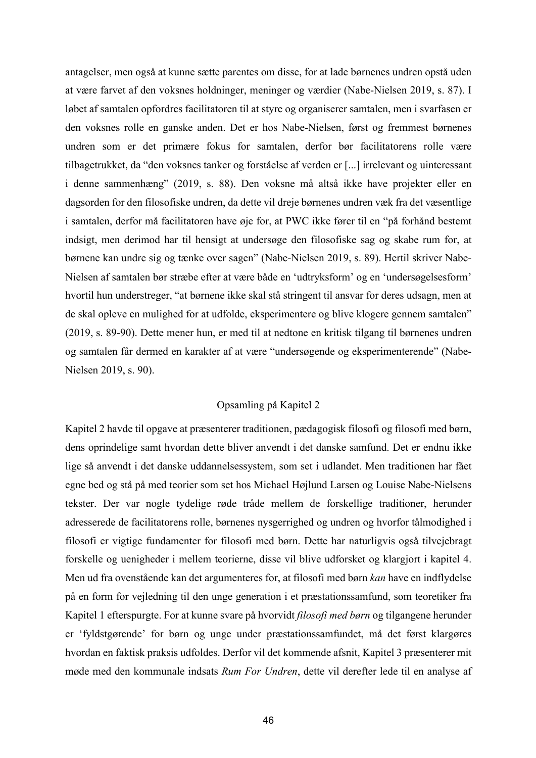antagelser, men også at kunne sætte parentes om disse, for at lade børnenes undren opstå uden at være farvet af den voksnes holdninger, meninger og værdier (Nabe-Nielsen 2019, s. 87). I løbet af samtalen opfordres facilitatoren til at styre og organiserer samtalen, men i svarfasen er den voksnes rolle en ganske anden. Det er hos Nabe-Nielsen, først og fremmest børnenes undren som er det primære fokus for samtalen, derfor bør facilitatorens rolle være tilbagetrukket, da "den voksnes tanker og forståelse af verden er [...] irrelevant og uinteressant i denne sammenhæng" (2019, s. 88). Den voksne må altså ikke have projekter eller en dagsorden for den filosofiske undren, da dette vil dreje børnenes undren væk fra det væsentlige i samtalen, derfor må facilitatoren have øje for, at PWC ikke fører til en "på forhånd bestemt indsigt, men derimod har til hensigt at undersøge den filosofiske sag og skabe rum for, at børnene kan undre sig og tænke over sagen" (Nabe-Nielsen 2019, s. 89). Hertil skriver Nabe-Nielsen af samtalen bør stræbe efter at være både en 'udtryksform' og en 'undersøgelsesform' hvortil hun understreger, "at børnene ikke skal stå stringent til ansvar for deres udsagn, men at de skal opleve en mulighed for at udfolde, eksperimentere og blive klogere gennem samtalen" (2019, s. 89-90). Dette mener hun, er med til at nedtone en kritisk tilgang til børnenes undren og samtalen får dermed en karakter af at være "undersøgende og eksperimenterende" (Nabe-Nielsen 2019, s. 90).

## Opsamling på Kapitel 2

Kapitel 2 havde til opgave at præsenterer traditionen, pædagogisk filosofi og filosofi med børn, dens oprindelige samt hvordan dette bliver anvendt i det danske samfund. Det er endnu ikke lige så anvendt i det danske uddannelsessystem, som set i udlandet. Men traditionen har fået egne bed og stå på med teorier som set hos Michael Højlund Larsen og Louise Nabe-Nielsens tekster. Der var nogle tydelige røde tråde mellem de forskellige traditioner, herunder adresserede de facilitatorens rolle, børnenes nysgerrighed og undren og hvorfor tålmodighed i filosofi er vigtige fundamenter for filosofi med børn. Dette har naturligvis også tilvejebragt forskelle og uenigheder i mellem teorierne, disse vil blive udforsket og klargjort i kapitel 4. Men ud fra ovenstående kan det argumenteres for, at filosofi med børn *kan* have en indflydelse på en form for vejledning til den unge generation i et præstationssamfund, som teoretiker fra Kapitel 1 efterspurgte. For at kunne svare på hvorvidt *filosofi med børn* og tilgangene herunder er 'fyldstgørende' for børn og unge under præstationssamfundet, må det først klargøres hvordan en faktisk praksis udfoldes. Derfor vil det kommende afsnit, Kapitel 3 præsenterer mit møde med den kommunale indsats *Rum For Undren*, dette vil derefter lede til en analyse af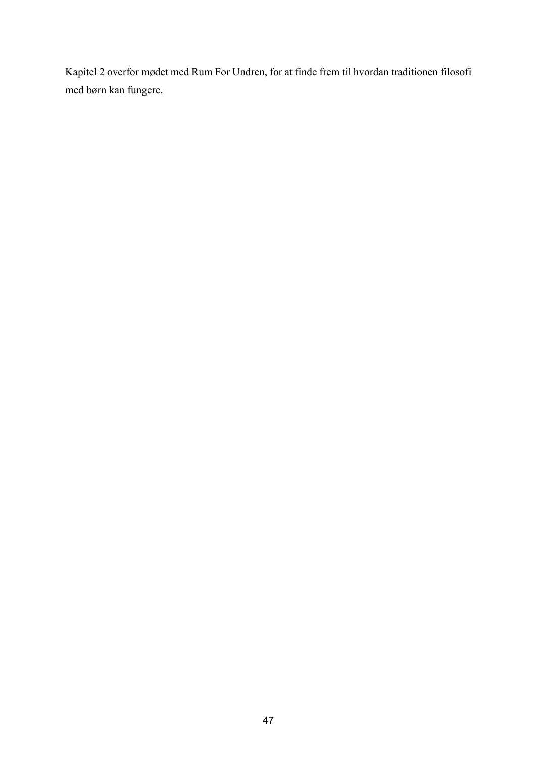Kapitel 2 overfor mødet med Rum For Undren, for at finde frem til hvordan traditionen filosofi med børn kan fungere.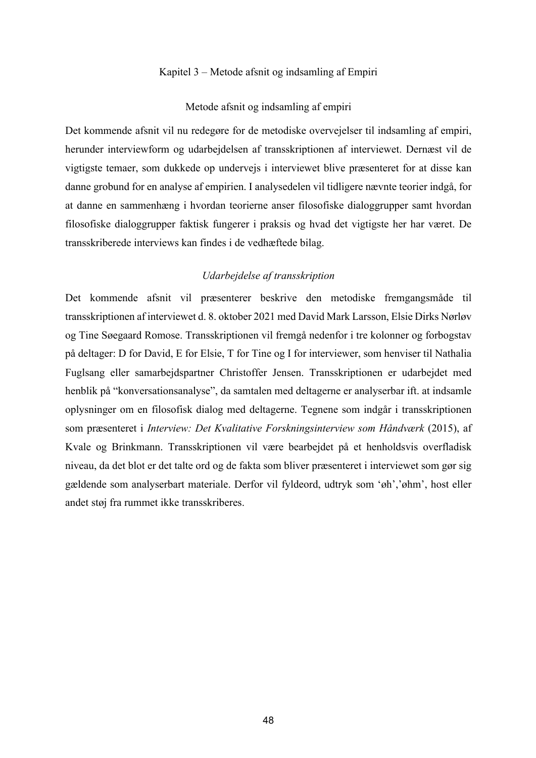### Kapitel 3 – Metode afsnit og indsamling af Empiri

#### Metode afsnit og indsamling af empiri

Det kommende afsnit vil nu redegøre for de metodiske overvejelser til indsamling af empiri, herunder interviewform og udarbejdelsen af transskriptionen af interviewet. Dernæst vil de vigtigste temaer, som dukkede op undervejs i interviewet blive præsenteret for at disse kan danne grobund for en analyse af empirien. I analysedelen vil tidligere nævnte teorier indgå, for at danne en sammenhæng i hvordan teorierne anser filosofiske dialoggrupper samt hvordan filosofiske dialoggrupper faktisk fungerer i praksis og hvad det vigtigste her har været. De transskriberede interviews kan findes i de vedhæftede bilag.

#### *Udarbejdelse af transskription*

Det kommende afsnit vil præsenterer beskrive den metodiske fremgangsmåde til transskriptionen af interviewet d. 8. oktober 2021 med David Mark Larsson, Elsie Dirks Nørløv og Tine Søegaard Romose. Transskriptionen vil fremgå nedenfor i tre kolonner og forbogstav på deltager: D for David, E for Elsie, T for Tine og I for interviewer, som henviser til Nathalia Fuglsang eller samarbejdspartner Christoffer Jensen. Transskriptionen er udarbejdet med henblik på "konversationsanalyse", da samtalen med deltagerne er analyserbar ift. at indsamle oplysninger om en filosofisk dialog med deltagerne. Tegnene som indgår i transskriptionen som præsenteret i *Interview: Det Kvalitative Forskningsinterview som Håndværk* (2015), af Kvale og Brinkmann. Transskriptionen vil være bearbejdet på et henholdsvis overfladisk niveau, da det blot er det talte ord og de fakta som bliver præsenteret i interviewet som gør sig gældende som analyserbart materiale. Derfor vil fyldeord, udtryk som 'øh','øhm', host eller andet støj fra rummet ikke transskriberes.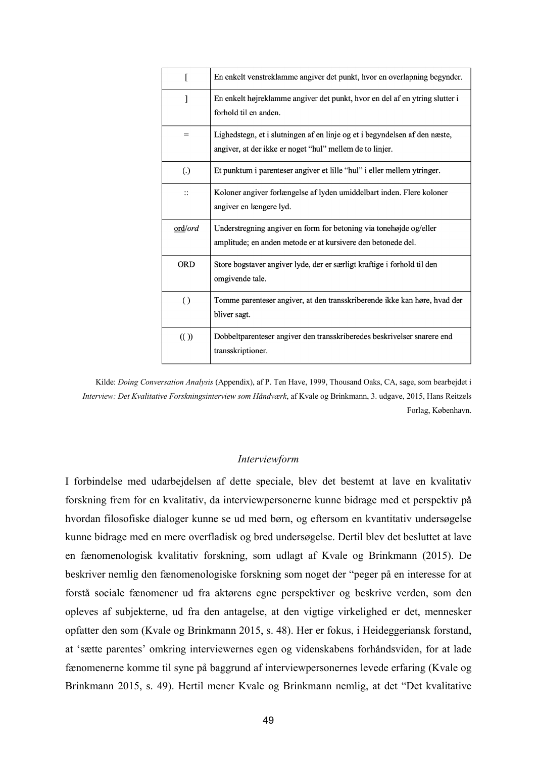| ſ                | En enkelt venstreklamme angiver det punkt, hvor en overlapning begynder.                                                               |
|------------------|----------------------------------------------------------------------------------------------------------------------------------------|
| 1                | En enkelt højreklamme angiver det punkt, hvor en del af en ytring slutter i<br>forhold til en anden.                                   |
| $=$              | Lighedstegn, et i slutningen af en linje og et i begyndelsen af den næste,<br>angiver, at der ikke er noget "hul" mellem de to linjer. |
| (.)              | Et punktum i parenteser angiver et lille "hul" i eller mellem ytringer.                                                                |
| $\vdots$         | Koloner angiver forlængelse af lyden umiddelbart inden. Flere koloner<br>angiver en længere lyd.                                       |
| ord/ord          | Understregning angiver en form for betoning via tonehøjde og/eller<br>amplitude; en anden metode er at kursivere den betonede del.     |
| <b>ORD</b>       | Store bogstaver angiver lyde, der er særligt kraftige i forhold til den<br>omgivende tale.                                             |
| $\left( \right)$ | Tomme parenteser angiver, at den transskriberende ikke kan høre, hvad der<br>bliver sagt.                                              |
| (()              | Dobbeltparenteser angiver den transskriberedes beskrivelser snarere end<br>transskriptioner.                                           |

Kilde: *Doing Conversation Analysis* (Appendix), af P. Ten Have, 1999, Thousand Oaks, CA, sage, som bearbejdet i *Interview: Det Kvalitative Forskningsinterview som Håndværk*, af Kvale og Brinkmann, 3. udgave, 2015, Hans Reitzels Forlag, København.

### *Interviewform*

I forbindelse med udarbejdelsen af dette speciale, blev det bestemt at lave en kvalitativ forskning frem for en kvalitativ, da interviewpersonerne kunne bidrage med et perspektiv på hvordan filosofiske dialoger kunne se ud med børn, og eftersom en kvantitativ undersøgelse kunne bidrage med en mere overfladisk og bred undersøgelse. Dertil blev det besluttet at lave en fænomenologisk kvalitativ forskning, som udlagt af Kvale og Brinkmann (2015). De beskriver nemlig den fænomenologiske forskning som noget der "peger på en interesse for at forstå sociale fænomener ud fra aktørens egne perspektiver og beskrive verden, som den opleves af subjekterne, ud fra den antagelse, at den vigtige virkelighed er det, mennesker opfatter den som (Kvale og Brinkmann 2015, s. 48). Her er fokus, i Heideggeriansk forstand, at 'sætte parentes' omkring interviewernes egen og videnskabens forhåndsviden, for at lade fænomenerne komme til syne på baggrund af interviewpersonernes levede erfaring (Kvale og Brinkmann 2015, s. 49). Hertil mener Kvale og Brinkmann nemlig, at det "Det kvalitative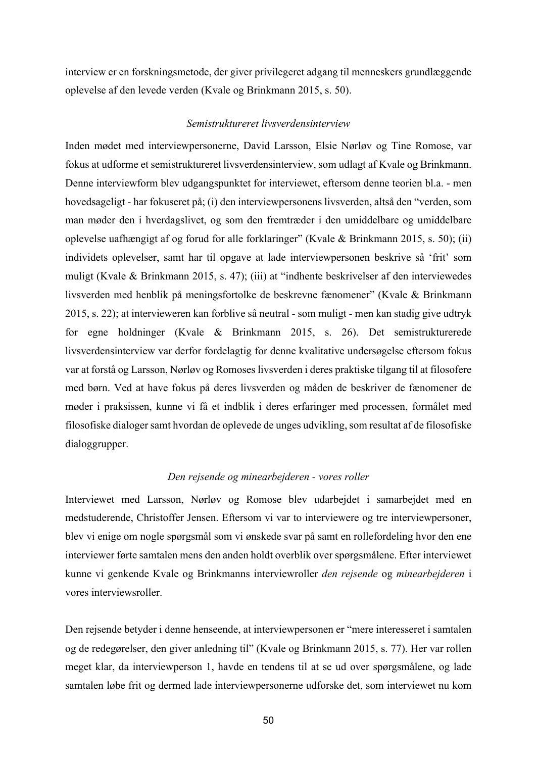interview er en forskningsmetode, der giver privilegeret adgang til menneskers grundlæggende oplevelse af den levede verden (Kvale og Brinkmann 2015, s. 50).

#### *Semistruktureret livsverdensinterview*

Inden mødet med interviewpersonerne, David Larsson, Elsie Nørløv og Tine Romose, var fokus at udforme et semistruktureret livsverdensinterview, som udlagt af Kvale og Brinkmann. Denne interviewform blev udgangspunktet for interviewet, eftersom denne teorien bl.a. - men hovedsageligt - har fokuseret på; (i) den interviewpersonens livsverden, altså den "verden, som man møder den i hverdagslivet, og som den fremtræder i den umiddelbare og umiddelbare oplevelse uafhængigt af og forud for alle forklaringer" (Kvale & Brinkmann 2015, s. 50); (ii) individets oplevelser, samt har til opgave at lade interviewpersonen beskrive så 'frit' som muligt (Kvale & Brinkmann 2015, s. 47); (iii) at "indhente beskrivelser af den interviewedes livsverden med henblik på meningsfortolke de beskrevne fænomener" (Kvale & Brinkmann 2015, s. 22); at intervieweren kan forblive så neutral - som muligt - men kan stadig give udtryk for egne holdninger (Kvale & Brinkmann 2015, s. 26). Det semistrukturerede livsverdensinterview var derfor fordelagtig for denne kvalitative undersøgelse eftersom fokus var at forstå og Larsson, Nørløv og Romoses livsverden i deres praktiske tilgang til at filosofere med børn. Ved at have fokus på deres livsverden og måden de beskriver de fænomener de møder i praksissen, kunne vi få et indblik i deres erfaringer med processen, formålet med filosofiske dialoger samt hvordan de oplevede de unges udvikling, som resultat af de filosofiske dialoggrupper.

#### *Den rejsende og minearbejderen - vores roller*

Interviewet med Larsson, Nørløv og Romose blev udarbejdet i samarbejdet med en medstuderende, Christoffer Jensen. Eftersom vi var to interviewere og tre interviewpersoner, blev vi enige om nogle spørgsmål som vi ønskede svar på samt en rollefordeling hvor den ene interviewer førte samtalen mens den anden holdt overblik over spørgsmålene. Efter interviewet kunne vi genkende Kvale og Brinkmanns interviewroller *den rejsende* og *minearbejderen* i vores interviewsroller.

Den rejsende betyder i denne henseende, at interviewpersonen er "mere interesseret i samtalen og de redegørelser, den giver anledning til" (Kvale og Brinkmann 2015, s. 77). Her var rollen meget klar, da interviewperson 1, havde en tendens til at se ud over spørgsmålene, og lade samtalen løbe frit og dermed lade interviewpersonerne udforske det, som interviewet nu kom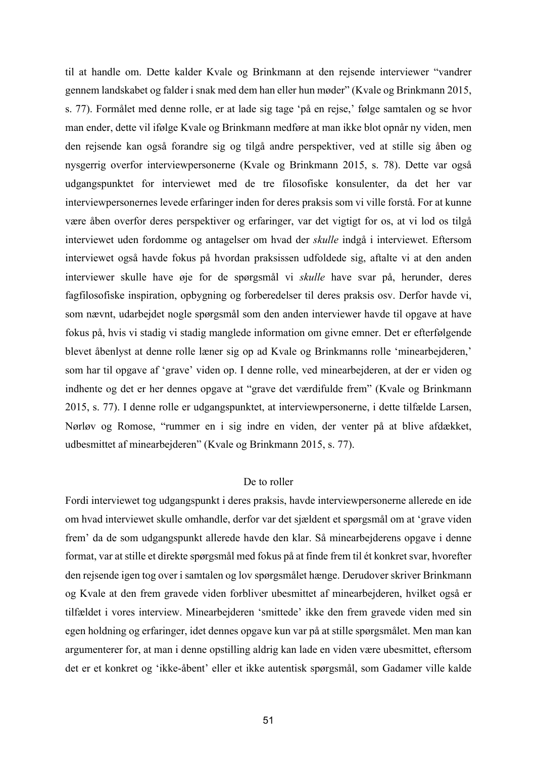til at handle om. Dette kalder Kvale og Brinkmann at den rejsende interviewer "vandrer gennem landskabet og falder i snak med dem han eller hun møder" (Kvale og Brinkmann 2015, s. 77). Formålet med denne rolle, er at lade sig tage 'på en rejse,' følge samtalen og se hvor man ender, dette vil ifølge Kvale og Brinkmann medføre at man ikke blot opnår ny viden, men den rejsende kan også forandre sig og tilgå andre perspektiver, ved at stille sig åben og nysgerrig overfor interviewpersonerne (Kvale og Brinkmann 2015, s. 78). Dette var også udgangspunktet for interviewet med de tre filosofiske konsulenter, da det her var interviewpersonernes levede erfaringer inden for deres praksis som vi ville forstå. For at kunne være åben overfor deres perspektiver og erfaringer, var det vigtigt for os, at vi lod os tilgå interviewet uden fordomme og antagelser om hvad der *skulle* indgå i interviewet. Eftersom interviewet også havde fokus på hvordan praksissen udfoldede sig, aftalte vi at den anden interviewer skulle have øje for de spørgsmål vi *skulle* have svar på, herunder, deres fagfilosofiske inspiration, opbygning og forberedelser til deres praksis osv. Derfor havde vi, som nævnt, udarbejdet nogle spørgsmål som den anden interviewer havde til opgave at have fokus på, hvis vi stadig vi stadig manglede information om givne emner. Det er efterfølgende blevet åbenlyst at denne rolle læner sig op ad Kvale og Brinkmanns rolle 'minearbejderen,' som har til opgave af 'grave' viden op. I denne rolle, ved minearbejderen, at der er viden og indhente og det er her dennes opgave at "grave det værdifulde frem" (Kvale og Brinkmann 2015, s. 77). I denne rolle er udgangspunktet, at interviewpersonerne, i dette tilfælde Larsen, Nørløv og Romose, "rummer en i sig indre en viden, der venter på at blive afdækket, udbesmittet af minearbejderen" (Kvale og Brinkmann 2015, s. 77).

## De to roller

Fordi interviewet tog udgangspunkt i deres praksis, havde interviewpersonerne allerede en ide om hvad interviewet skulle omhandle, derfor var det sjældent et spørgsmål om at 'grave viden frem' da de som udgangspunkt allerede havde den klar. Så minearbejderens opgave i denne format, var at stille et direkte spørgsmål med fokus på at finde frem til ét konkret svar, hvorefter den rejsende igen tog over i samtalen og lov spørgsmålet hænge. Derudover skriver Brinkmann og Kvale at den frem gravede viden forbliver ubesmittet af minearbejderen, hvilket også er tilfældet i vores interview. Minearbejderen 'smittede' ikke den frem gravede viden med sin egen holdning og erfaringer, idet dennes opgave kun var på at stille spørgsmålet. Men man kan argumenterer for, at man i denne opstilling aldrig kan lade en viden være ubesmittet, eftersom det er et konkret og 'ikke-åbent' eller et ikke autentisk spørgsmål, som Gadamer ville kalde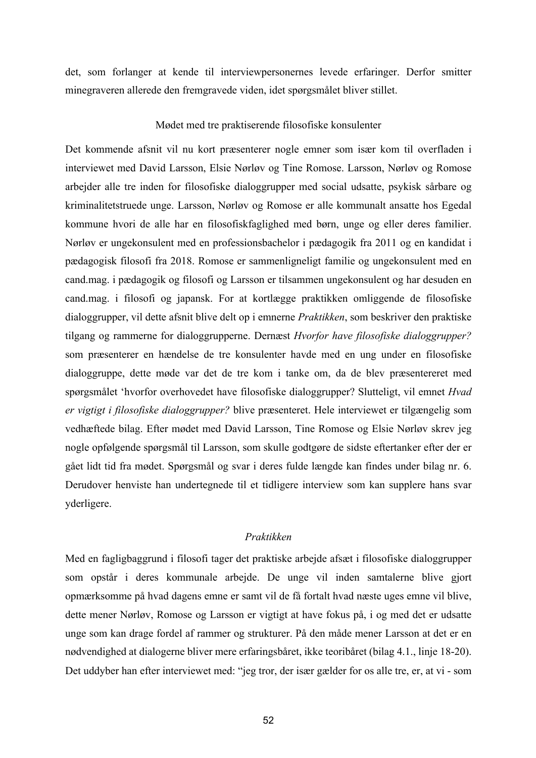det, som forlanger at kende til interviewpersonernes levede erfaringer. Derfor smitter minegraveren allerede den fremgravede viden, idet spørgsmålet bliver stillet.

## Mødet med tre praktiserende filosofiske konsulenter

Det kommende afsnit vil nu kort præsenterer nogle emner som især kom til overfladen i interviewet med David Larsson, Elsie Nørløv og Tine Romose. Larsson, Nørløv og Romose arbejder alle tre inden for filosofiske dialoggrupper med social udsatte, psykisk sårbare og kriminalitetstruede unge. Larsson, Nørløv og Romose er alle kommunalt ansatte hos Egedal kommune hvori de alle har en filosofiskfaglighed med børn, unge og eller deres familier. Nørløv er ungekonsulent med en professionsbachelor i pædagogik fra 2011 og en kandidat i pædagogisk filosofi fra 2018. Romose er sammenligneligt familie og ungekonsulent med en cand.mag. i pædagogik og filosofi og Larsson er tilsammen ungekonsulent og har desuden en cand.mag. i filosofi og japansk. For at kortlægge praktikken omliggende de filosofiske dialoggrupper, vil dette afsnit blive delt op i emnerne *Praktikken*, som beskriver den praktiske tilgang og rammerne for dialoggrupperne. Dernæst *Hvorfor have filosofiske dialoggrupper?* som præsenterer en hændelse de tre konsulenter havde med en ung under en filosofiske dialoggruppe, dette møde var det de tre kom i tanke om, da de blev præsentereret med spørgsmålet 'hvorfor overhovedet have filosofiske dialoggrupper? Slutteligt, vil emnet *Hvad er vigtigt i filosofiske dialoggrupper?* blive præsenteret. Hele interviewet er tilgængelig som vedhæftede bilag. Efter mødet med David Larsson, Tine Romose og Elsie Nørløv skrev jeg nogle opfølgende spørgsmål til Larsson, som skulle godtgøre de sidste eftertanker efter der er gået lidt tid fra mødet. Spørgsmål og svar i deres fulde længde kan findes under bilag nr. 6. Derudover henviste han undertegnede til et tidligere interview som kan supplere hans svar yderligere.

## *Praktikken*

Med en fagligbaggrund i filosofi tager det praktiske arbejde afsæt i filosofiske dialoggrupper som opstår i deres kommunale arbejde. De unge vil inden samtalerne blive gjort opmærksomme på hvad dagens emne er samt vil de få fortalt hvad næste uges emne vil blive, dette mener Nørløv, Romose og Larsson er vigtigt at have fokus på, i og med det er udsatte unge som kan drage fordel af rammer og strukturer. På den måde mener Larsson at det er en nødvendighed at dialogerne bliver mere erfaringsbåret, ikke teoribåret (bilag 4.1., linje 18-20). Det uddyber han efter interviewet med: "jeg tror, der især gælder for os alle tre, er, at vi - som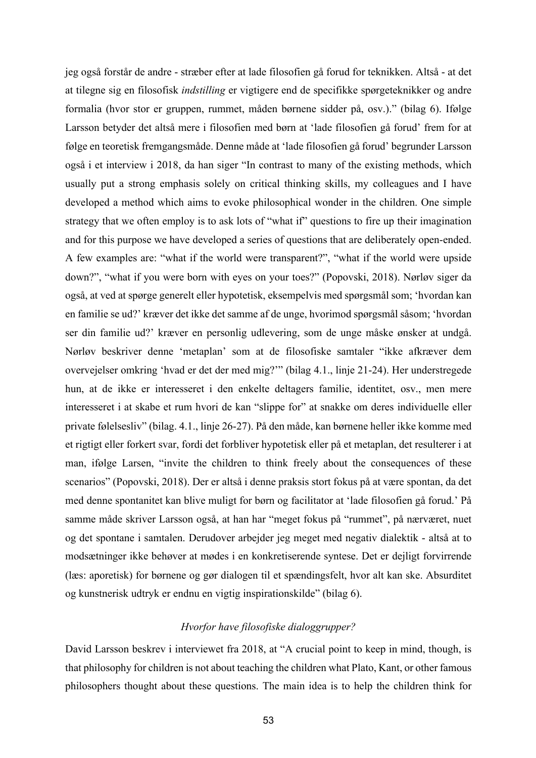jeg også forstår de andre - stræber efter at lade filosofien gå forud for teknikken. Altså - at det at tilegne sig en filosofisk *indstilling* er vigtigere end de specifikke spørgeteknikker og andre formalia (hvor stor er gruppen, rummet, måden børnene sidder på, osv.)." (bilag 6). Ifølge Larsson betyder det altså mere i filosofien med børn at 'lade filosofien gå forud' frem for at følge en teoretisk fremgangsmåde. Denne måde at 'lade filosofien gå forud' begrunder Larsson også i et interview i 2018, da han siger "In contrast to many of the existing methods, which usually put a strong emphasis solely on critical thinking skills, my colleagues and I have developed a method which aims to evoke philosophical wonder in the children. One simple strategy that we often employ is to ask lots of "what if" questions to fire up their imagination and for this purpose we have developed a series of questions that are deliberately open-ended. A few examples are: "what if the world were transparent?", "what if the world were upside down?", "what if you were born with eyes on your toes?" (Popovski, 2018). Nørløv siger da også, at ved at spørge generelt eller hypotetisk, eksempelvis med spørgsmål som; 'hvordan kan en familie se ud?' kræver det ikke det samme af de unge, hvorimod spørgsmål såsom; 'hvordan ser din familie ud?' kræver en personlig udlevering, som de unge måske ønsker at undgå. Nørløv beskriver denne 'metaplan' som at de filosofiske samtaler "ikke afkræver dem overvejelser omkring 'hvad er det der med mig?'" (bilag 4.1., linje 21-24). Her understregede hun, at de ikke er interesseret i den enkelte deltagers familie, identitet, osv., men mere interesseret i at skabe et rum hvori de kan "slippe for" at snakke om deres individuelle eller private følelsesliv" (bilag. 4.1., linje 26-27). På den måde, kan børnene heller ikke komme med et rigtigt eller forkert svar, fordi det forbliver hypotetisk eller på et metaplan, det resulterer i at man, ifølge Larsen, "invite the children to think freely about the consequences of these scenarios" (Popovski, 2018). Der er altså i denne praksis stort fokus på at være spontan, da det med denne spontanitet kan blive muligt for børn og facilitator at 'lade filosofien gå forud.' På samme måde skriver Larsson også, at han har "meget fokus på "rummet", på nærværet, nuet og det spontane i samtalen. Derudover arbejder jeg meget med negativ dialektik - altså at to modsætninger ikke behøver at mødes i en konkretiserende syntese. Det er dejligt forvirrende (læs: aporetisk) for børnene og gør dialogen til et spændingsfelt, hvor alt kan ske. Absurditet og kunstnerisk udtryk er endnu en vigtig inspirationskilde" (bilag 6).

## *Hvorfor have filosofiske dialoggrupper?*

David Larsson beskrev i interviewet fra 2018, at "A crucial point to keep in mind, though, is that philosophy for children is not about teaching the children what Plato, Kant, or other famous philosophers thought about these questions. The main idea is to help the children think for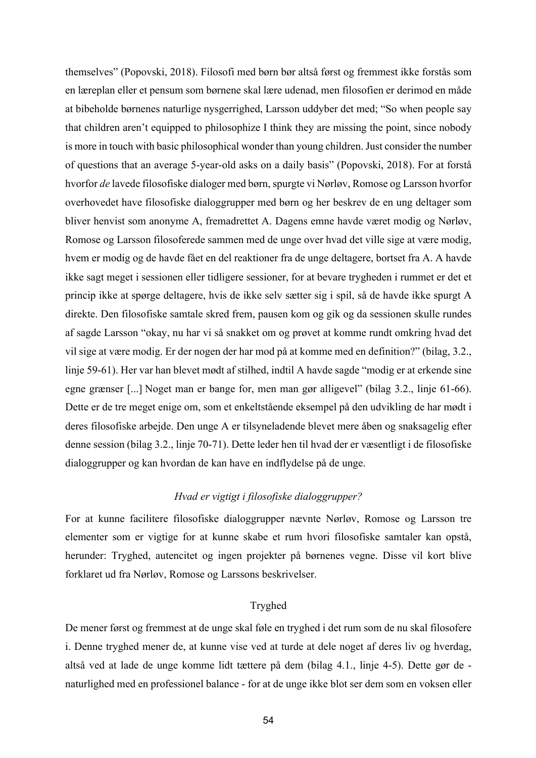themselves" (Popovski, 2018). Filosofi med børn bør altså først og fremmest ikke forstås som en læreplan eller et pensum som børnene skal lære udenad, men filosofien er derimod en måde at bibeholde børnenes naturlige nysgerrighed, Larsson uddyber det med; "So when people say that children aren't equipped to philosophize I think they are missing the point, since nobody is more in touch with basic philosophical wonder than young children. Just consider the number of questions that an average 5-year-old asks on a daily basis" (Popovski, 2018). For at forstå hvorfor *de* lavede filosofiske dialoger med børn, spurgte vi Nørløv, Romose og Larsson hvorfor overhovedet have filosofiske dialoggrupper med børn og her beskrev de en ung deltager som bliver henvist som anonyme A, fremadrettet A. Dagens emne havde været modig og Nørløv, Romose og Larsson filosoferede sammen med de unge over hvad det ville sige at være modig, hvem er modig og de havde fået en del reaktioner fra de unge deltagere, bortset fra A. A havde ikke sagt meget i sessionen eller tidligere sessioner, for at bevare trygheden i rummet er det et princip ikke at spørge deltagere, hvis de ikke selv sætter sig i spil, så de havde ikke spurgt A direkte. Den filosofiske samtale skred frem, pausen kom og gik og da sessionen skulle rundes af sagde Larsson "okay, nu har vi så snakket om og prøvet at komme rundt omkring hvad det vil sige at være modig. Er der nogen der har mod på at komme med en definition?" (bilag, 3.2., linje 59-61). Her var han blevet mødt af stilhed, indtil A havde sagde "modig er at erkende sine egne grænser [...] Noget man er bange for, men man gør alligevel" (bilag 3.2., linje 61-66). Dette er de tre meget enige om, som et enkeltstående eksempel på den udvikling de har mødt i deres filosofiske arbejde. Den unge A er tilsyneladende blevet mere åben og snaksagelig efter denne session (bilag 3.2., linje 70-71). Dette leder hen til hvad der er væsentligt i de filosofiske dialoggrupper og kan hvordan de kan have en indflydelse på de unge.

# *Hvad er vigtigt i filosofiske dialoggrupper?*

For at kunne facilitere filosofiske dialoggrupper nævnte Nørløv, Romose og Larsson tre elementer som er vigtige for at kunne skabe et rum hvori filosofiske samtaler kan opstå, herunder: Tryghed, autencitet og ingen projekter på børnenes vegne. Disse vil kort blive forklaret ud fra Nørløv, Romose og Larssons beskrivelser.

## Tryghed

De mener først og fremmest at de unge skal føle en tryghed i det rum som de nu skal filosofere i. Denne tryghed mener de, at kunne vise ved at turde at dele noget af deres liv og hverdag, altså ved at lade de unge komme lidt tættere på dem (bilag 4.1., linje 4-5). Dette gør de naturlighed med en professionel balance - for at de unge ikke blot ser dem som en voksen eller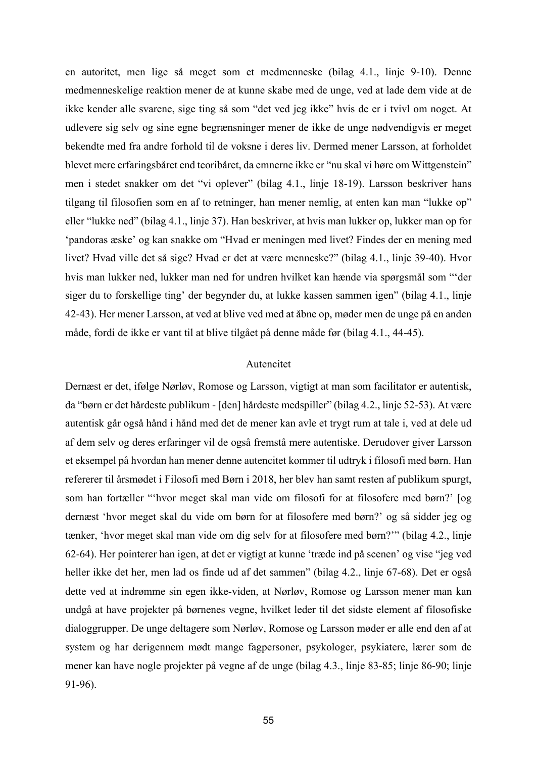en autoritet, men lige så meget som et medmenneske (bilag 4.1., linje 9-10). Denne medmenneskelige reaktion mener de at kunne skabe med de unge, ved at lade dem vide at de ikke kender alle svarene, sige ting så som "det ved jeg ikke" hvis de er i tvivl om noget. At udlevere sig selv og sine egne begrænsninger mener de ikke de unge nødvendigvis er meget bekendte med fra andre forhold til de voksne i deres liv. Dermed mener Larsson, at forholdet blevet mere erfaringsbåret end teoribåret, da emnerne ikke er "nu skal vi høre om Wittgenstein" men i stedet snakker om det "vi oplever" (bilag 4.1., linje 18-19). Larsson beskriver hans tilgang til filosofien som en af to retninger, han mener nemlig, at enten kan man "lukke op" eller "lukke ned" (bilag 4.1., linje 37). Han beskriver, at hvis man lukker op, lukker man op for 'pandoras æske' og kan snakke om "Hvad er meningen med livet? Findes der en mening med livet? Hvad ville det så sige? Hvad er det at være menneske?" (bilag 4.1., linje 39-40). Hvor hvis man lukker ned, lukker man ned for undren hvilket kan hænde via spørgsmål som "'der siger du to forskellige ting' der begynder du, at lukke kassen sammen igen" (bilag 4.1., linje 42-43). Her mener Larsson, at ved at blive ved med at åbne op, møder men de unge på en anden måde, fordi de ikke er vant til at blive tilgået på denne måde før (bilag 4.1., 44-45).

### Autencitet

Dernæst er det, ifølge Nørløv, Romose og Larsson, vigtigt at man som facilitator er autentisk, da "børn er det hårdeste publikum - [den] hårdeste medspiller" (bilag 4.2., linje 52-53). At være autentisk går også hånd i hånd med det de mener kan avle et trygt rum at tale i, ved at dele ud af dem selv og deres erfaringer vil de også fremstå mere autentiske. Derudover giver Larsson et eksempel på hvordan han mener denne autencitet kommer til udtryk i filosofi med børn. Han refererer til årsmødet i Filosofi med Børn i 2018, her blev han samt resten af publikum spurgt, som han fortæller "'hvor meget skal man vide om filosofi for at filosofere med børn?' [og dernæst 'hvor meget skal du vide om børn for at filosofere med børn?' og så sidder jeg og tænker, 'hvor meget skal man vide om dig selv for at filosofere med børn?'" (bilag 4.2., linje 62-64). Her pointerer han igen, at det er vigtigt at kunne 'træde ind på scenen' og vise "jeg ved heller ikke det her, men lad os finde ud af det sammen" (bilag 4.2., linje 67-68). Det er også dette ved at indrømme sin egen ikke-viden, at Nørløv, Romose og Larsson mener man kan undgå at have projekter på børnenes vegne, hvilket leder til det sidste element af filosofiske dialoggrupper. De unge deltagere som Nørløv, Romose og Larsson møder er alle end den af at system og har derigennem mødt mange fagpersoner, psykologer, psykiatere, lærer som de mener kan have nogle projekter på vegne af de unge (bilag 4.3., linje 83-85; linje 86-90; linje 91-96).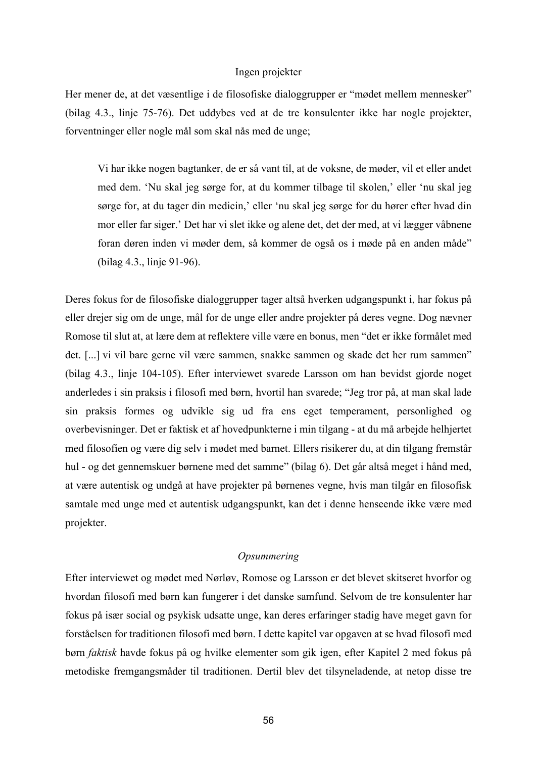#### Ingen projekter

Her mener de, at det væsentlige i de filosofiske dialoggrupper er "mødet mellem mennesker" (bilag 4.3., linje 75-76). Det uddybes ved at de tre konsulenter ikke har nogle projekter, forventninger eller nogle mål som skal nås med de unge;

Vi har ikke nogen bagtanker, de er så vant til, at de voksne, de møder, vil et eller andet med dem. 'Nu skal jeg sørge for, at du kommer tilbage til skolen,' eller 'nu skal jeg sørge for, at du tager din medicin,' eller 'nu skal jeg sørge for du hører efter hvad din mor eller far siger.' Det har vi slet ikke og alene det, det der med, at vi lægger våbnene foran døren inden vi møder dem, så kommer de også os i møde på en anden måde" (bilag 4.3., linje 91-96).

Deres fokus for de filosofiske dialoggrupper tager altså hverken udgangspunkt i, har fokus på eller drejer sig om de unge, mål for de unge eller andre projekter på deres vegne. Dog nævner Romose til slut at, at lære dem at reflektere ville være en bonus, men "det er ikke formålet med det. [...] vi vil bare gerne vil være sammen, snakke sammen og skade det her rum sammen" (bilag 4.3., linje 104-105). Efter interviewet svarede Larsson om han bevidst gjorde noget anderledes i sin praksis i filosofi med børn, hvortil han svarede; "Jeg tror på, at man skal lade sin praksis formes og udvikle sig ud fra ens eget temperament, personlighed og overbevisninger. Det er faktisk et af hovedpunkterne i min tilgang - at du må arbejde helhjertet med filosofien og være dig selv i mødet med barnet. Ellers risikerer du, at din tilgang fremstår hul - og det gennemskuer børnene med det samme" (bilag 6). Det går altså meget i hånd med, at være autentisk og undgå at have projekter på børnenes vegne, hvis man tilgår en filosofisk samtale med unge med et autentisk udgangspunkt, kan det i denne henseende ikke være med projekter.

## *Opsummering*

Efter interviewet og mødet med Nørløv, Romose og Larsson er det blevet skitseret hvorfor og hvordan filosofi med børn kan fungerer i det danske samfund. Selvom de tre konsulenter har fokus på især social og psykisk udsatte unge, kan deres erfaringer stadig have meget gavn for forståelsen for traditionen filosofi med børn. I dette kapitel var opgaven at se hvad filosofi med børn *faktisk* havde fokus på og hvilke elementer som gik igen, efter Kapitel 2 med fokus på metodiske fremgangsmåder til traditionen. Dertil blev det tilsyneladende, at netop disse tre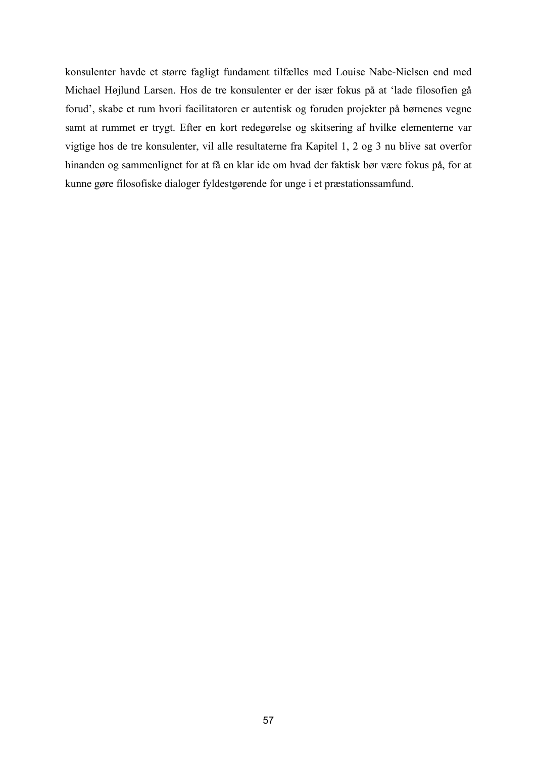konsulenter havde et større fagligt fundament tilfælles med Louise Nabe-Nielsen end med Michael Højlund Larsen. Hos de tre konsulenter er der især fokus på at 'lade filosofien gå forud', skabe et rum hvori facilitatoren er autentisk og foruden projekter på børnenes vegne samt at rummet er trygt. Efter en kort redegørelse og skitsering af hvilke elementerne var vigtige hos de tre konsulenter, vil alle resultaterne fra Kapitel 1, 2 og 3 nu blive sat overfor hinanden og sammenlignet for at få en klar ide om hvad der faktisk bør være fokus på, for at kunne gøre filosofiske dialoger fyldestgørende for unge i et præstationssamfund.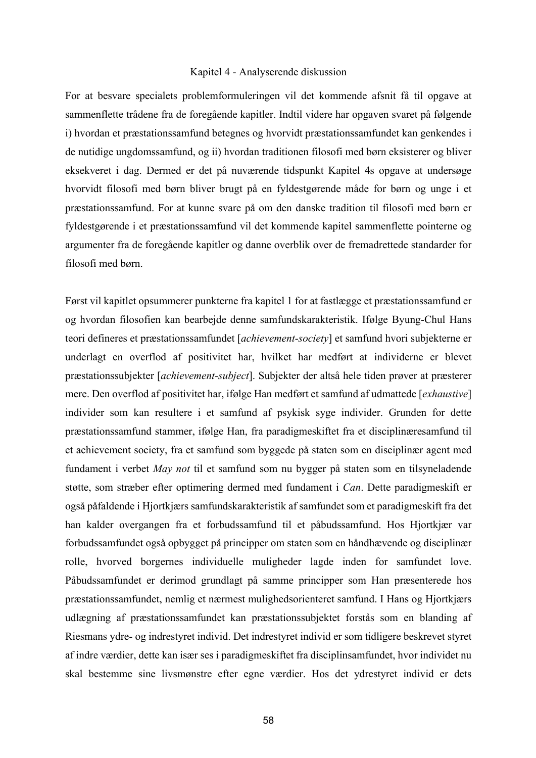#### Kapitel 4 - Analyserende diskussion

For at besvare specialets problemformuleringen vil det kommende afsnit få til opgave at sammenflette trådene fra de foregående kapitler. Indtil videre har opgaven svaret på følgende i) hvordan et præstationssamfund betegnes og hvorvidt præstationssamfundet kan genkendes i de nutidige ungdomssamfund, og ii) hvordan traditionen filosofi med børn eksisterer og bliver eksekveret i dag. Dermed er det på nuværende tidspunkt Kapitel 4s opgave at undersøge hvorvidt filosofi med børn bliver brugt på en fyldestgørende måde for børn og unge i et præstationssamfund. For at kunne svare på om den danske tradition til filosofi med børn er fyldestgørende i et præstationssamfund vil det kommende kapitel sammenflette pointerne og argumenter fra de foregående kapitler og danne overblik over de fremadrettede standarder for filosofi med børn.

Først vil kapitlet opsummerer punkterne fra kapitel 1 for at fastlægge et præstationssamfund er og hvordan filosofien kan bearbejde denne samfundskarakteristik. Ifølge Byung-Chul Hans teori defineres et præstationssamfundet [*achievement-society*] et samfund hvori subjekterne er underlagt en overflod af positivitet har, hvilket har medført at individerne er blevet præstationssubjekter [*achievement-subject*]. Subjekter der altså hele tiden prøver at præsterer mere. Den overflod af positivitet har, ifølge Han medført et samfund af udmattede [*exhaustive*] individer som kan resultere i et samfund af psykisk syge individer. Grunden for dette præstationssamfund stammer, ifølge Han, fra paradigmeskiftet fra et disciplinæresamfund til et achievement society, fra et samfund som byggede på staten som en disciplinær agent med fundament i verbet *May not* til et samfund som nu bygger på staten som en tilsyneladende støtte, som stræber efter optimering dermed med fundament i *Can*. Dette paradigmeskift er også påfaldende i Hjortkjærs samfundskarakteristik af samfundet som et paradigmeskift fra det han kalder overgangen fra et forbudssamfund til et påbudssamfund. Hos Hjortkjær var forbudssamfundet også opbygget på principper om staten som en håndhævende og disciplinær rolle, hvorved borgernes individuelle muligheder lagde inden for samfundet love. Påbudssamfundet er derimod grundlagt på samme principper som Han præsenterede hos præstationssamfundet, nemlig et nærmest mulighedsorienteret samfund. I Hans og Hjortkjærs udlægning af præstationssamfundet kan præstationssubjektet forstås som en blanding af Riesmans ydre- og indrestyret individ. Det indrestyret individ er som tidligere beskrevet styret af indre værdier, dette kan især ses i paradigmeskiftet fra disciplinsamfundet, hvor individet nu skal bestemme sine livsmønstre efter egne værdier. Hos det ydrestyret individ er dets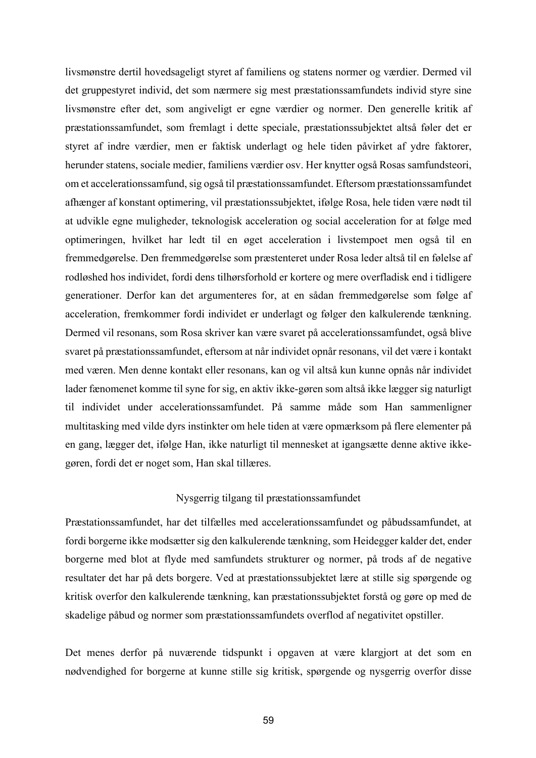livsmønstre dertil hovedsageligt styret af familiens og statens normer og værdier. Dermed vil det gruppestyret individ, det som nærmere sig mest præstationssamfundets individ styre sine livsmønstre efter det, som angiveligt er egne værdier og normer. Den generelle kritik af præstationssamfundet, som fremlagt i dette speciale, præstationssubjektet altså føler det er styret af indre værdier, men er faktisk underlagt og hele tiden påvirket af ydre faktorer, herunder statens, sociale medier, familiens værdier osv. Her knytter også Rosas samfundsteori, om et accelerationssamfund, sig også til præstationssamfundet. Eftersom præstationssamfundet afhænger af konstant optimering, vil præstationssubjektet, ifølge Rosa, hele tiden være nødt til at udvikle egne muligheder, teknologisk acceleration og social acceleration for at følge med optimeringen, hvilket har ledt til en øget acceleration i livstempoet men også til en fremmedgørelse. Den fremmedgørelse som præstenteret under Rosa leder altså til en følelse af rodløshed hos individet, fordi dens tilhørsforhold er kortere og mere overfladisk end i tidligere generationer. Derfor kan det argumenteres for, at en sådan fremmedgørelse som følge af acceleration, fremkommer fordi individet er underlagt og følger den kalkulerende tænkning. Dermed vil resonans, som Rosa skriver kan være svaret på accelerationssamfundet, også blive svaret på præstationssamfundet, eftersom at når individet opnår resonans, vil det være i kontakt med væren. Men denne kontakt eller resonans, kan og vil altså kun kunne opnås når individet lader fænomenet komme til syne for sig, en aktiv ikke-gøren som altså ikke lægger sig naturligt til individet under accelerationssamfundet. På samme måde som Han sammenligner multitasking med vilde dyrs instinkter om hele tiden at være opmærksom på flere elementer på en gang, lægger det, ifølge Han, ikke naturligt til mennesket at igangsætte denne aktive ikkegøren, fordi det er noget som, Han skal tillæres.

## Nysgerrig tilgang til præstationssamfundet

Præstationssamfundet, har det tilfælles med accelerationssamfundet og påbudssamfundet, at fordi borgerne ikke modsætter sig den kalkulerende tænkning, som Heidegger kalder det, ender borgerne med blot at flyde med samfundets strukturer og normer, på trods af de negative resultater det har på dets borgere. Ved at præstationssubjektet lære at stille sig spørgende og kritisk overfor den kalkulerende tænkning, kan præstationssubjektet forstå og gøre op med de skadelige påbud og normer som præstationssamfundets overflod af negativitet opstiller.

Det menes derfor på nuværende tidspunkt i opgaven at være klargjort at det som en nødvendighed for borgerne at kunne stille sig kritisk, spørgende og nysgerrig overfor disse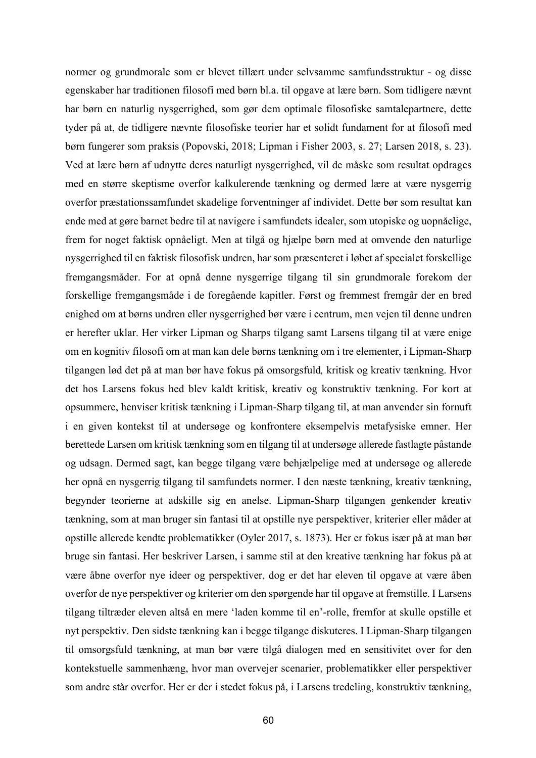normer og grundmorale som er blevet tillært under selvsamme samfundsstruktur - og disse egenskaber har traditionen filosofi med børn bl.a. til opgave at lære børn. Som tidligere nævnt har børn en naturlig nysgerrighed, som gør dem optimale filosofiske samtalepartnere, dette tyder på at, de tidligere nævnte filosofiske teorier har et solidt fundament for at filosofi med børn fungerer som praksis (Popovski, 2018; Lipman i Fisher 2003, s. 27; Larsen 2018, s. 23). Ved at lære børn af udnytte deres naturligt nysgerrighed, vil de måske som resultat opdrages med en større skeptisme overfor kalkulerende tænkning og dermed lære at være nysgerrig overfor præstationssamfundet skadelige forventninger af individet. Dette bør som resultat kan ende med at gøre barnet bedre til at navigere i samfundets idealer, som utopiske og uopnåelige, frem for noget faktisk opnåeligt. Men at tilgå og hjælpe børn med at omvende den naturlige nysgerrighed til en faktisk filosofisk undren, har som præsenteret i løbet af specialet forskellige fremgangsmåder. For at opnå denne nysgerrige tilgang til sin grundmorale forekom der forskellige fremgangsmåde i de foregående kapitler. Først og fremmest fremgår der en bred enighed om at børns undren eller nysgerrighed bør være i centrum, men vejen til denne undren er herefter uklar. Her virker Lipman og Sharps tilgang samt Larsens tilgang til at være enige om en kognitiv filosofi om at man kan dele børns tænkning om i tre elementer, i Lipman-Sharp tilgangen lød det på at man bør have fokus på omsorgsfuld*,* kritisk og kreativ tænkning. Hvor det hos Larsens fokus hed blev kaldt kritisk, kreativ og konstruktiv tænkning. For kort at opsummere, henviser kritisk tænkning i Lipman-Sharp tilgang til, at man anvender sin fornuft i en given kontekst til at undersøge og konfrontere eksempelvis metafysiske emner. Her berettede Larsen om kritisk tænkning som en tilgang til at undersøge allerede fastlagte påstande og udsagn. Dermed sagt, kan begge tilgang være behjælpelige med at undersøge og allerede her opnå en nysgerrig tilgang til samfundets normer. I den næste tænkning, kreativ tænkning, begynder teorierne at adskille sig en anelse. Lipman-Sharp tilgangen genkender kreativ tænkning, som at man bruger sin fantasi til at opstille nye perspektiver, kriterier eller måder at opstille allerede kendte problematikker (Oyler 2017, s. 1873). Her er fokus især på at man bør bruge sin fantasi. Her beskriver Larsen, i samme stil at den kreative tænkning har fokus på at være åbne overfor nye ideer og perspektiver, dog er det har eleven til opgave at være åben overfor de nye perspektiver og kriterier om den spørgende har til opgave at fremstille. I Larsens tilgang tiltræder eleven altså en mere 'laden komme til en'-rolle, fremfor at skulle opstille et nyt perspektiv. Den sidste tænkning kan i begge tilgange diskuteres. I Lipman-Sharp tilgangen til omsorgsfuld tænkning, at man bør være tilgå dialogen med en sensitivitet over for den kontekstuelle sammenhæng, hvor man overvejer scenarier, problematikker eller perspektiver som andre står overfor. Her er der i stedet fokus på, i Larsens tredeling, konstruktiv tænkning,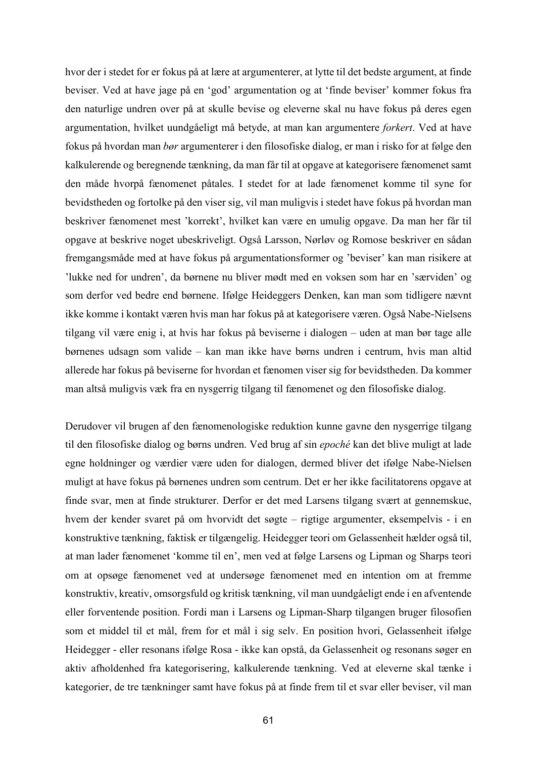hvor der i stedet for er fokus på at lære at argumenterer, at lytte til det bedste argument, at finde beviser. Ved at have jage på en 'god' argumentation og at 'finde beviser' kommer fokus fra den naturlige undren over på at skulle bevise og eleverne skal nu have fokus på deres egen argumentation, hvilket uundgåeligt må betyde, at man kan argumentere *forkert*. Ved at have fokus på hvordan man *bør* argumenterer i den filosofiske dialog, er man i risko for at følge den kalkulerende og beregnende tænkning, da man får til at opgave at kategorisere fænomenet samt den måde hvorpå fænomenet påtales. I stedet for at lade fænomenet komme til syne for bevidstheden og fortolke på den viser sig, vil man muligvis i stedet have fokus på hvordan man beskriver fænomenet mest 'korrekt', hvilket kan være en umulig opgave. Da man her får til opgave at beskrive noget ubeskriveligt. Også Larsson, Nørløv og Romose beskriver en sådan fremgangsmåde med at have fokus på argumentationsformer og 'beviser' kan man risikere at 'lukke ned for undren', da børnene nu bliver mødt med en voksen som har en 'særviden' og som derfor ved bedre end børnene. Ifølge Heideggers Denken, kan man som tidligere nævnt ikke komme i kontakt væren hvis man har fokus på at kategorisere væren. Også Nabe-Nielsens tilgang vil være enig i, at hvis har fokus på beviserne i dialogen – uden at man bør tage alle børnenes udsagn som valide – kan man ikke have børns undren i centrum, hvis man altid allerede har fokus på beviserne for hvordan et fænomen viser sig for bevidstheden. Da kommer man altså muligvis væk fra en nysgerrig tilgang til fænomenet og den filosofiske dialog.

Derudover vil brugen af den fænomenologiske reduktion kunne gavne den nysgerrige tilgang til den filosofiske dialog og børns undren. Ved brug af sin *epoché* kan det blive muligt at lade egne holdninger og værdier være uden for dialogen, dermed bliver det ifølge Nabe-Nielsen muligt at have fokus på børnenes undren som centrum. Det er her ikke facilitatorens opgave at finde svar, men at finde strukturer. Derfor er det med Larsens tilgang svært at gennemskue, hvem der kender svaret på om hvorvidt det søgte – rigtige argumenter, eksempelvis - i en konstruktive tænkning, faktisk er tilgængelig. Heidegger teori om Gelassenheit hælder også til, at man lader fænomenet 'komme til en', men ved at følge Larsens og Lipman og Sharps teori om at opsøge fænomenet ved at undersøge fænomenet med en intention om at fremme konstruktiv, kreativ, omsorgsfuld og kritisk tænkning, vil man uundgåeligt ende i en afventende eller forventende position. Fordi man i Larsens og Lipman-Sharp tilgangen bruger filosofien som et middel til et mål, frem for et mål i sig selv. En position hvori, Gelassenheit ifølge Heidegger - eller resonans ifølge Rosa - ikke kan opstå, da Gelassenheit og resonans søger en aktiv afholdenhed fra kategorisering, kalkulerende tænkning. Ved at eleverne skal tænke i kategorier, de tre tænkninger samt have fokus på at finde frem til et svar eller beviser, vil man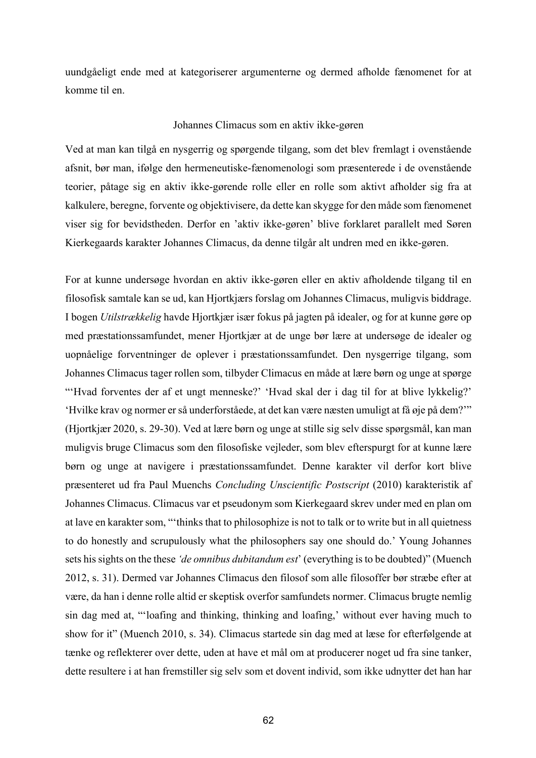uundgåeligt ende med at kategoriserer argumenterne og dermed afholde fænomenet for at komme til en.

### Johannes Climacus som en aktiv ikke-gøren

Ved at man kan tilgå en nysgerrig og spørgende tilgang, som det blev fremlagt i ovenstående afsnit, bør man, ifølge den hermeneutiske-fænomenologi som præsenterede i de ovenstående teorier, påtage sig en aktiv ikke-gørende rolle eller en rolle som aktivt afholder sig fra at kalkulere, beregne, forvente og objektivisere, da dette kan skygge for den måde som fænomenet viser sig for bevidstheden. Derfor en 'aktiv ikke-gøren' blive forklaret parallelt med Søren Kierkegaards karakter Johannes Climacus, da denne tilgår alt undren med en ikke-gøren.

For at kunne undersøge hvordan en aktiv ikke-gøren eller en aktiv afholdende tilgang til en filosofisk samtale kan se ud, kan Hjortkjærs forslag om Johannes Climacus, muligvis biddrage. I bogen *Utilstrækkelig* havde Hjortkjær især fokus på jagten på idealer, og for at kunne gøre op med præstationssamfundet, mener Hjortkjær at de unge bør lære at undersøge de idealer og uopnåelige forventninger de oplever i præstationssamfundet. Den nysgerrige tilgang, som Johannes Climacus tager rollen som, tilbyder Climacus en måde at lære børn og unge at spørge "'Hvad forventes der af et ungt menneske?' 'Hvad skal der i dag til for at blive lykkelig?' 'Hvilke krav og normer er så underforståede, at det kan være næsten umuligt at få øje på dem?'" (Hjortkjær 2020, s. 29-30). Ved at lære børn og unge at stille sig selv disse spørgsmål, kan man muligvis bruge Climacus som den filosofiske vejleder, som blev efterspurgt for at kunne lære børn og unge at navigere i præstationssamfundet. Denne karakter vil derfor kort blive præsenteret ud fra Paul Muenchs *Concluding Unscientific Postscript* (2010) karakteristik af Johannes Climacus. Climacus var et pseudonym som Kierkegaard skrev under med en plan om at lave en karakter som, "'thinks that to philosophize is not to talk or to write but in all quietness to do honestly and scrupulously what the philosophers say one should do.' Young Johannes sets his sights on the these *'de omnibus dubitandum est*' (everything is to be doubted)" (Muench 2012, s. 31). Dermed var Johannes Climacus den filosof som alle filosoffer bør stræbe efter at være, da han i denne rolle altid er skeptisk overfor samfundets normer. Climacus brugte nemlig sin dag med at, "'loafing and thinking, thinking and loafing,' without ever having much to show for it" (Muench 2010, s. 34). Climacus startede sin dag med at læse for efterfølgende at tænke og reflekterer over dette, uden at have et mål om at producerer noget ud fra sine tanker, dette resultere i at han fremstiller sig selv som et dovent individ, som ikke udnytter det han har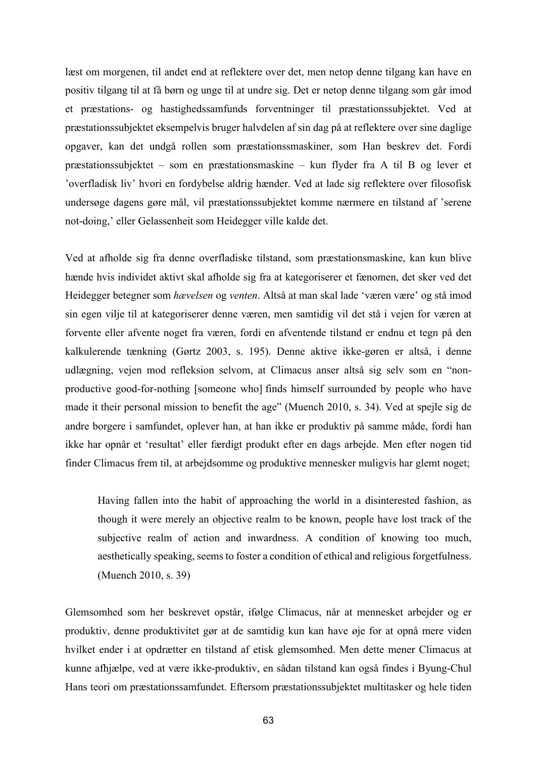læst om morgenen, til andet end at reflektere over det, men netop denne tilgang kan have en positiv tilgang til at få børn og unge til at undre sig. Det er netop denne tilgang som går imod et præstations- og hastighedssamfunds forventninger til præstationssubjektet. Ved at præstationssubjektet eksempelvis bruger halvdelen af sin dag på at reflektere over sine daglige opgaver, kan det undgå rollen som præstationssmaskiner, som Han beskrev det. Fordi præstationssubjektet – som en præstationsmaskine – kun flyder fra A til B og lever et 'overfladisk liv' hvori en fordybelse aldrig hænder. Ved at lade sig reflektere over filosofisk undersøge dagens gøre mål, vil præstationssubjektet komme nærmere en tilstand af 'serene not-doing,' eller Gelassenheit som Heidegger ville kalde det.

Ved at afholde sig fra denne overfladiske tilstand, som præstationsmaskine, kan kun blive hænde hvis individet aktivt skal afholde sig fra at kategoriserer et fænomen, det sker ved det Heidegger betegner som *hævelsen* og *venten*. Altså at man skal lade 'væren være' og stå imod sin egen vilje til at kategoriserer denne væren, men samtidig vil det stå i vejen for væren at forvente eller afvente noget fra væren, fordi en afventende tilstand er endnu et tegn på den kalkulerende tænkning (Gørtz 2003, s. 195). Denne aktive ikke-gøren er altså, i denne udlægning, vejen mod refleksion selvom, at Climacus anser altså sig selv som en "nonproductive good-for-nothing [someone who] finds himself surrounded by people who have made it their personal mission to benefit the age" (Muench 2010, s. 34). Ved at spejle sig de andre borgere i samfundet, oplever han, at han ikke er produktiv på samme måde, fordi han ikke har opnår et 'resultat' eller færdigt produkt efter en dags arbejde. Men efter nogen tid finder Climacus frem til, at arbejdsomme og produktive mennesker muligvis har glemt noget;

Having fallen into the habit of approaching the world in a disinterested fashion, as though it were merely an objective realm to be known, people have lost track of the subjective realm of action and inwardness. A condition of knowing too much, aesthetically speaking, seems to foster a condition of ethical and religious forgetfulness. (Muench 2010, s. 39)

Glemsomhed som her beskrevet opstår, ifølge Climacus, når at mennesket arbejder og er produktiv, denne produktivitet gør at de samtidig kun kan have øje for at opnå mere viden hvilket ender i at opdrætter en tilstand af etisk glemsomhed. Men dette mener Climacus at kunne afhjælpe, ved at være ikke-produktiv, en sådan tilstand kan også findes i Byung-Chul Hans teori om præstationssamfundet. Eftersom præstationssubjektet multitasker og hele tiden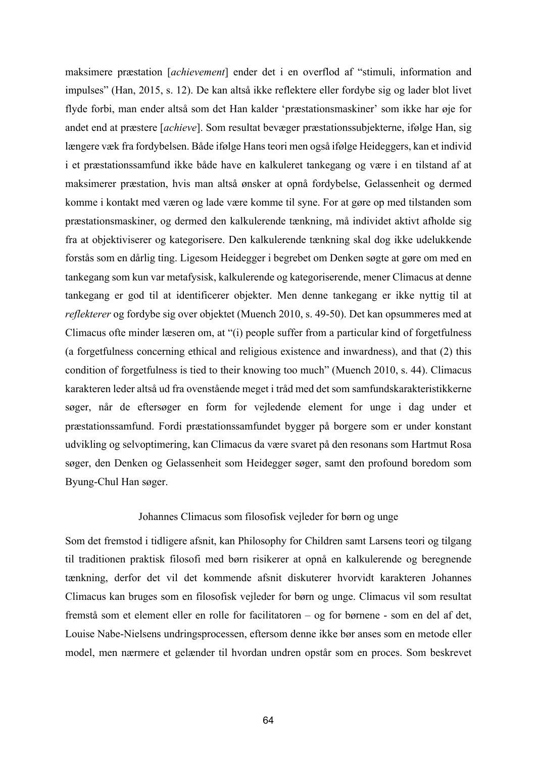maksimere præstation [*achievement*] ender det i en overflod af "stimuli, information and impulses" (Han, 2015, s. 12). De kan altså ikke reflektere eller fordybe sig og lader blot livet flyde forbi, man ender altså som det Han kalder 'præstationsmaskiner' som ikke har øje for andet end at præstere [*achieve*]. Som resultat bevæger præstationssubjekterne, ifølge Han, sig længere væk fra fordybelsen. Både ifølge Hans teori men også ifølge Heideggers, kan et individ i et præstationssamfund ikke både have en kalkuleret tankegang og være i en tilstand af at maksimerer præstation, hvis man altså ønsker at opnå fordybelse, Gelassenheit og dermed komme i kontakt med væren og lade være komme til syne. For at gøre op med tilstanden som præstationsmaskiner, og dermed den kalkulerende tænkning, må individet aktivt afholde sig fra at objektiviserer og kategorisere. Den kalkulerende tænkning skal dog ikke udelukkende forstås som en dårlig ting. Ligesom Heidegger i begrebet om Denken søgte at gøre om med en tankegang som kun var metafysisk, kalkulerende og kategoriserende, mener Climacus at denne tankegang er god til at identificerer objekter. Men denne tankegang er ikke nyttig til at *reflekterer* og fordybe sig over objektet (Muench 2010, s. 49-50). Det kan opsummeres med at Climacus ofte minder læseren om, at "(i) people suffer from a particular kind of forgetfulness (a forgetfulness concerning ethical and religious existence and inwardness), and that (2) this condition of forgetfulness is tied to their knowing too much" (Muench 2010, s. 44). Climacus karakteren leder altså ud fra ovenstående meget i tråd med det som samfundskarakteristikkerne søger, når de eftersøger en form for vejledende element for unge i dag under et præstationssamfund. Fordi præstationssamfundet bygger på borgere som er under konstant udvikling og selvoptimering, kan Climacus da være svaret på den resonans som Hartmut Rosa søger, den Denken og Gelassenheit som Heidegger søger, samt den profound boredom som Byung-Chul Han søger.

# Johannes Climacus som filosofisk vejleder for børn og unge

Som det fremstod i tidligere afsnit, kan Philosophy for Children samt Larsens teori og tilgang til traditionen praktisk filosofi med børn risikerer at opnå en kalkulerende og beregnende tænkning, derfor det vil det kommende afsnit diskuterer hvorvidt karakteren Johannes Climacus kan bruges som en filosofisk vejleder for børn og unge. Climacus vil som resultat fremstå som et element eller en rolle for facilitatoren – og for børnene - som en del af det, Louise Nabe-Nielsens undringsprocessen, eftersom denne ikke bør anses som en metode eller model, men nærmere et gelænder til hvordan undren opstår som en proces. Som beskrevet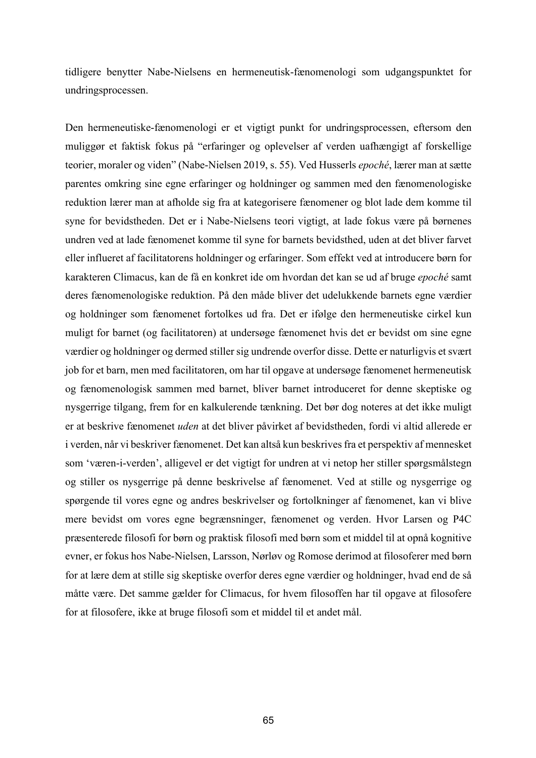tidligere benytter Nabe-Nielsens en hermeneutisk-fænomenologi som udgangspunktet for undringsprocessen.

Den hermeneutiske-fænomenologi er et vigtigt punkt for undringsprocessen, eftersom den muliggør et faktisk fokus på "erfaringer og oplevelser af verden uafhængigt af forskellige teorier, moraler og viden" (Nabe-Nielsen 2019, s. 55). Ved Husserls *epoché*, lærer man at sætte parentes omkring sine egne erfaringer og holdninger og sammen med den fænomenologiske reduktion lærer man at afholde sig fra at kategorisere fænomener og blot lade dem komme til syne for bevidstheden. Det er i Nabe-Nielsens teori vigtigt, at lade fokus være på børnenes undren ved at lade fænomenet komme til syne for barnets bevidsthed, uden at det bliver farvet eller influeret af facilitatorens holdninger og erfaringer. Som effekt ved at introducere børn for karakteren Climacus, kan de få en konkret ide om hvordan det kan se ud af bruge *epoché* samt deres fænomenologiske reduktion. På den måde bliver det udelukkende barnets egne værdier og holdninger som fænomenet fortolkes ud fra. Det er ifølge den hermeneutiske cirkel kun muligt for barnet (og facilitatoren) at undersøge fænomenet hvis det er bevidst om sine egne værdier og holdninger og dermed stiller sig undrende overfor disse. Dette er naturligvis et svært job for et barn, men med facilitatoren, om har til opgave at undersøge fænomenet hermeneutisk og fænomenologisk sammen med barnet, bliver barnet introduceret for denne skeptiske og nysgerrige tilgang, frem for en kalkulerende tænkning. Det bør dog noteres at det ikke muligt er at beskrive fænomenet *uden* at det bliver påvirket af bevidstheden, fordi vi altid allerede er i verden, når vi beskriver fænomenet. Det kan altså kun beskrives fra et perspektiv af mennesket som 'væren-i-verden', alligevel er det vigtigt for undren at vi netop her stiller spørgsmålstegn og stiller os nysgerrige på denne beskrivelse af fænomenet. Ved at stille og nysgerrige og spørgende til vores egne og andres beskrivelser og fortolkninger af fænomenet, kan vi blive mere bevidst om vores egne begrænsninger, fænomenet og verden. Hvor Larsen og P4C præsenterede filosofi for børn og praktisk filosofi med børn som et middel til at opnå kognitive evner, er fokus hos Nabe-Nielsen, Larsson, Nørløv og Romose derimod at filosoferer med børn for at lære dem at stille sig skeptiske overfor deres egne værdier og holdninger, hvad end de så måtte være. Det samme gælder for Climacus, for hvem filosoffen har til opgave at filosofere for at filosofere, ikke at bruge filosofi som et middel til et andet mål.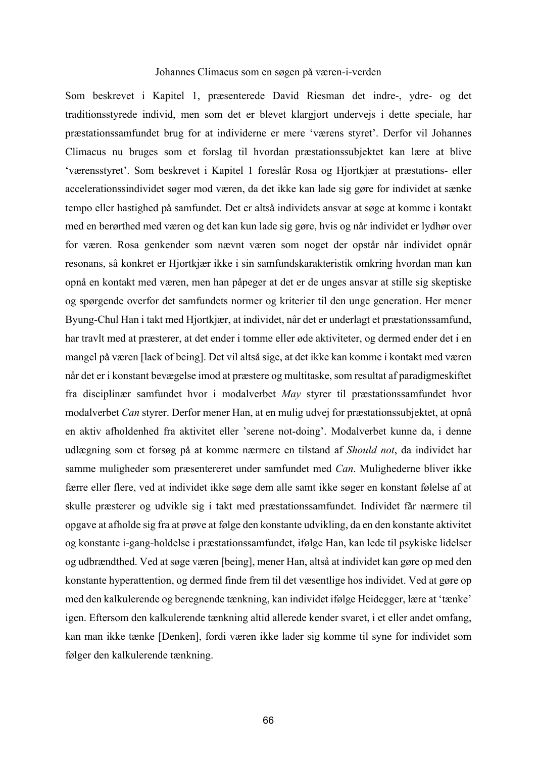## Johannes Climacus som en søgen på væren-i-verden

Som beskrevet i Kapitel 1, præsenterede David Riesman det indre-, ydre- og det traditionsstyrede individ, men som det er blevet klargjort undervejs i dette speciale, har præstationssamfundet brug for at individerne er mere 'værens styret'. Derfor vil Johannes Climacus nu bruges som et forslag til hvordan præstationssubjektet kan lære at blive 'værensstyret'. Som beskrevet i Kapitel 1 foreslår Rosa og Hjortkjær at præstations- eller accelerationssindividet søger mod væren, da det ikke kan lade sig gøre for individet at sænke tempo eller hastighed på samfundet. Det er altså individets ansvar at søge at komme i kontakt med en berørthed med væren og det kan kun lade sig gøre, hvis og når individet er lydhør over for væren. Rosa genkender som nævnt væren som noget der opstår når individet opnår resonans, så konkret er Hjortkjær ikke i sin samfundskarakteristik omkring hvordan man kan opnå en kontakt med væren, men han påpeger at det er de unges ansvar at stille sig skeptiske og spørgende overfor det samfundets normer og kriterier til den unge generation. Her mener Byung-Chul Han i takt med Hjortkjær, at individet, når det er underlagt et præstationssamfund, har travlt med at præsterer, at det ender i tomme eller øde aktiviteter, og dermed ender det i en mangel på væren [lack of being]. Det vil altså sige, at det ikke kan komme i kontakt med væren når det er i konstant bevægelse imod at præstere og multitaske, som resultat af paradigmeskiftet fra disciplinær samfundet hvor i modalverbet *May* styrer til præstationssamfundet hvor modalverbet *Can* styrer. Derfor mener Han, at en mulig udvej for præstationssubjektet, at opnå en aktiv afholdenhed fra aktivitet eller 'serene not-doing'. Modalverbet kunne da, i denne udlægning som et forsøg på at komme nærmere en tilstand af *Should not*, da individet har samme muligheder som præsentereret under samfundet med *Can*. Mulighederne bliver ikke færre eller flere, ved at individet ikke søge dem alle samt ikke søger en konstant følelse af at skulle præsterer og udvikle sig i takt med præstationssamfundet. Individet får nærmere til opgave at afholde sig fra at prøve at følge den konstante udvikling, da en den konstante aktivitet og konstante i-gang-holdelse i præstationssamfundet, ifølge Han, kan lede til psykiske lidelser og udbrændthed. Ved at søge væren [being], mener Han, altså at individet kan gøre op med den konstante hyperattention, og dermed finde frem til det væsentlige hos individet. Ved at gøre op med den kalkulerende og beregnende tænkning, kan individet ifølge Heidegger, lære at 'tænke' igen. Eftersom den kalkulerende tænkning altid allerede kender svaret, i et eller andet omfang, kan man ikke tænke [Denken], fordi væren ikke lader sig komme til syne for individet som følger den kalkulerende tænkning.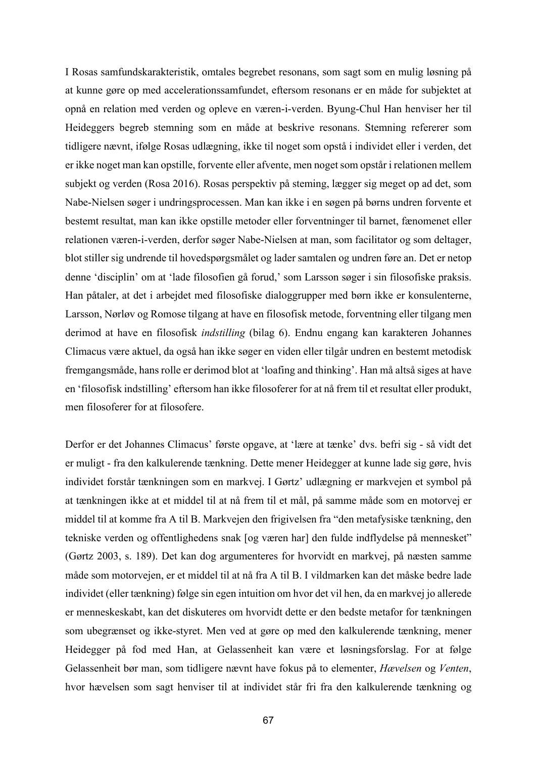I Rosas samfundskarakteristik, omtales begrebet resonans, som sagt som en mulig løsning på at kunne gøre op med accelerationssamfundet, eftersom resonans er en måde for subjektet at opnå en relation med verden og opleve en væren-i-verden. Byung-Chul Han henviser her til Heideggers begreb stemning som en måde at beskrive resonans. Stemning refererer som tidligere nævnt, ifølge Rosas udlægning, ikke til noget som opstå i individet eller i verden, det er ikke noget man kan opstille, forvente eller afvente, men noget som opstår i relationen mellem subjekt og verden (Rosa 2016). Rosas perspektiv på steming, lægger sig meget op ad det, som Nabe-Nielsen søger i undringsprocessen. Man kan ikke i en søgen på børns undren forvente et bestemt resultat, man kan ikke opstille metoder eller forventninger til barnet, fænomenet eller relationen væren-i-verden, derfor søger Nabe-Nielsen at man, som facilitator og som deltager, blot stiller sig undrende til hovedspørgsmålet og lader samtalen og undren føre an. Det er netop denne 'disciplin' om at 'lade filosofien gå forud,' som Larsson søger i sin filosofiske praksis. Han påtaler, at det i arbejdet med filosofiske dialoggrupper med børn ikke er konsulenterne, Larsson, Nørløv og Romose tilgang at have en filosofisk metode, forventning eller tilgang men derimod at have en filosofisk *indstilling* (bilag 6). Endnu engang kan karakteren Johannes Climacus være aktuel, da også han ikke søger en viden eller tilgår undren en bestemt metodisk fremgangsmåde, hans rolle er derimod blot at 'loafing and thinking'. Han må altså siges at have en 'filosofisk indstilling' eftersom han ikke filosoferer for at nå frem til et resultat eller produkt, men filosoferer for at filosofere.

Derfor er det Johannes Climacus' første opgave, at 'lære at tænke' dvs. befri sig - så vidt det er muligt - fra den kalkulerende tænkning. Dette mener Heidegger at kunne lade sig gøre, hvis individet forstår tænkningen som en markvej. I Gørtz' udlægning er markvejen et symbol på at tænkningen ikke at et middel til at nå frem til et mål, på samme måde som en motorvej er middel til at komme fra A til B. Markvejen den frigivelsen fra "den metafysiske tænkning, den tekniske verden og offentlighedens snak [og væren har] den fulde indflydelse på mennesket" (Gørtz 2003, s. 189). Det kan dog argumenteres for hvorvidt en markvej, på næsten samme måde som motorvejen, er et middel til at nå fra A til B. I vildmarken kan det måske bedre lade individet (eller tænkning) følge sin egen intuition om hvor det vil hen, da en markvej jo allerede er menneskeskabt, kan det diskuteres om hvorvidt dette er den bedste metafor for tænkningen som ubegrænset og ikke-styret. Men ved at gøre op med den kalkulerende tænkning, mener Heidegger på fod med Han, at Gelassenheit kan være et løsningsforslag. For at følge Gelassenheit bør man, som tidligere nævnt have fokus på to elementer, *Hævelsen* og *Venten*, hvor hævelsen som sagt henviser til at individet står fri fra den kalkulerende tænkning og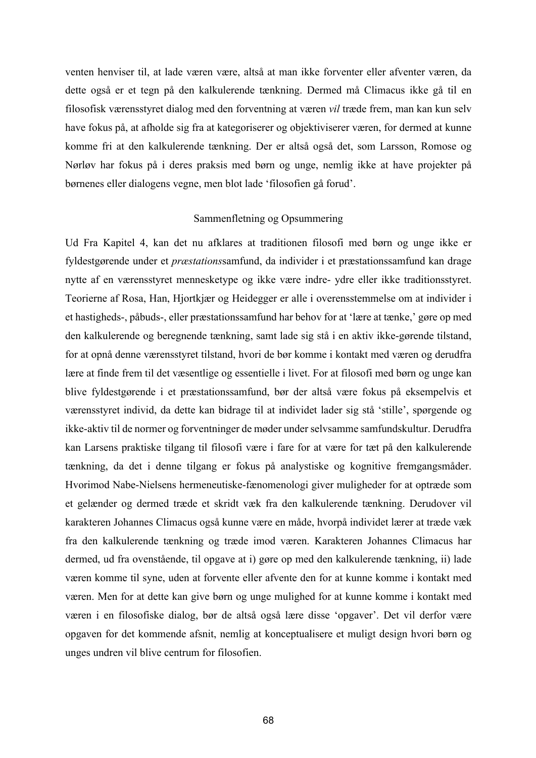venten henviser til, at lade væren være, altså at man ikke forventer eller afventer væren, da dette også er et tegn på den kalkulerende tænkning. Dermed må Climacus ikke gå til en filosofisk værensstyret dialog med den forventning at væren *vil* træde frem, man kan kun selv have fokus på, at afholde sig fra at kategoriserer og objektiviserer væren, for dermed at kunne komme fri at den kalkulerende tænkning. Der er altså også det, som Larsson, Romose og Nørløv har fokus på i deres praksis med børn og unge, nemlig ikke at have projekter på børnenes eller dialogens vegne, men blot lade 'filosofien gå forud'.

# Sammenfletning og Opsummering

Ud Fra Kapitel 4, kan det nu afklares at traditionen filosofi med børn og unge ikke er fyldestgørende under et *præstations*samfund, da individer i et præstationssamfund kan drage nytte af en værensstyret mennesketype og ikke være indre- ydre eller ikke traditionsstyret. Teorierne af Rosa, Han, Hjortkjær og Heidegger er alle i overensstemmelse om at individer i et hastigheds-, påbuds-, eller præstationssamfund har behov for at 'lære at tænke,' gøre op med den kalkulerende og beregnende tænkning, samt lade sig stå i en aktiv ikke-gørende tilstand, for at opnå denne værensstyret tilstand, hvori de bør komme i kontakt med væren og derudfra lære at finde frem til det væsentlige og essentielle i livet. For at filosofi med børn og unge kan blive fyldestgørende i et præstationssamfund, bør der altså være fokus på eksempelvis et værensstyret individ, da dette kan bidrage til at individet lader sig stå 'stille', spørgende og ikke-aktiv til de normer og forventninger de møder under selvsamme samfundskultur. Derudfra kan Larsens praktiske tilgang til filosofi være i fare for at være for tæt på den kalkulerende tænkning, da det i denne tilgang er fokus på analystiske og kognitive fremgangsmåder. Hvorimod Nabe-Nielsens hermeneutiske-fænomenologi giver muligheder for at optræde som et gelænder og dermed træde et skridt væk fra den kalkulerende tænkning. Derudover vil karakteren Johannes Climacus også kunne være en måde, hvorpå individet lærer at træde væk fra den kalkulerende tænkning og træde imod væren. Karakteren Johannes Climacus har dermed, ud fra ovenstående, til opgave at i) gøre op med den kalkulerende tænkning, ii) lade væren komme til syne, uden at forvente eller afvente den for at kunne komme i kontakt med væren. Men for at dette kan give børn og unge mulighed for at kunne komme i kontakt med væren i en filosofiske dialog, bør de altså også lære disse 'opgaver'. Det vil derfor være opgaven for det kommende afsnit, nemlig at konceptualisere et muligt design hvori børn og unges undren vil blive centrum for filosofien.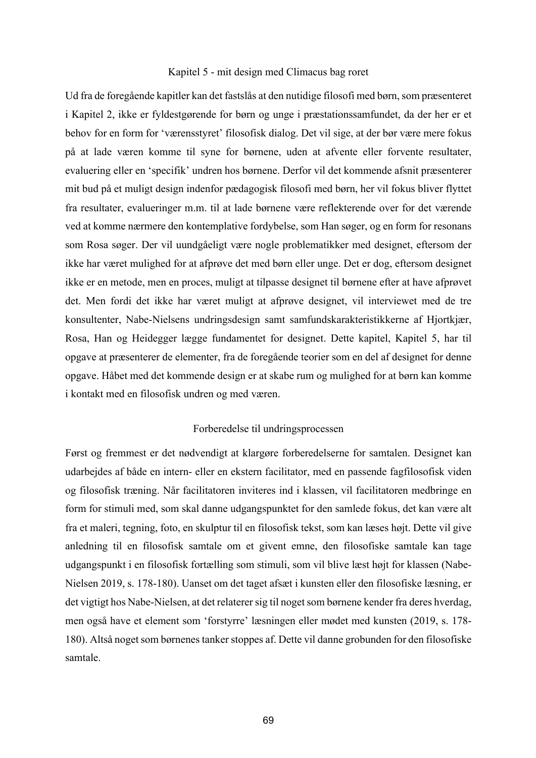#### Kapitel 5 - mit design med Climacus bag roret

Ud fra de foregående kapitler kan det fastslås at den nutidige filosofi med børn, som præsenteret i Kapitel 2, ikke er fyldestgørende for børn og unge i præstationssamfundet, da der her er et behov for en form for 'værensstyret' filosofisk dialog. Det vil sige, at der bør være mere fokus på at lade væren komme til syne for børnene, uden at afvente eller forvente resultater, evaluering eller en 'specifik' undren hos børnene. Derfor vil det kommende afsnit præsenterer mit bud på et muligt design indenfor pædagogisk filosofi med børn, her vil fokus bliver flyttet fra resultater, evalueringer m.m. til at lade børnene være reflekterende over for det værende ved at komme nærmere den kontemplative fordybelse, som Han søger, og en form for resonans som Rosa søger. Der vil uundgåeligt være nogle problematikker med designet, eftersom der ikke har været mulighed for at afprøve det med børn eller unge. Det er dog, eftersom designet ikke er en metode, men en proces, muligt at tilpasse designet til børnene efter at have afprøvet det. Men fordi det ikke har været muligt at afprøve designet, vil interviewet med de tre konsultenter, Nabe-Nielsens undringsdesign samt samfundskarakteristikkerne af Hjortkjær, Rosa, Han og Heidegger lægge fundamentet for designet. Dette kapitel, Kapitel 5, har til opgave at præsenterer de elementer, fra de foregående teorier som en del af designet for denne opgave. Håbet med det kommende design er at skabe rum og mulighed for at børn kan komme i kontakt med en filosofisk undren og med væren.

#### Forberedelse til undringsprocessen

Først og fremmest er det nødvendigt at klargøre forberedelserne for samtalen. Designet kan udarbejdes af både en intern- eller en ekstern facilitator, med en passende fagfilosofisk viden og filosofisk træning. Når facilitatoren inviteres ind i klassen, vil facilitatoren medbringe en form for stimuli med, som skal danne udgangspunktet for den samlede fokus, det kan være alt fra et maleri, tegning, foto, en skulptur til en filosofisk tekst, som kan læses højt. Dette vil give anledning til en filosofisk samtale om et givent emne, den filosofiske samtale kan tage udgangspunkt i en filosofisk fortælling som stimuli, som vil blive læst højt for klassen (Nabe-Nielsen 2019, s. 178-180). Uanset om det taget afsæt i kunsten eller den filosofiske læsning, er det vigtigt hos Nabe-Nielsen, at det relaterer sig til noget som børnene kender fra deres hverdag, men også have et element som 'forstyrre' læsningen eller mødet med kunsten (2019, s. 178- 180). Altså noget som børnenes tanker stoppes af. Dette vil danne grobunden for den filosofiske samtale.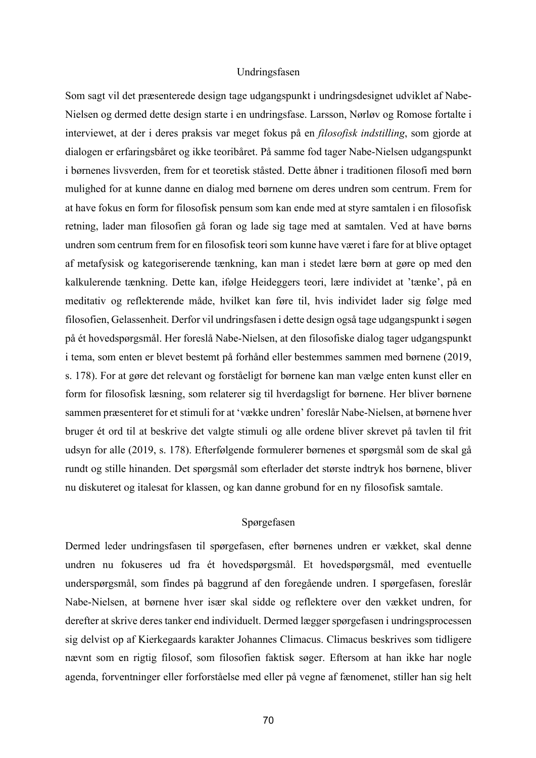# Undringsfasen

Som sagt vil det præsenterede design tage udgangspunkt i undringsdesignet udviklet af Nabe-Nielsen og dermed dette design starte i en undringsfase. Larsson, Nørløv og Romose fortalte i interviewet, at der i deres praksis var meget fokus på en *filosofisk indstilling*, som gjorde at dialogen er erfaringsbåret og ikke teoribåret. På samme fod tager Nabe-Nielsen udgangspunkt i børnenes livsverden, frem for et teoretisk ståsted. Dette åbner i traditionen filosofi med børn mulighed for at kunne danne en dialog med børnene om deres undren som centrum. Frem for at have fokus en form for filosofisk pensum som kan ende med at styre samtalen i en filosofisk retning, lader man filosofien gå foran og lade sig tage med at samtalen. Ved at have børns undren som centrum frem for en filosofisk teori som kunne have været i fare for at blive optaget af metafysisk og kategoriserende tænkning, kan man i stedet lære børn at gøre op med den kalkulerende tænkning. Dette kan, ifølge Heideggers teori, lære individet at 'tænke', på en meditativ og reflekterende måde, hvilket kan føre til, hvis individet lader sig følge med filosofien, Gelassenheit. Derfor vil undringsfasen i dette design også tage udgangspunkt i søgen på ét hovedspørgsmål. Her foreslå Nabe-Nielsen, at den filosofiske dialog tager udgangspunkt i tema, som enten er blevet bestemt på forhånd eller bestemmes sammen med børnene (2019, s. 178). For at gøre det relevant og forståeligt for børnene kan man vælge enten kunst eller en form for filosofisk læsning, som relaterer sig til hverdagsligt for børnene. Her bliver børnene sammen præsenteret for et stimuli for at 'vække undren' foreslår Nabe-Nielsen, at børnene hver bruger ét ord til at beskrive det valgte stimuli og alle ordene bliver skrevet på tavlen til frit udsyn for alle (2019, s. 178). Efterfølgende formulerer børnenes et spørgsmål som de skal gå rundt og stille hinanden. Det spørgsmål som efterlader det største indtryk hos børnene, bliver nu diskuteret og italesat for klassen, og kan danne grobund for en ny filosofisk samtale.

# Spørgefasen

Dermed leder undringsfasen til spørgefasen, efter børnenes undren er vækket, skal denne undren nu fokuseres ud fra ét hovedspørgsmål. Et hovedspørgsmål, med eventuelle underspørgsmål, som findes på baggrund af den foregående undren. I spørgefasen, foreslår Nabe-Nielsen, at børnene hver især skal sidde og reflektere over den vækket undren, for derefter at skrive deres tanker end individuelt. Dermed lægger spørgefasen i undringsprocessen sig delvist op af Kierkegaards karakter Johannes Climacus. Climacus beskrives som tidligere nævnt som en rigtig filosof, som filosofien faktisk søger. Eftersom at han ikke har nogle agenda, forventninger eller forforståelse med eller på vegne af fænomenet, stiller han sig helt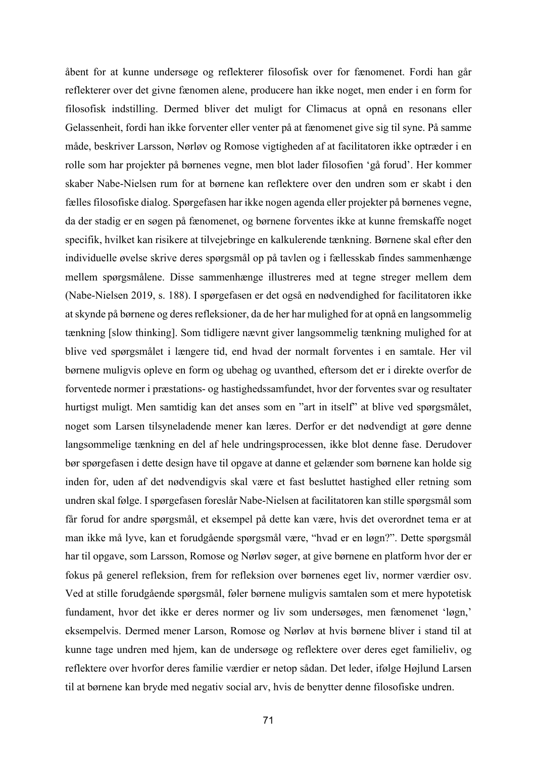åbent for at kunne undersøge og reflekterer filosofisk over for fænomenet. Fordi han går reflekterer over det givne fænomen alene, producere han ikke noget, men ender i en form for filosofisk indstilling. Dermed bliver det muligt for Climacus at opnå en resonans eller Gelassenheit, fordi han ikke forventer eller venter på at fænomenet give sig til syne. På samme måde, beskriver Larsson, Nørløv og Romose vigtigheden af at facilitatoren ikke optræder i en rolle som har projekter på børnenes vegne, men blot lader filosofien 'gå forud'. Her kommer skaber Nabe-Nielsen rum for at børnene kan reflektere over den undren som er skabt i den fælles filosofiske dialog. Spørgefasen har ikke nogen agenda eller projekter på børnenes vegne, da der stadig er en søgen på fænomenet, og børnene forventes ikke at kunne fremskaffe noget specifik, hvilket kan risikere at tilvejebringe en kalkulerende tænkning. Børnene skal efter den individuelle øvelse skrive deres spørgsmål op på tavlen og i fællesskab findes sammenhænge mellem spørgsmålene. Disse sammenhænge illustreres med at tegne streger mellem dem (Nabe-Nielsen 2019, s. 188). I spørgefasen er det også en nødvendighed for facilitatoren ikke at skynde på børnene og deres refleksioner, da de her har mulighed for at opnå en langsommelig tænkning [slow thinking]. Som tidligere nævnt giver langsommelig tænkning mulighed for at blive ved spørgsmålet i længere tid, end hvad der normalt forventes i en samtale. Her vil børnene muligvis opleve en form og ubehag og uvanthed, eftersom det er i direkte overfor de forventede normer i præstations- og hastighedssamfundet, hvor der forventes svar og resultater hurtigst muligt. Men samtidig kan det anses som en "art in itself" at blive ved spørgsmålet, noget som Larsen tilsyneladende mener kan læres. Derfor er det nødvendigt at gøre denne langsommelige tænkning en del af hele undringsprocessen, ikke blot denne fase. Derudover bør spørgefasen i dette design have til opgave at danne et gelænder som børnene kan holde sig inden for, uden af det nødvendigvis skal være et fast besluttet hastighed eller retning som undren skal følge. I spørgefasen foreslår Nabe-Nielsen at facilitatoren kan stille spørgsmål som får forud for andre spørgsmål, et eksempel på dette kan være, hvis det overordnet tema er at man ikke må lyve, kan et forudgående spørgsmål være, "hvad er en løgn?". Dette spørgsmål har til opgave, som Larsson, Romose og Nørløv søger, at give børnene en platform hvor der er fokus på generel refleksion, frem for refleksion over børnenes eget liv, normer værdier osv. Ved at stille forudgående spørgsmål, føler børnene muligvis samtalen som et mere hypotetisk fundament, hvor det ikke er deres normer og liv som undersøges, men fænomenet 'løgn,' eksempelvis. Dermed mener Larson, Romose og Nørløv at hvis børnene bliver i stand til at kunne tage undren med hjem, kan de undersøge og reflektere over deres eget familieliv, og reflektere over hvorfor deres familie værdier er netop sådan. Det leder, ifølge Højlund Larsen til at børnene kan bryde med negativ social arv, hvis de benytter denne filosofiske undren.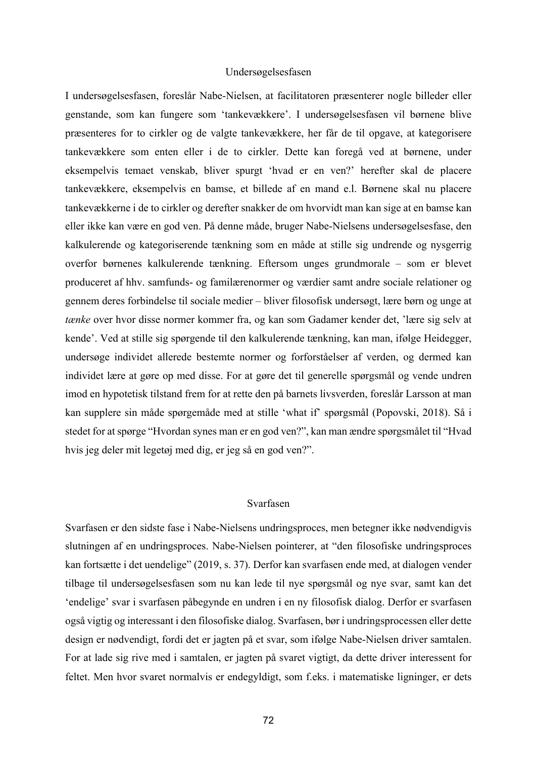# Undersøgelsesfasen

I undersøgelsesfasen, foreslår Nabe-Nielsen, at facilitatoren præsenterer nogle billeder eller genstande, som kan fungere som 'tankevækkere'. I undersøgelsesfasen vil børnene blive præsenteres for to cirkler og de valgte tankevækkere, her får de til opgave, at kategorisere tankevækkere som enten eller i de to cirkler. Dette kan foregå ved at børnene, under eksempelvis temaet venskab, bliver spurgt 'hvad er en ven?' herefter skal de placere tankevækkere, eksempelvis en bamse, et billede af en mand e.l. Børnene skal nu placere tankevækkerne i de to cirkler og derefter snakker de om hvorvidt man kan sige at en bamse kan eller ikke kan være en god ven. På denne måde, bruger Nabe-Nielsens undersøgelsesfase, den kalkulerende og kategoriserende tænkning som en måde at stille sig undrende og nysgerrig overfor børnenes kalkulerende tænkning. Eftersom unges grundmorale – som er blevet produceret af hhv. samfunds- og familærenormer og værdier samt andre sociale relationer og gennem deres forbindelse til sociale medier – bliver filosofisk undersøgt, lære børn og unge at *tænke* over hvor disse normer kommer fra, og kan som Gadamer kender det, 'lære sig selv at kende'. Ved at stille sig spørgende til den kalkulerende tænkning, kan man, ifølge Heidegger, undersøge individet allerede bestemte normer og forforståelser af verden, og dermed kan individet lære at gøre op med disse. For at gøre det til generelle spørgsmål og vende undren imod en hypotetisk tilstand frem for at rette den på barnets livsverden, foreslår Larsson at man kan supplere sin måde spørgemåde med at stille 'what if' spørgsmål (Popovski, 2018). Så i stedet for at spørge "Hvordan synes man er en god ven?", kan man ændre spørgsmålet til "Hvad hvis jeg deler mit legetøj med dig, er jeg så en god ven?".

#### Svarfasen

Svarfasen er den sidste fase i Nabe-Nielsens undringsproces, men betegner ikke nødvendigvis slutningen af en undringsproces. Nabe-Nielsen pointerer, at "den filosofiske undringsproces kan fortsætte i det uendelige" (2019, s. 37). Derfor kan svarfasen ende med, at dialogen vender tilbage til undersøgelsesfasen som nu kan lede til nye spørgsmål og nye svar, samt kan det 'endelige' svar i svarfasen påbegynde en undren i en ny filosofisk dialog. Derfor er svarfasen også vigtig og interessant i den filosofiske dialog. Svarfasen, bør i undringsprocessen eller dette design er nødvendigt, fordi det er jagten på et svar, som ifølge Nabe-Nielsen driver samtalen. For at lade sig rive med i samtalen, er jagten på svaret vigtigt, da dette driver interessent for feltet. Men hvor svaret normalvis er endegyldigt, som f.eks. i matematiske ligninger, er dets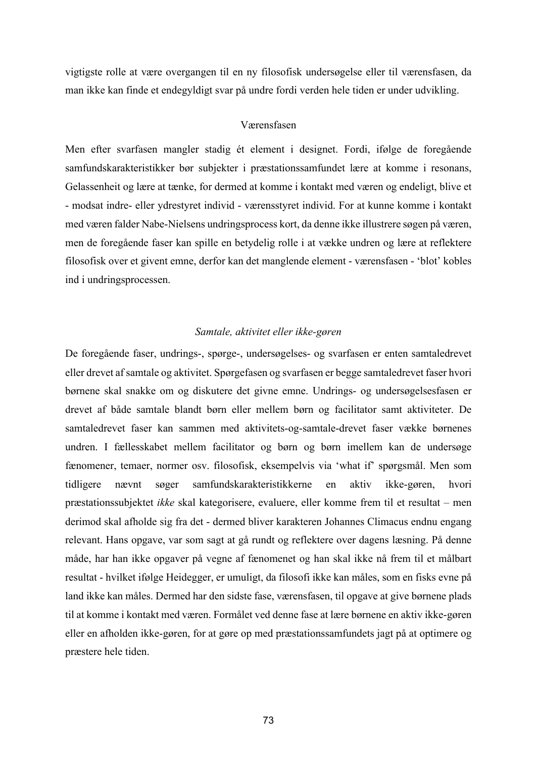vigtigste rolle at være overgangen til en ny filosofisk undersøgelse eller til værensfasen, da man ikke kan finde et endegyldigt svar på undre fordi verden hele tiden er under udvikling.

# Værensfasen

Men efter svarfasen mangler stadig ét element i designet. Fordi, ifølge de foregående samfundskarakteristikker bør subjekter i præstationssamfundet lære at komme i resonans, Gelassenheit og lære at tænke, for dermed at komme i kontakt med væren og endeligt, blive et - modsat indre- eller ydrestyret individ - værensstyret individ. For at kunne komme i kontakt med væren falder Nabe-Nielsens undringsprocess kort, da denne ikke illustrere søgen på væren, men de foregående faser kan spille en betydelig rolle i at vække undren og lære at reflektere filosofisk over et givent emne, derfor kan det manglende element - værensfasen - 'blot' kobles ind i undringsprocessen.

# *Samtale, aktivitet eller ikke-gøren*

De foregående faser, undrings-, spørge-, undersøgelses- og svarfasen er enten samtaledrevet eller drevet af samtale og aktivitet. Spørgefasen og svarfasen er begge samtaledrevet faser hvori børnene skal snakke om og diskutere det givne emne. Undrings- og undersøgelsesfasen er drevet af både samtale blandt børn eller mellem børn og facilitator samt aktiviteter. De samtaledrevet faser kan sammen med aktivitets-og-samtale-drevet faser vække børnenes undren. I fællesskabet mellem facilitator og børn og børn imellem kan de undersøge fænomener, temaer, normer osv. filosofisk, eksempelvis via 'what if' spørgsmål. Men som tidligere nævnt søger samfundskarakteristikkerne en aktiv ikke-gøren, hvori præstationssubjektet *ikke* skal kategorisere, evaluere, eller komme frem til et resultat – men derimod skal afholde sig fra det - dermed bliver karakteren Johannes Climacus endnu engang relevant. Hans opgave, var som sagt at gå rundt og reflektere over dagens læsning. På denne måde, har han ikke opgaver på vegne af fænomenet og han skal ikke nå frem til et målbart resultat - hvilket ifølge Heidegger, er umuligt, da filosofi ikke kan måles, som en fisks evne på land ikke kan måles. Dermed har den sidste fase, værensfasen, til opgave at give børnene plads til at komme i kontakt med væren. Formålet ved denne fase at lære børnene en aktiv ikke-gøren eller en afholden ikke-gøren, for at gøre op med præstationssamfundets jagt på at optimere og præstere hele tiden.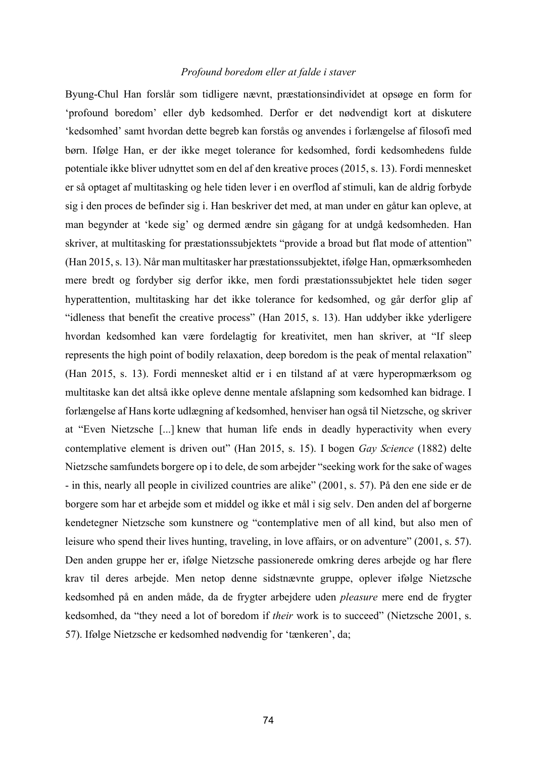# *Profound boredom eller at falde i staver*

Byung-Chul Han forslår som tidligere nævnt, præstationsindividet at opsøge en form for 'profound boredom' eller dyb kedsomhed. Derfor er det nødvendigt kort at diskutere 'kedsomhed' samt hvordan dette begreb kan forstås og anvendes i forlængelse af filosofi med børn. Ifølge Han, er der ikke meget tolerance for kedsomhed, fordi kedsomhedens fulde potentiale ikke bliver udnyttet som en del af den kreative proces (2015, s. 13). Fordi mennesket er så optaget af multitasking og hele tiden lever i en overflod af stimuli, kan de aldrig forbyde sig i den proces de befinder sig i. Han beskriver det med, at man under en gåtur kan opleve, at man begynder at 'kede sig' og dermed ændre sin gågang for at undgå kedsomheden. Han skriver, at multitasking for præstationssubjektets "provide a broad but flat mode of attention" (Han 2015, s. 13). Når man multitasker har præstationssubjektet, ifølge Han, opmærksomheden mere bredt og fordyber sig derfor ikke, men fordi præstationssubjektet hele tiden søger hyperattention, multitasking har det ikke tolerance for kedsomhed, og går derfor glip af "idleness that benefit the creative process" (Han 2015, s. 13). Han uddyber ikke yderligere hvordan kedsomhed kan være fordelagtig for kreativitet, men han skriver, at "If sleep represents the high point of bodily relaxation, deep boredom is the peak of mental relaxation" (Han 2015, s. 13). Fordi mennesket altid er i en tilstand af at være hyperopmærksom og multitaske kan det altså ikke opleve denne mentale afslapning som kedsomhed kan bidrage. I forlængelse af Hans korte udlægning af kedsomhed, henviser han også til Nietzsche, og skriver at "Even Nietzsche [...] knew that human life ends in deadly hyperactivity when every contemplative element is driven out" (Han 2015, s. 15). I bogen *Gay Science* (1882) delte Nietzsche samfundets borgere op i to dele, de som arbejder "seeking work for the sake of wages - in this, nearly all people in civilized countries are alike" (2001, s. 57). På den ene side er de borgere som har et arbejde som et middel og ikke et mål i sig selv. Den anden del af borgerne kendetegner Nietzsche som kunstnere og "contemplative men of all kind, but also men of leisure who spend their lives hunting, traveling, in love affairs, or on adventure" (2001, s. 57). Den anden gruppe her er, ifølge Nietzsche passionerede omkring deres arbejde og har flere krav til deres arbejde. Men netop denne sidstnævnte gruppe, oplever ifølge Nietzsche kedsomhed på en anden måde, da de frygter arbejdere uden *pleasure* mere end de frygter kedsomhed, da "they need a lot of boredom if *their* work is to succeed" (Nietzsche 2001, s. 57). Ifølge Nietzsche er kedsomhed nødvendig for 'tænkeren', da;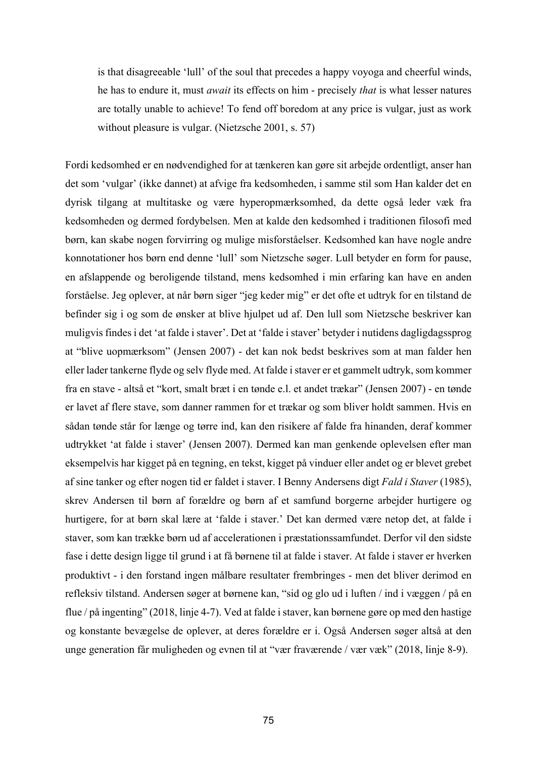is that disagreeable 'lull' of the soul that precedes a happy voyoga and cheerful winds, he has to endure it, must *await* its effects on him - precisely *that* is what lesser natures are totally unable to achieve! To fend off boredom at any price is vulgar, just as work without pleasure is vulgar. (Nietzsche 2001, s. 57)

Fordi kedsomhed er en nødvendighed for at tænkeren kan gøre sit arbejde ordentligt, anser han det som 'vulgar' (ikke dannet) at afvige fra kedsomheden, i samme stil som Han kalder det en dyrisk tilgang at multitaske og være hyperopmærksomhed, da dette også leder væk fra kedsomheden og dermed fordybelsen. Men at kalde den kedsomhed i traditionen filosofi med børn, kan skabe nogen forvirring og mulige misforståelser. Kedsomhed kan have nogle andre konnotationer hos børn end denne 'lull' som Nietzsche søger. Lull betyder en form for pause, en afslappende og beroligende tilstand, mens kedsomhed i min erfaring kan have en anden forståelse. Jeg oplever, at når børn siger "jeg keder mig" er det ofte et udtryk for en tilstand de befinder sig i og som de ønsker at blive hjulpet ud af. Den lull som Nietzsche beskriver kan muligvis findes i det 'at falde i staver'. Det at 'falde i staver' betyder i nutidens dagligdagssprog at "blive uopmærksom" (Jensen 2007) - det kan nok bedst beskrives som at man falder hen eller lader tankerne flyde og selv flyde med. At falde i staver er et gammelt udtryk, som kommer fra en stave - altså et "kort, smalt bræt i en tønde e.l. et andet trækar" (Jensen 2007) - en tønde er lavet af flere stave, som danner rammen for et trækar og som bliver holdt sammen. Hvis en sådan tønde står for længe og tørre ind, kan den risikere af falde fra hinanden, deraf kommer udtrykket 'at falde i staver' (Jensen 2007). Dermed kan man genkende oplevelsen efter man eksempelvis har kigget på en tegning, en tekst, kigget på vinduer eller andet og er blevet grebet af sine tanker og efter nogen tid er faldet i staver. I Benny Andersens digt *Fald i Staver* (1985), skrev Andersen til børn af forældre og børn af et samfund borgerne arbejder hurtigere og hurtigere, for at børn skal lære at 'falde i staver.' Det kan dermed være netop det, at falde i staver, som kan trække børn ud af accelerationen i præstationssamfundet. Derfor vil den sidste fase i dette design ligge til grund i at få børnene til at falde i staver. At falde i staver er hverken produktivt - i den forstand ingen målbare resultater frembringes - men det bliver derimod en refleksiv tilstand. Andersen søger at børnene kan, "sid og glo ud i luften / ind i væggen / på en flue / på ingenting" (2018, linje 4-7). Ved at falde i staver, kan børnene gøre op med den hastige og konstante bevægelse de oplever, at deres forældre er i. Også Andersen søger altså at den unge generation får muligheden og evnen til at "vær fraværende / vær væk" (2018, linje 8-9).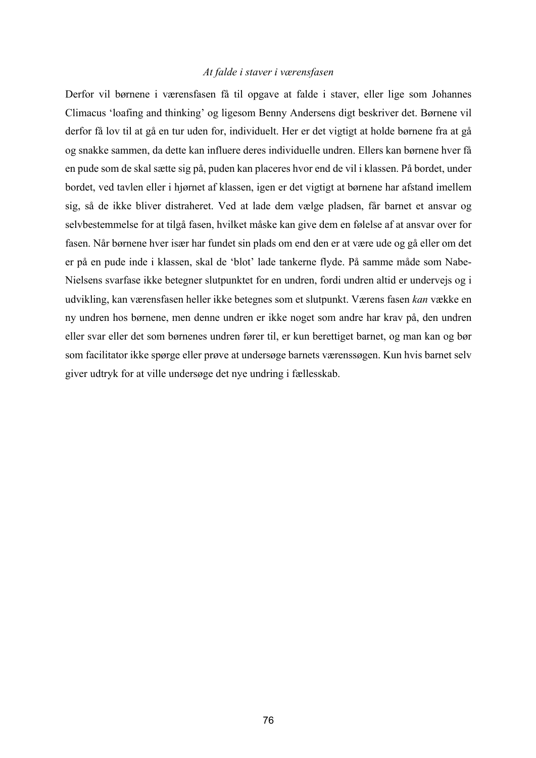# *At falde i staver i værensfasen*

Derfor vil børnene i værensfasen få til opgave at falde i staver, eller lige som Johannes Climacus 'loafing and thinking' og ligesom Benny Andersens digt beskriver det. Børnene vil derfor få lov til at gå en tur uden for, individuelt. Her er det vigtigt at holde børnene fra at gå og snakke sammen, da dette kan influere deres individuelle undren. Ellers kan børnene hver få en pude som de skal sætte sig på, puden kan placeres hvor end de vil i klassen. På bordet, under bordet, ved tavlen eller i hjørnet af klassen, igen er det vigtigt at børnene har afstand imellem sig, så de ikke bliver distraheret. Ved at lade dem vælge pladsen, får barnet et ansvar og selvbestemmelse for at tilgå fasen, hvilket måske kan give dem en følelse af at ansvar over for fasen. Når børnene hver især har fundet sin plads om end den er at være ude og gå eller om det er på en pude inde i klassen, skal de 'blot' lade tankerne flyde. På samme måde som Nabe-Nielsens svarfase ikke betegner slutpunktet for en undren, fordi undren altid er undervejs og i udvikling, kan værensfasen heller ikke betegnes som et slutpunkt. Værens fasen *kan* vække en ny undren hos børnene, men denne undren er ikke noget som andre har krav på, den undren eller svar eller det som børnenes undren fører til, er kun berettiget barnet, og man kan og bør som facilitator ikke spørge eller prøve at undersøge barnets værenssøgen. Kun hvis barnet selv giver udtryk for at ville undersøge det nye undring i fællesskab.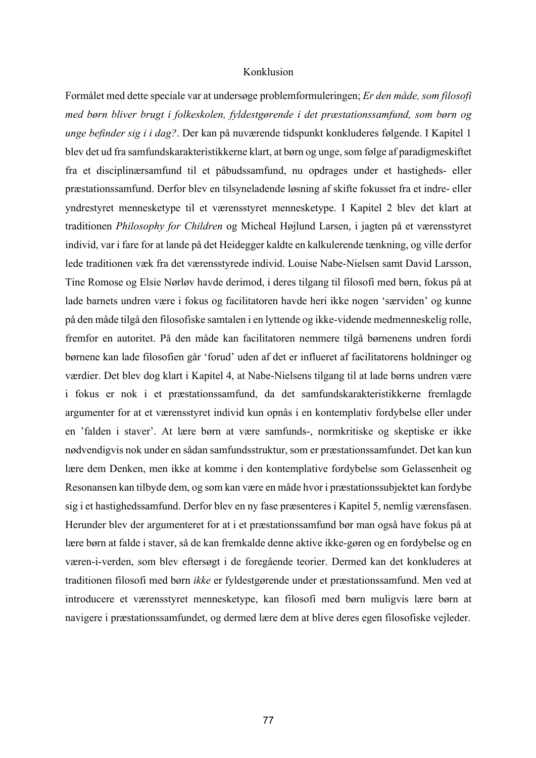# Konklusion

Formålet med dette speciale var at undersøge problemformuleringen; *Er den måde, som filosofi med børn bliver brugt i folkeskolen, fyldestgørende i det præstationssamfund, som børn og unge befinder sig i i dag?*. Der kan på nuværende tidspunkt konkluderes følgende. I Kapitel 1 blev det ud fra samfundskarakteristikkerne klart, at børn og unge, som følge af paradigmeskiftet fra et disciplinærsamfund til et påbudssamfund, nu opdrages under et hastigheds- eller præstationssamfund. Derfor blev en tilsyneladende løsning af skifte fokusset fra et indre- eller yndrestyret mennesketype til et værensstyret mennesketype. I Kapitel 2 blev det klart at traditionen *Philosophy for Children* og Micheal Højlund Larsen, i jagten på et værensstyret individ, var i fare for at lande på det Heidegger kaldte en kalkulerende tænkning, og ville derfor lede traditionen væk fra det værensstyrede individ. Louise Nabe-Nielsen samt David Larsson, Tine Romose og Elsie Nørløv havde derimod, i deres tilgang til filosofi med børn, fokus på at lade barnets undren være i fokus og facilitatoren havde heri ikke nogen 'særviden' og kunne på den måde tilgå den filosofiske samtalen i en lyttende og ikke-vidende medmenneskelig rolle, fremfor en autoritet. På den måde kan facilitatoren nemmere tilgå børnenens undren fordi børnene kan lade filosofien går 'forud' uden af det er influeret af facilitatorens holdninger og værdier. Det blev dog klart i Kapitel 4, at Nabe-Nielsens tilgang til at lade børns undren være i fokus er nok i et præstationssamfund, da det samfundskarakteristikkerne fremlagde argumenter for at et værensstyret individ kun opnås i en kontemplativ fordybelse eller under en 'falden i staver'. At lære børn at være samfunds-, normkritiske og skeptiske er ikke nødvendigvis nok under en sådan samfundsstruktur, som er præstationssamfundet. Det kan kun lære dem Denken, men ikke at komme i den kontemplative fordybelse som Gelassenheit og Resonansen kan tilbyde dem, og som kan være en måde hvor i præstationssubjektet kan fordybe sig i et hastighedssamfund. Derfor blev en ny fase præsenteres i Kapitel 5, nemlig værensfasen. Herunder blev der argumenteret for at i et præstationssamfund bør man også have fokus på at lære børn at falde i staver, så de kan fremkalde denne aktive ikke-gøren og en fordybelse og en væren-i-verden, som blev eftersøgt i de foregående teorier. Dermed kan det konkluderes at traditionen filosofi med børn *ikke* er fyldestgørende under et præstationssamfund. Men ved at introducere et værensstyret mennesketype, kan filosofi med børn muligvis lære børn at navigere i præstationssamfundet, og dermed lære dem at blive deres egen filosofiske vejleder.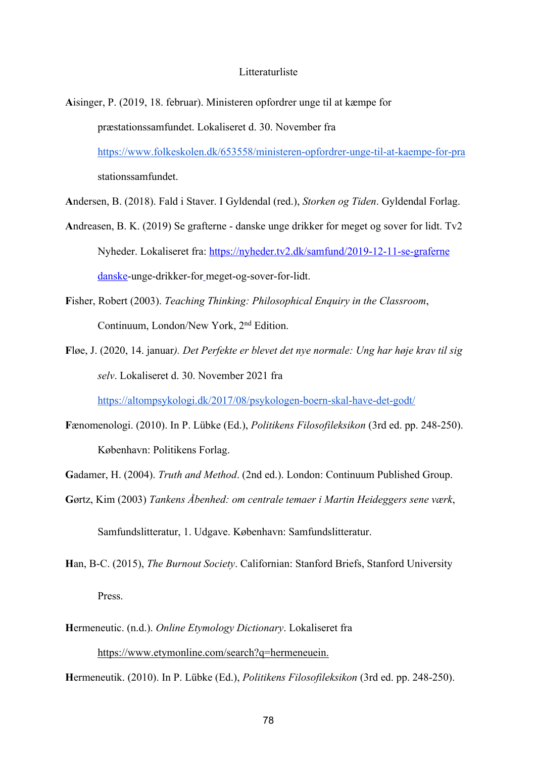#### Litteraturliste

- **A**isinger, P. (2019, 18. februar). Ministeren opfordrer unge til at kæmpe for præstationssamfundet. Lokaliseret d. 30. November fra https://www.folkeskolen.dk/653558/ministeren-opfordrer-unge-til-at-kaempe-for-pra stationssamfundet.
- **A**ndersen, B. (2018). Fald i Staver. I Gyldendal (red.), *Storken og Tiden*. Gyldendal Forlag.
- **A**ndreasen, B. K. (2019) Se grafterne danske unge drikker for meget og sover for lidt. Tv2 Nyheder. Lokaliseret fra: https://nyheder.tv2.dk/samfund/2019-12-11-se-graferne danske-unge-drikker-for meget-og-sover-for-lidt.
- **F**isher, Robert (2003). *Teaching Thinking: Philosophical Enquiry in the Classroom*, Continuum, London/New York, 2nd Edition.
- **F**løe, J. (2020, 14. januar*). Det Perfekte er blevet det nye normale: Ung har høje krav til sig selv*. Lokaliseret d. 30. November 2021 fra

https://altompsykologi.dk/2017/08/psykologen-boern-skal-have-det-godt/

- **F**ænomenologi. (2010). In P. Lübke (Ed.), *Politikens Filosofileksikon* (3rd ed. pp. 248-250). København: Politikens Forlag.
- **G**adamer, H. (2004). *Truth and Method*. (2nd ed.). London: Continuum Published Group.
- **G**ørtz, Kim (2003) *Tankens Åbenhed: om centrale temaer i Martin Heideggers sene værk*,

Samfundslitteratur, 1. Udgave. København: Samfundslitteratur.

- **H**an, B-C. (2015), *The Burnout Society*. Californian: Stanford Briefs, Stanford University Press.
- **H**ermeneutic. (n.d.). *Online Etymology Dictionary*. Lokaliseret fra https://www.etymonline.com/search?q=hermeneuein.

**H**ermeneutik. (2010). In P. Lübke (Ed.), *Politikens Filosofileksikon* (3rd ed. pp. 248-250).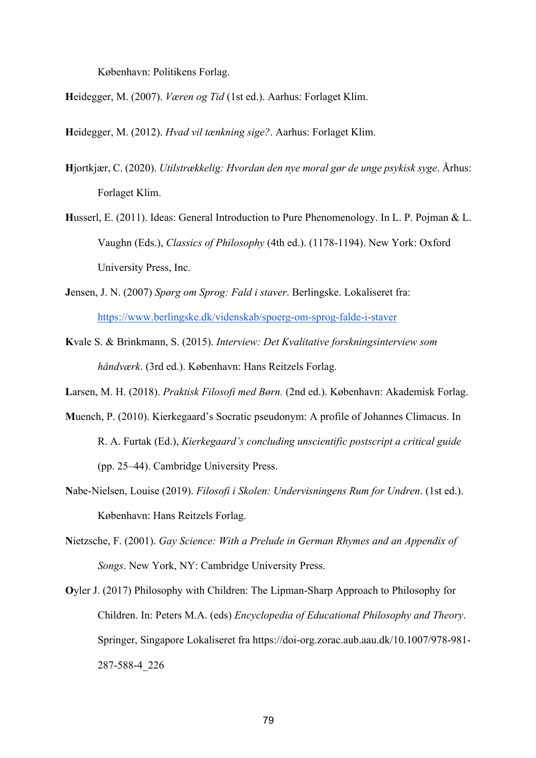København: Politikens Forlag.

**H**eidegger, M. (2007). *Væren og Tid* (1st ed.). Aarhus: Forlaget Klim.

**H**eidegger, M. (2012). *Hvad vil tænkning sige?*. Aarhus: Forlaget Klim.

- **H**jortkjær, C. (2020). *Utilstrækkelig: Hvordan den nye moral gør de unge psykisk syge*. Århus: Forlaget Klim.
- **H**usserl, E. (2011). Ideas: General Introduction to Pure Phenomenology. In L. P. Pojman & L. Vaughn (Eds.), *Classics of Philosophy* (4th ed.). (1178-1194). New York: Oxford University Press, Inc.
- **J**ensen, J. N. (2007) *Spørg om Sprog: Fald i staver*. Berlingske. Lokaliseret fra: https://www.berlingske.dk/videnskab/spoerg-om-sprog-falde-i-staver
- **K**vale S. & Brinkmann, S. (2015). *Interview: Det Kvalitative forskningsinterview som håndværk*. (3rd ed.). København: Hans Reitzels Forlag.

**L**arsen, M. H. (2018). *Praktisk Filosofi med Børn.* (2nd ed.). København: Akademisk Forlag.

- **M**uench, P. (2010). Kierkegaard's Socratic pseudonym: A profile of Johannes Climacus. In R. A. Furtak (Ed.), *Kierkegaard's concluding unscientific postscript a critical guide* (pp. 25–44). Cambridge University Press.
- **N**abe-Nielsen, Louise (2019). *Filosofi i Skolen: Undervisningens Rum for Undren*. (1st ed.). København: Hans Reitzels Forlag.
- **N**ietzsche, F. (2001). *Gay Science: With a Prelude in German Rhymes and an Appendix of Songs*. New York, NY: Cambridge University Press.
- **O**yler J. (2017) Philosophy with Children: The Lipman-Sharp Approach to Philosophy for Children. In: Peters M.A. (eds) *Encyclopedia of Educational Philosophy and Theory*. Springer, Singapore Lokaliseret fra https://doi-org.zorac.aub.aau.dk/10.1007/978-981- 287-588-4\_226